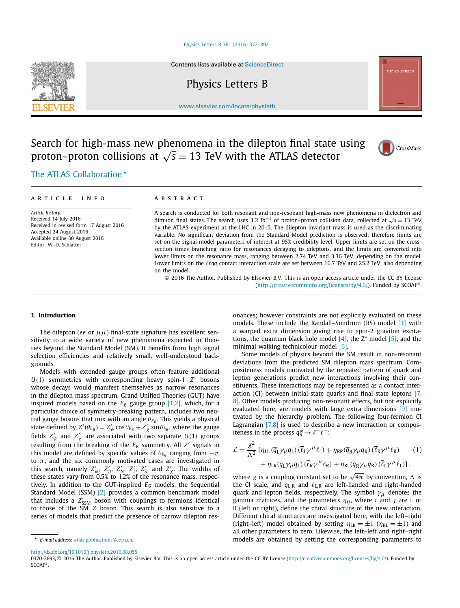#### [Physics Letters B 761 \(2016\) 372–392](http://dx.doi.org/10.1016/j.physletb.2016.08.055)

Contents lists available at [ScienceDirect](http://www.ScienceDirect.com/)

Physics Letters B

[www.elsevier.com/locate/physletb](http://www.elsevier.com/locate/physletb)



# Search for high-mass new phenomena in the dilepton final state using proton–proton collisions at  $\sqrt{s}$  = 13 TeV with the ATLAS detector



# .The ATLAS [Collaboration](#page-8-0) *-*

#### A R T I C L E I N F O A B S T R A C T

*Article history:* Received 14 July 2016 Received in revised form 17 August 2016 Accepted 24 August 2016 Available online 30 August 2016 Editor: W.-D. Schlatter

A search is conducted for both resonant and non-resonant high-mass new phenomena in dielectron and dimuon final states. The search uses <sup>3</sup>*.*<sup>2</sup> fb−<sup>1</sup> of proton–proton collision data, collected at <sup>√</sup>*<sup>s</sup>* <sup>=</sup> <sup>13</sup> TeV by the ATLAS experiment at the LHC in 2015. The dilepton invariant mass is used as the discriminating variable. No significant deviation from the Standard Model prediction is observed; therefore limits are set on the signal model parameters of interest at 95% credibility level. Upper limits are set on the crosssection times branching ratio for resonances decaying to dileptons, and the limits are converted into lower limits on the resonance mass, ranging between 2.74 TeV and 3.36 TeV, depending on the model. Lower limits on the  $\ell \ell q q$  contact interaction scale are set between 16.7 TeV and 25.2 TeV, also depending on the model.

© 2016 The Author. Published by Elsevier B.V. This is an open access article under the CC BY license [\(http://creativecommons.org/licenses/by/4.0/\)](http://creativecommons.org/licenses/by/4.0/). Funded by  $SCOAP<sup>3</sup>$ .

# **1. Introduction**

The dilepton (*ee* or  $\mu\mu$ ) final-state signature has excellent sensitivity to a wide variety of new phenomena expected in theories beyond the Standard Model (SM). It benefits from high signal selection efficiencies and relatively small, well-understood backgrounds.

Models with extended gauge groups often feature additional *U(*1*)* symmetries with corresponding heavy spin-1 *Z* bosons whose decays would manifest themselves as narrow resonances in the dilepton mass spectrum. Grand Unified Theories (GUT) have inspired models based on the  $E_6$  gauge group  $[1,2]$ , which, for a particular choice of symmetry-breaking pattern, includes two neutral gauge bosons that mix with an angle  $θ_{E_6}$ . This yields a physical state defined by  $Z'(\theta_{E_6}) = Z'_\psi \cos \theta_{E_6} + Z'_\chi \sin \theta_{E_6}$ , where the gauge fields  $Z'_\psi$  and  $Z'_\chi$  are associated with two separate  $U(1)$  groups resulting from the breaking of the  $E_6$  symmetry. All  $Z'$  signals in this model are defined by specific values of  $\theta_{E_6}$  ranging from  $-\pi$ to  $\pi$ , and the six commonly motivated cases are investigated in this search, namely  $Z'_\psi$ ,  $Z'_\eta$ ,  $Z'_\text{N}$ ,  $Z'_\text{I}$ ,  $Z'_\text{S}$ , and  $Z'_\chi$ . The widths of these states vary from 0.5% to 1.2% of the resonance mass, respectively. In addition to the GUT-inspired *E*<sup>6</sup> models, the Sequential Standard Model (SSM) [\[2\]](#page-7-0) provides a common benchmark model that includes a Z'<sub>SSM</sub> boson with couplings to fermions identical to those of the SM *Z* boson. This search is also sensitive to a series of models that predict the presence of narrow dilepton resonances; however constraints are not explicitly evaluated on these models. These include the Randall–Sundrum (RS) model [\[3\]](#page-7-0) with a warped extra dimension giving rise to spin-2 graviton excitations, the quantum black hole model  $[4]$ , the  $Z^*$  model  $[5]$ , and the minimal walking technicolour model [\[6\].](#page-7-0)

Some models of physics beyond the SM result in non-resonant deviations from the predicted SM dilepton mass spectrum. Compositeness models motivated by the repeated pattern of quark and lepton generations predict new interactions involving their constituents. These interactions may be represented as a contact interaction (CI) between initial-state quarks and final-state leptons [\[7,](#page-7-0) [8\].](#page-7-0) Other models producing non-resonant effects, but not explicitly evaluated here, are models with large extra dimensions [\[9\]](#page-7-0) motivated by the hierarchy problem. The following four-fermion CI Lagrangian [\[7,8\]](#page-7-0) is used to describe a new interaction or compositeness in the process  $q\overline{q} \rightarrow \ell^+ \ell^-$ :

$$
\mathcal{L} = \frac{g^2}{\Lambda^2} \left[ \eta_{LL} (\overline{q}_L \gamma_\mu q_L) (\overline{\ell}_L \gamma^\mu \ell_L) + \eta_{RR} (\overline{q}_R \gamma_\mu q_R) (\overline{\ell}_R \gamma^\mu \ell_R) \right] + \eta_{LR} (\overline{q}_L \gamma_\mu q_L) (\overline{\ell}_R \gamma^\mu \ell_R) + \eta_{RL} (\overline{q}_R \gamma_\mu q_R) (\overline{\ell}_L \gamma^\mu \ell_L) \right],
$$
 (1)

where *g* is a coupling constant set to be  $\sqrt{4\pi}$  by convention,  $\Lambda$  is the CI scale, and  $q_{L,R}$  and  $\ell_{L,R}$  are left-handed and right-handed quark and lepton fields, respectively. The symbol *γμ* denotes the gamma matrices, and the parameters *ηij* , where *i* and *j* are L or R (left or right), define the chiral structure of the new interaction. Different chiral structures are investigated here, with the left–right (right–left) model obtained by setting  $\eta_{LR} = \pm 1$  ( $\eta_{RL} = \pm 1$ ) and all other parameters to zero. Likewise, the left–left and right–right models are obtained by setting the corresponding parameters to

*<sup>-</sup> E-mail address:* [atlas.publications@cern.ch.](mailto:atlas.publications@cern.ch)

<http://dx.doi.org/10.1016/j.physletb.2016.08.055>

<sup>0370-2693/© 2016</sup> The Author. Published by Elsevier B.V. This is an open access article under the CC BY license [\(http://creativecommons.org/licenses/by/4.0/\)](http://creativecommons.org/licenses/by/4.0/). Funded by SCOAP<sup>3</sup>.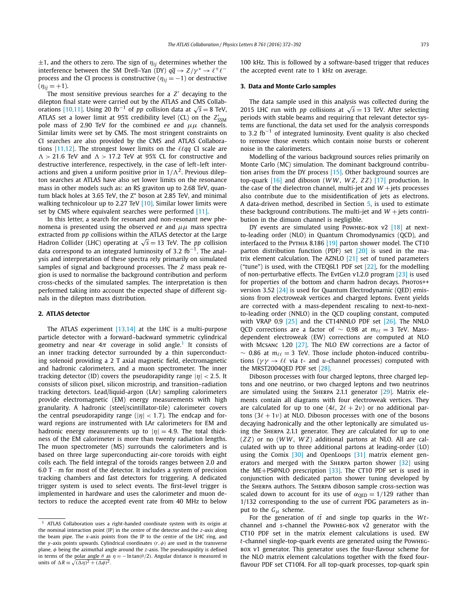<span id="page-1-0"></span> $\pm$ 1, and the others to zero. The sign of  $\eta_{ij}$  determines whether the interference between the SM Drell–Yan (DY)  $q\bar{q} \rightarrow Z/\gamma^* \rightarrow \ell^+ \ell^$ process and the CI process is constructive ( $\eta_{ij} = -1$ ) or destructive  $(\eta_{ij} = +1).$ 

The most sensitive previous searches for a *Z'* decaying to the dilepton final state were carried out by the ATLAS and CMS Collab-orations [\[10,11\].](#page-7-0) Using 20 fb<sup>-1</sup> of *pp* collision data at  $\sqrt{s} = 8$  TeV, ATLAS set a lower limit at 95% credibility level (CL) on the  $Z'_{\rm SSM}$ pole mass of 2.90 TeV for the combined *ee* and  $\mu\mu$  channels. Similar limits were set by CMS. The most stringent constraints on CI searches are also provided by the CMS and ATLAS Collaborations  $[11,12]$ . The strongest lower limits on the  $\ell \ell qq$  CI scale are  $\Lambda > 21.6$  TeV and  $\Lambda > 17.2$  TeV at 95% CL for constructive and destructive interference, respectively, in the case of left–left interactions and given a uniform positive prior in  $1/\Lambda^2$ . Previous dilepton searches at ATLAS have also set lower limits on the resonance mass in other models such as: an RS graviton up to 2.68 TeV, quantum black holes at 3.65 TeV, the Z\* boson at 2.85 TeV, and minimal walking technicolour up to 2.27 TeV [\[10\].](#page-7-0) Similar lower limits were set by CMS where equivalent searches were performed [\[11\].](#page-7-0)

In this letter, a search for resonant and non-resonant new phenomena is presented using the observed *ee* and *μμ* mass spectra extracted from *pp* collisions within the ATLAS detector at the Large Hadron Collider (LHC) operating at  $\sqrt{s} = 13$  TeV. The *pp* collision data correspond to an integrated luminosity of 3*.*2 fb<sup>−</sup>1. The analysis and interpretation of these spectra rely primarily on simulated samples of signal and background processes. The *Z* mass peak region is used to normalise the background contribution and perform cross-checks of the simulated samples. The interpretation is then performed taking into account the expected shape of different signals in the dilepton mass distribution.

# **2. ATLAS detector**

The ATLAS experiment [\[13,14\]](#page-7-0) at the LHC is a multi-purpose particle detector with a forward–backward symmetric cylindrical geometry and near  $4\pi$  coverage in solid angle.<sup>1</sup> It consists of an inner tracking detector surrounded by a thin superconducting solenoid providing a 2 T axial magnetic field, electromagnetic and hadronic calorimeters, and a muon spectrometer. The inner tracking detector (ID) covers the pseudorapidity range |*η*| *<* <sup>2</sup>*.*5. It consists of silicon pixel, silicon microstrip, and transition–radiation tracking detectors. Lead/liquid-argon (LAr) sampling calorimeters provide electromagnetic (EM) energy measurements with high granularity. A hadronic (steel/scintillator-tile) calorimeter covers the central pseudorapidity range ( $|\eta|$  < 1.7). The endcap and forward regions are instrumented with LAr calorimeters for EM and hadronic energy measurements up to  $|\eta| = 4.9$ . The total thickness of the EM calorimeter is more than twenty radiation lengths. The muon spectrometer (MS) surrounds the calorimeters and is based on three large superconducting air-core toroids with eight coils each. The field integral of the toroids ranges between 2.0 and 6.0 T  $\cdot$  m for most of the detector. It includes a system of precision tracking chambers and fast detectors for triggering. A dedicated trigger system is used to select events. The first-level trigger is implemented in hardware and uses the calorimeter and muon detectors to reduce the accepted event rate from 40 MHz to below 100 kHz. This is followed by a software-based trigger that reduces the accepted event rate to 1 kHz on average.

# **3. Data and Monte Carlo samples**

The data sample used in this analysis was collected during the 2015 LHC run with *pp* collisions at  $\sqrt{s} = 13$  TeV. After selecting periods with stable beams and requiring that relevant detector systems are functional, the data set used for the analysis corresponds to 3*.*2 fb−<sup>1</sup> of integrated luminosity. Event quality is also checked to remove those events which contain noise bursts or coherent noise in the calorimeters.

Modelling of the various background sources relies primarily on Monte Carlo (MC) simulation. The dominant background contribution arises from the DY process [\[15\].](#page-7-0) Other background sources are top-quark [\[16\]](#page-7-0) and diboson (*W W* , *W Z*, *Z Z*) [\[17\]](#page-7-0) production. In the case of the dielectron channel, multi-jet and  $W +$  jets processes also contribute due to the misidentification of jets as electrons. A data-driven method, described in Section [5,](#page-3-0) is used to estimate these background contributions. The multi-jet and  $W +$  jets contribution in the dimuon channel is negligible.

DY events are simulated using Powheg-box  $v2$  [\[18\]](#page-7-0) at nextto-leading order (NLO) in Quantum Chromodynamics (QCD), and interfaced to the PYTHIA 8.186 [\[19\]](#page-7-0) parton shower model. The CT10 parton distribution function (PDF) set [\[20\]](#page-7-0) is used in the matrix element calculation. The AZNLO [\[21\]](#page-7-0) set of tuned parameters ("tune") is used, with the CTEQ6L1 PDF set  $[22]$ , for the modelling of non-perturbative effects. The EvtGen v1.2.0 program [\[23\]](#page-7-0) is used for properties of the bottom and charm hadron decays. Photos++ version 3.52 [\[24\]](#page-7-0) is used for Quantum Electrodynamic (QED) emissions from electroweak vertices and charged leptons. Event yields are corrected with a mass-dependent rescaling to next-to-nextto-leading order (NNLO) in the QCD coupling constant, computed with VRAP 0.9 [\[25\]](#page-7-0) and the CT14NNLO PDF set [\[26\].](#page-7-0) The NNLO QCD corrections are a factor of ~ 0.98 at  $m_{\ell\ell} = 3$  TeV. Massdependent electroweak (EW) corrections are computed at NLO with Mcsanc 1.20  $[27]$ . The NLO EW corrections are a factor of  $\sim$  0.86 at  $m_{\ell\ell} = 3$  TeV. Those include photon-induced contributions ( $\gamma \gamma \rightarrow \ell \ell$  via *t*- and *u*-channel processes) computed with the MRST2004QED PDF set [\[28\].](#page-7-0)

Diboson processes with four charged leptons, three charged leptons and one neutrino, or two charged leptons and two neutrinos are simulated using the Sherpa 2.1.1 generator [\[29\].](#page-7-0) Matrix elements contain all diagrams with four electroweak vertices. They are calculated for up to one  $(4\ell, 2\ell + 2\nu)$  or no additional partons  $(3\ell + 1\nu)$  at NLO. Diboson processes with one of the bosons decaying hadronically and the other leptonically are simulated using the Sherpa 2.1.1 generator. They are calculated for up to one (*Z Z*) or no (*W W* , *W Z*) additional partons at NLO. All are calculated with up to three additional partons at leading-order (LO) using the Comix [\[30\]](#page-7-0) and OpenLoops [\[31\]](#page-7-0) matrix element gen-erators and merged with the SHERPA parton shower [\[32\]](#page-7-0) using the ME+PS@NLO prescription [\[33\].](#page-7-0) The CT10 PDF set is used in conjunction with dedicated parton shower tuning developed by the Sherpa authors. The Sherpa diboson sample cross-section was scaled down to account for its use of  $\alpha_{\text{ORD}} = 1/129$  rather than 1/132 corresponding to the use of current PDG parameters as input to the *Gμ* scheme.

For the generation of  $t\bar{t}$  and single top quarks in the  $Wt$ channel and *s*-channel the Powheg-box v2 generator with the CT10 PDF set in the matrix element calculations is used. EW *t*-channel single-top-quark events are generated using the Powhegbox v1 generator. This generator uses the four-flavour scheme for the NLO matrix element calculations together with the fixed fourflavour PDF set CT10f4. For all top-quark processes, top-quark spin

<sup>1</sup> ATLAS Collaboration uses a right-handed coordinate system with its origin at the nominal interaction point (IP) in the centre of the detector and the *z*-axis along the beam pipe. The *x*-axis points from the IP to the centre of the LHC ring, and the *y*-axis points upwards. Cylindrical coordinates *(r,φ)* are used in the transverse plane, *φ* being the azimuthal angle around the *z*-axis. The pseudorapidity is defined in terms of the polar angle  $\theta$  as  $\eta = -\ln \tan(\theta/2)$ . Angular distance is measured in units of  $\Delta R = \sqrt{(\Delta \eta)^2 + (\Delta \phi)^2}$ .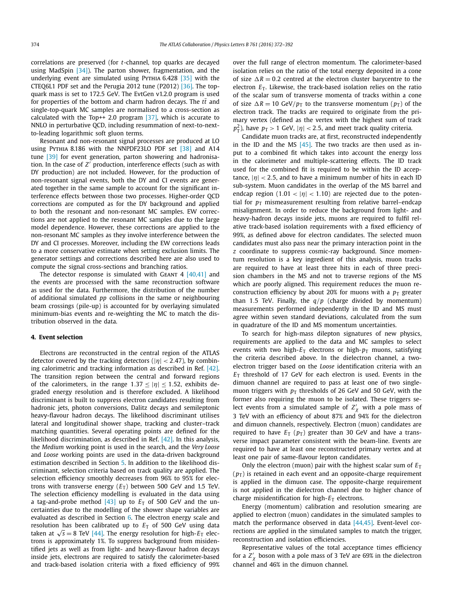correlations are preserved (for *t*-channel, top quarks are decayed using MadSpin  $[34]$ ). The parton shower, fragmentation, and the underlying event are simulated using PYTHIA 6.428 [\[35\]](#page-7-0) with the CTEQ6L1 PDF set and the Perugia 2012 tune (P2012) [\[36\].](#page-7-0) The topquark mass is set to 172.5 GeV. The EvtGen v1.2.0 program is used for properties of the bottom and charm hadron decays. The  $t\bar{t}$  and single-top-quark MC samples are normalised to a cross-section as calculated with the Top++ 2.0 program  $[37]$ , which is accurate to NNLO in perturbative QCD, including resummation of next-to-nextto-leading logarithmic soft gluon terms.

Resonant and non-resonant signal processes are produced at LO using Pythia 8.186 with the NNPDF23LO PDF set [\[38\]](#page-7-0) and A14 tune [\[39\]](#page-8-0) for event generation, parton showering and hadronisation. In the case of *Z'* production, interference effects (such as with DY production) are not included. However, for the production of non-resonant signal events, both the DY and CI events are generated together in the same sample to account for the significant interference effects between those two processes. Higher-order QCD corrections are computed as for the DY background and applied to both the resonant and non-resonant MC samples. EW corrections are not applied to the resonant MC samples due to the large model dependence. However, these corrections are applied to the non-resonant MC samples as they involve interference between the DY and CI processes. Moreover, including the EW corrections leads to a more conservative estimate when setting exclusion limits. The generator settings and corrections described here are also used to compute the signal cross-sections and branching ratios.

The detector response is simulated with GEANT  $4 \left[40,41\right]$  and the events are processed with the same reconstruction software as used for the data. Furthermore, the distribution of the number of additional simulated *pp* collisions in the same or neighbouring beam crossings (pile-up) is accounted for by overlaying simulated minimum-bias events and re-weighting the MC to match the distribution observed in the data.

# **4. Event selection**

Electrons are reconstructed in the central region of the ATLAS detector covered by the tracking detectors ( $|\eta|$  < 2.47), by combining calorimetric and tracking information as described in Ref. [\[42\].](#page-8-0) The transition region between the central and forward regions of the calorimeters, in the range  $1.37 \le |\eta| \le 1.52$ , exhibits degraded energy resolution and is therefore excluded. A likelihood discriminant is built to suppress electron candidates resulting from hadronic jets, photon conversions, Dalitz decays and semileptonic heavy-flavour hadron decays. The likelihood discriminant utilises lateral and longitudinal shower shape, tracking and cluster–track matching quantities. Several operating points are defined for the likelihood discrimination, as described in Ref. [\[42\].](#page-8-0) In this analysis, the *Medium* working point is used in the search, and the *Very Loose* and *Loose* working points are used in the data-driven background estimation described in Section [5.](#page-3-0) In addition to the likelihood discriminant, selection criteria based on track quality are applied. The selection efficiency smoothly decreases from 96% to 95% for electrons with transverse energy  $(E_T)$  between 500 GeV and 1.5 TeV. The selection efficiency modelling is evaluated in the data using a tag-and-probe method  $[43]$  up to  $E<sub>T</sub>$  of 500 GeV and the uncertainties due to the modelling of the shower shape variables are evaluated as described in Section [6.](#page-3-0) The electron energy scale and resolution has been calibrated up to  $E_T$  of 500 GeV using data taken at  $\sqrt{s} = 8$  TeV [\[44\].](#page-8-0) The energy resolution for high- $E_T$  electrons is approximately 1%. To suppress background from misidentified jets as well as from light- and heavy-flavour hadron decays inside jets, electrons are required to satisfy the calorimeter-based and track-based isolation criteria with a fixed efficiency of 99% over the full range of electron momentum. The calorimeter-based isolation relies on the ratio of the total energy deposited in a cone of size  $\Delta R = 0.2$  centred at the electron cluster barycentre to the electron *E*T. Likewise, the track-based isolation relies on the ratio of the scalar sum of transverse momenta of tracks within a cone of size  $\Delta R = 10$  GeV/ $p_T$  to the transverse momentum ( $p_T$ ) of the electron track. The tracks are required to originate from the primary vertex (defined as the vertex with the highest sum of track  $p_{\text{T}}^2$ ), have  $p_{\text{T}} > 1$  GeV,  $|\eta| < 2.5$ , and meet track quality criteria.

Candidate muon tracks are, at first, reconstructed independently in the ID and the MS  $[45]$ . The two tracks are then used as input to a combined fit which takes into account the energy loss in the calorimeter and multiple-scattering effects. The ID track used for the combined fit is required to be within the ID acceptance, |*η*| *<* <sup>2</sup>*.*5, and to have <sup>a</sup> minimum number of hits in each ID sub-system. Muon candidates in the overlap of the MS barrel and endcap region  $(1.01 < |\eta| < 1.10)$  are rejected due to the potential for  $p_T$  mismeasurement resulting from relative barrel–endcap misalignment. In order to reduce the background from light- and heavy-hadron decays inside jets, muons are required to fulfil relative track-based isolation requirements with a fixed efficiency of 99%, as defined above for electron candidates. The selected muon candidates must also pass near the primary interaction point in the *z* coordinate to suppress cosmic-ray background. Since momentum resolution is a key ingredient of this analysis, muon tracks are required to have at least three hits in each of three precision chambers in the MS and not to traverse regions of the MS which are poorly aligned. This requirement reduces the muon reconstruction efficiency by about 20% for muons with a  $p_T$  greater than 1*.*5 TeV. Finally, the *q/p* (charge divided by momentum) measurements performed independently in the ID and MS must agree within seven standard deviations, calculated from the sum in quadrature of the ID and MS momentum uncertainties.

To search for high-mass dilepton signatures of new physics, requirements are applied to the data and MC samples to select events with two high- $E_T$  electrons or high- $p_T$  muons, satisfying the criteria described above. In the dielectron channel, a twoelectron trigger based on the *Loose* identification criteria with an  $E<sub>T</sub>$  threshold of 17 GeV for each electron is used. Events in the dimuon channel are required to pass at least one of two singlemuon triggers with  $p_T$  thresholds of 26 GeV and 50 GeV, with the former also requiring the muon to be isolated. These triggers select events from a simulated sample of *Z χ* with a pole mass of 3 TeV with an efficiency of about 87% and 94% for the dielectron and dimuon channels, respectively. Electron (muon) candidates are required to have  $E_T$  ( $p_T$ ) greater than 30 GeV and have a transverse impact parameter consistent with the beam-line. Events are required to have at least one reconstructed primary vertex and at least one pair of same-flavour lepton candidates.

Only the electron (muon) pair with the highest scalar sum of *E*<sup>T</sup>  $(p<sub>T</sub>)$  is retained in each event and an opposite-charge requirement is applied in the dimuon case. The opposite-charge requirement is not applied in the dielectron channel due to higher chance of charge misidentification for high- $E<sub>T</sub>$  electrons.

Energy (momentum) calibration and resolution smearing are applied to electron (muon) candidates in the simulated samples to match the performance observed in data [\[44,45\].](#page-8-0) Event-level corrections are applied in the simulated samples to match the trigger, reconstruction and isolation efficiencies.

Representative values of the total acceptance times efficiency for a *Z χ* boson with a pole mass of 3 TeV are 69% in the dielectron channel and 46% in the dimuon channel.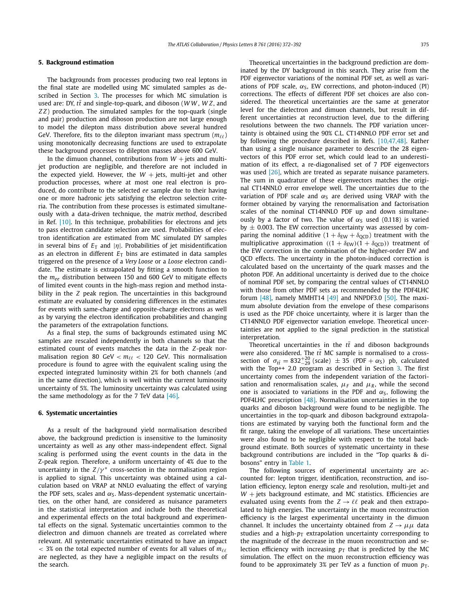#### <span id="page-3-0"></span>**5. Background estimation**

The backgrounds from processes producing two real leptons in the final state are modelled using MC simulated samples as de-scribed in Section [3.](#page-1-0) The processes for which MC simulation is used are: DY,  $t\bar{t}$  and single-top-quark, and diboson (*WW*, *WZ*, and *Z Z*) production. The simulated samples for the top-quark (single and pair) production and diboson production are not large enough to model the dilepton mass distribution above several hundred GeV. Therefore, fits to the dilepton invariant mass spectrum  $(m_{\ell\ell})$ using monotonically decreasing functions are used to extrapolate these background processes to dilepton masses above 600 GeV.

In the dimuon channel, contributions from  $W +$  jets and multijet production are negligible, and therefore are not included in the expected yield. However, the  $W +$  jets, multi-jet and other production processes, where at most one real electron is produced, do contribute to the selected *ee* sample due to their having one or more hadronic jets satisfying the electron selection criteria. The contribution from these processes is estimated simultaneously with a data-driven technique, the *matrix method*, described in Ref. [\[10\].](#page-7-0) In this technique, probabilities for electrons and jets to pass electron candidate selection are used. Probabilities of electron identification are estimated from MC simulated DY samples in several bins of  $E_T$  and  $|\eta|$ . Probabilities of jet misidentification as an electron in different  $E_T$  bins are estimated in data samples triggered on the presence of a *Very Loose* or a *Loose* electron candidate. The estimate is extrapolated by fitting a smooth function to the *mee* distribution between 150 and 600 GeV to mitigate effects of limited event counts in the high-mass region and method instability in the *Z* peak region. The uncertainties in this background estimate are evaluated by considering differences in the estimates for events with same-charge and opposite-charge electrons as well as by varying the electron identification probabilities and changing the parameters of the extrapolation functions.

As a final step, the sums of backgrounds estimated using MC samples are rescaled independently in both channels so that the estimated count of events matches the data in the *Z*-peak normalisation region 80 GeV  $< m_{\ell\ell} < 120$  GeV. This normalisation procedure is found to agree with the equivalent scaling using the expected integrated luminosity within 2% for both channels (and in the same direction), which is well within the current luminosity uncertainty of 5%. The luminosity uncertainty was calculated using the same methodology as for the 7 TeV data  $[46]$ .

# **6. Systematic uncertainties**

As a result of the background yield normalisation described above, the background prediction is insensitive to the luminosity uncertainty as well as any other mass-independent effect. Signal scaling is performed using the event counts in the data in the Z-peak region. Therefore, a uniform uncertainty of 4% due to the uncertainty in the  $Z/\gamma^*$  cross-section in the normalisation region is applied to signal. This uncertainty was obtained using a calculation based on VRAP at NNLO evaluating the effect of varying the PDF sets, scales and  $\alpha_{\rm S}$ . Mass-dependent systematic uncertainties, on the other hand, are considered as nuisance parameters in the statistical interpretation and include both the theoretical and experimental effects on the total background and experimental effects on the signal. Systematic uncertainties common to the dielectron and dimuon channels are treated as correlated where relevant. All systematic uncertainties estimated to have an impact  $<$  3% on the total expected number of events for all values of  $m_{\ell\ell}$ are neglected, as they have a negligible impact on the results of the search.

Theoretical uncertainties in the background prediction are dominated by the DY background in this search. They arise from the PDF eigenvector variations of the nominal PDF set, as well as variations of PDF scale,  $\alpha$ <sub>S</sub>, EW corrections, and photon-induced (PI) corrections. The effects of different PDF set choices are also considered. The theoretical uncertainties are the same at generator level for the dielectron and dimuon channels, but result in different uncertainties at reconstruction level, due to the differing resolutions between the two channels. The PDF variation uncertainty is obtained using the 90% C.L. CT14NNLO PDF error set and by following the procedure described in Refs. [\[10,47,48\].](#page-7-0) Rather than using a single nuisance parameter to describe the 28 eigenvectors of this PDF error set, which could lead to an underestimation of its effect, a re-diagonalised set of 7 PDF eigenvectors was used [\[26\],](#page-7-0) which are treated as separate nuisance parameters. The sum in quadrature of these eigenvectors matches the original CT14NNLO error envelope well. The uncertainties due to the variation of PDF scale and  $\alpha_S$  are derived using VRAP with the former obtained by varying the renormalisation and factorisation scales of the nominal CT14NNLO PDF up and down simultaneously by a factor of two. The value of  $\alpha_S$  used (0.118) is varied by  $\pm$  0.003. The EW correction uncertainty was assessed by comparing the nominal additive  $(1 + \delta_{EW} + \delta_{QCD})$  treatment with the multiplicative approximation  $((1 + \delta_{EW})(1 + \delta_{QCD}))$  treatment of the EW correction in the combination of the higher-order EW and QCD effects. The uncertainty in the photon-induced correction is calculated based on the uncertainty of the quark masses and the photon PDF. An additional uncertainty is derived due to the choice of nominal PDF set, by comparing the central values of CT14NNLO with those from other PDF sets as recommended by the PDF4LHC forum  $[48]$ , namely MMHT14  $[49]$  and NNPDF3.0  $[50]$ . The maximum absolute deviation from the envelope of these comparisons is used as the PDF choice uncertainty, where it is larger than the CT14NNLO PDF eigenvector variation envelope. Theoretical uncertainties are not applied to the signal prediction in the statistical interpretation.

Theoretical uncertainties in the  $t\bar{t}$  and diboson backgrounds were also considered. The  $t\bar{t}$  MC sample is normalised to a crosssection of  $\sigma_{t\bar{t}} = 832^{+20}_{-29}$  (scale) ± 35 *(PDF +*  $\alpha$ *<sub>S</sub>)* pb, calculated with the Top++ 2.0 program as described in Section [3.](#page-1-0) The first uncertainty comes from the independent variation of the factorisation and renormalisation scales,  $\mu_F$  and  $\mu_R$ , while the second one is associated to variations in the PDF and  $\alpha_{\rm S}$ , following the PDF4LHC prescription [\[48\].](#page-8-0) Normalisation uncertainties in the top quarks and diboson background were found to be negligible. The uncertainties in the top-quark and diboson background extrapolations are estimated by varying both the functional form and the fit range, taking the envelope of all variations. These uncertainties were also found to be negligible with respect to the total background estimate. Both sources of systematic uncertainty in these background contributions are included in the "Top quarks & dibosons" entry in [Table 1.](#page-4-0)

The following sources of experimental uncertainty are accounted for: lepton trigger, identification, reconstruction, and isolation efficiency, lepton energy scale and resolution, multi-jet and  $W$  + jets background estimate, and MC statistics. Efficiencies are evaluated using events from the  $Z \rightarrow \ell \ell$  peak and then extrapolated to high energies. The uncertainty in the muon reconstruction efficiency is the largest experimental uncertainty in the dimuon channel. It includes the uncertainty obtained from  $Z \rightarrow \mu \mu$  data studies and a high- $p_T$  extrapolation uncertainty corresponding to the magnitude of the decrease in the muon reconstruction and selection efficiency with increasing  $p<sub>T</sub>$  that is predicted by the MC simulation. The effect on the muon reconstruction efficiency was found to be approximately 3% per TeV as a function of muon  $p_T$ .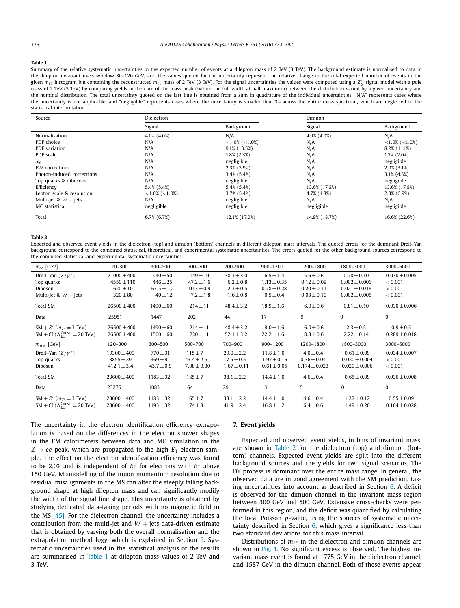#### <span id="page-4-0"></span>**Table 1**

Summary of the relative systematic uncertainties in the expected number of events at a dilepton mass of 2 TeV (3 TeV). The background estimate is normalised to data in the dilepton invariant mass window 80–120 GeV, and the values quoted for the uncertainty represent the relative change in the total expected number of events in the given *m<sub>tt</sub>* histogram bin containing the reconstructed *m<sub>tt</sub>* mass of 2 TeV (3 TeV). For the signal uncertainties the values were computed using a Z'<sub>χ</sub> signal model with a pole mass of 2 TeV (3 TeV) by comparing yields in the core of the mass peak (within the full width at half maximum) between the distribution varied by a given uncertainty and the nominal distribution. The total uncertainty quoted on the last line is obtained from a sum in quadrature of the individual uncertainties. "N/A" represents cases where the uncertainty is not applicable, and "negligible" represents cases where the uncertainty is smaller than 3% across the entire mass spectrum, which are neglected in the statistical interpretation.

| Source                     | Dielectron            |                       | Dimuon        |                       |
|----------------------------|-----------------------|-----------------------|---------------|-----------------------|
|                            | Signal                | Background            | Signal        | Background            |
| Normalisation              | 4.0% (4.0%)           | N/A                   | 4.0% (4.0%)   | N/A                   |
| PDF choice                 | N/A                   | $<1.0\%$ ( $<1.0\%$ ) | N/A           | $<1.0\%$ ( $<1.0\%$ ) |
| PDF variation              | N/A                   | 9.1% (13.5%)          | N/A           | 8.2% (11.1%)          |
| PDF scale                  | N/A                   | $1.8\%$ $(2.3\%)$     | N/A           | 1.7% (2.0%)           |
| $\alpha_{S}$               | N/A                   | negligible            | N/A           | negligible            |
| EW corrections             | N/A                   | $2.3\%$ (3.9%)        | N/A           | $2.0\%$ (3.1%)        |
| Photon-induced corrections | N/A                   | $3.4\%$ (5.4%)        | N/A           | $3.1\%$ (4.3%)        |
| Top quarks & dibosons      | N/A                   | negligible            | N/A           | negligible            |
| Efficiency                 | 5.4% (5.4%)           | 5.4% (5.4%)           | 13.6% (17.6%) | 13.6% (17.6%)         |
| Lepton scale & resolution  | $<1.0\%$ ( $<1.0\%$ ) | 3.7% (5.4%)           | 4.7% (4.8%)   | $2.3\%$ (6.9%)        |
| Multi-jet & $W$ + jets     | N/A                   | negligible            | N/A           | N/A                   |
| MC statistical             | negligible            | negligible            | negligible    | negligible            |
| Total                      | 6.7% (6.7%)           | 12.1% (17.0%)         | 14.9% (18.7%) | 16.6% (22.6%)         |

#### **Table 2**

Expected and observed event yields in the dielectron (top) and dimuon (bottom) channels in different dilepton mass intervals. The quoted errors for the dominant Drell–Yan background correspond to the combined statistical, theoretical, and experimental systematic uncertainties. The errors quoted for the other background sources correspond to the combined statistical and experimental systematic uncertainties.

| $m_{ee}$ [GeV]                                    | 120-300         | 300-500        | 500-700         | 700-900         | 900-1200        | 1200-1800         | 1800-3000         | 3000-6000         |
|---------------------------------------------------|-----------------|----------------|-----------------|-----------------|-----------------|-------------------|-------------------|-------------------|
| Drell–Yan $(Z/\gamma^*)$                          | $21000 \pm 400$ | $940 \pm 50$   | $149 \pm 10$    | $38.3 \pm 3.0$  | $16.5 \pm 1.4$  | $5.6 \pm 0.6$     | $0.78 \pm 0.10$   | $0.030 \pm 0.005$ |
| Top quarks                                        | $4550 \pm 110$  | $446 \pm 25$   | $47.2 \pm 1.6$  | $6.2 \pm 0.8$   | $1.13 \pm 0.35$ | $0.12 \pm 0.09$   | $0.002 \pm 0.006$ | < 0.001           |
| Diboson                                           | $620 \pm 10$    | $67.5 \pm 1.2$ | $10.3 \pm 0.9$  | $2.3 \pm 0.5$   | $0.78 \pm 0.28$ | $0.20 \pm 0.11$   | $0.021 \pm 0.018$ | < 0.001           |
| Multi-Jet & $W$ + Jets                            | $320 \pm 80$    | $40 \pm 12$    | $7.2 \pm 1.8$   | $1.6 \pm 0.8$   | $0.5 \pm 0.4$   | $0.08 \pm 0.10$   | $0.002 \pm 0.005$ | < 0.001           |
| <b>Total SM</b>                                   | $26500 \pm 400$ | $1490 \pm 60$  | $214 \pm 11$    | $48.4 \pm 3.2$  | $18.9 \pm 1.6$  | $6.0 \pm 0.6$     | $0.81 \pm 0.10$   | $0.030 \pm 0.006$ |
| Data                                              | 25951           | 1447           | 202             | 44              | 17              | 9                 | $\bf{0}$          | 0                 |
| $SM + Z'$ ( $m_{Z'} = 3$ TeV)                     | $26500 \pm 400$ | $1490 \pm 60$  | $214 \pm 11$    | $48.4 \pm 3.2$  | $19.0 \pm 1.6$  | $6.0 \pm 0.6$     | $2.3 \pm 0.5$     | $0.9 \pm 0.5$     |
| $SM + CI$ ( $\Lambda_{II}^{Const.} = 20$ TeV)     | $26500 \pm 400$ | $1500 \pm 60$  | $220 \pm 11$    | $52.1 \pm 3.2$  | $22.2 \pm 1.6$  | $8.8 \pm 0.6$     | $2.22 \pm 0.14$   | $0.289 \pm 0.018$ |
| $m_{\mu\mu}$ [GeV]                                | 120-300         | 300-500        | 500-700         | 700-900         | 900-1200        | 1200-1800         | 1800-3000         | 3000-6000         |
| Drell–Yan $(Z/\gamma^*)$                          | $19300 \pm 400$ | $770 \pm 31$   | $115 \pm 7$     | $29.0 \pm 2.2$  | $11.8 \pm 1.0$  | $4.0 \pm 0.4$     | $0.61 \pm 0.09$   | $0.034 \pm 0.007$ |
| Top quarks                                        | $3855 \pm 29$   | $369 \pm 9$    | $43.4 \pm 2.5$  | $7.5 \pm 0.5$   | $1.97 \pm 0.16$ | $0.36 \pm 0.04$   | $0.020 \pm 0.004$ | < 0.001           |
| Diboson                                           | $412.1 \pm 3.4$ | $43.7 \pm 0.9$ | $7.08 \pm 0.30$ | $1.67 \pm 0.11$ | $0.61 \pm 0.05$ | $0.174 \pm 0.023$ | $0.020 \pm 0.006$ | < 0.001           |
| <b>Total SM</b>                                   | $23600 \pm 400$ | $1183 \pm 32$  | $165 \pm 7$     | $38.1 \pm 2.2$  | $14.4 \pm 1.0$  | $4.6 \pm 0.4$     | $0.65 \pm 0.09$   | $0.036 \pm 0.008$ |
| Data                                              | 23275           | 1083           | 164             | 29              | 13              | 5                 | $\bf{0}$          | 0                 |
| $SM + Z'$ ( $m_{Z'} = 3$ TeV)                     | $23600 \pm 400$ | $1183 \pm 32$  | $165 \pm 7$     | $38.1 \pm 2.2$  | $14.4 \pm 1.0$  | $4.6 \pm 0.4$     | $1.27 \pm 0.12$   | $0.55 \pm 0.09$   |
| $SM + CI$ ( $\Lambda$ <sup>Const.</sup> = 20 TeV) | $23600 \pm 400$ | $1193 \pm 32$  | $174 \pm 8$     | $41.9 \pm 2.4$  | $16.8 \pm 1.2$  | $6.4 \pm 0.6$     | $1.49 \pm 0.20$   | $0.164 \pm 0.028$ |

The uncertainty in the electron identification efficiency extrapolation is based on the differences in the electron shower shapes in the EM calorimeters between data and MC simulation in the  $Z \rightarrow ee$  peak, which are propagated to the high- $E_T$  electron sample. The effect on the electron identification efficiency was found to be 2.0% and is independent of  $E_T$  for electrons with  $E_T$  above 150 GeV. Mismodelling of the muon momentum resolution due to residual misalignments in the MS can alter the steeply falling background shape at high dilepton mass and can significantly modify the width of the signal line shape. This uncertainty is obtained by studying dedicated data-taking periods with no magnetic field in the MS [\[45\].](#page-8-0) For the dielectron channel, the uncertainty includes a contribution from the multi-jet and  $W +$  jets data-driven estimate that is obtained by varying both the overall normalisation and the extrapolation methodology, which is explained in Section [5.](#page-3-0) Systematic uncertainties used in the statistical analysis of the results are summarised in Table 1 at dilepton mass values of 2 TeV and 3 TeV.

# **7. Event yields**

Expected and observed event yields, in bins of invariant mass, are shown in Table 2 for the dielectron (top) and dimuon (bottom) channels. Expected event yields are split into the different background sources and the yields for two signal scenarios. The DY process is dominant over the entire mass range. In general, the observed data are in good agreement with the SM prediction, taking uncertainties into account as described in Section [6.](#page-3-0) A deficit is observed for the dimuon channel in the invariant mass region between 300 GeV and 500 GeV. Extensive cross-checks were performed in this region, and the deficit was quantified by calculating the local Poisson *p*-value, using the sources of systematic uncertainty described in Section  $6$ , which gives a significance less than two standard deviations for this mass interval.

Distributions of  $m_{\ell\ell}$  in the dielectron and dimuon channels are shown in [Fig. 1.](#page-5-0) No significant excess is observed. The highest invariant mass event is found at 1775 GeV in the dielectron channel, and 1587 GeV in the dimuon channel. Both of these events appear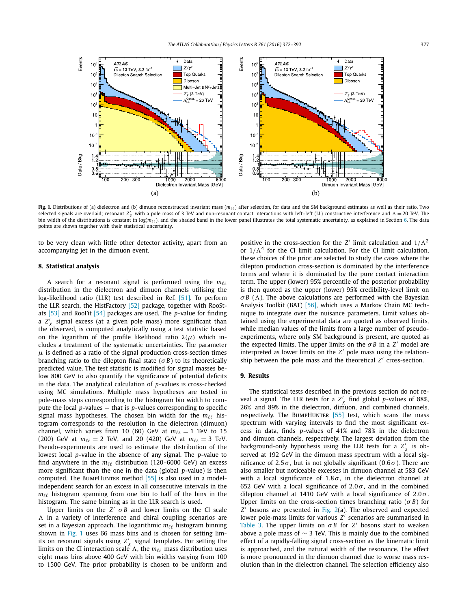<span id="page-5-0"></span>

**Fig. 1.** Distributions of (a) dielectron and (b) dimuon reconstructed invariant mass  $(m_{\ell\ell})$  after selection, for data and the SM background estimates as well as their ratio. Two selected signals are overlaid; resonant  $Z'_\chi$  with a pole mass of 3 TeV and non-resonant contact interactions with left–left (LL) constructive interference and  $\Lambda=$  20 TeV. The bin width of the distributions is constant in  $\log(m_{\ell\ell})$ , and the shaded band in the lower panel illustrates the total systematic uncertainty, as explained in Section [6.](#page-3-0) The data points are shown together with their statistical uncertainty.

to be very clean with little other detector activity, apart from an accompanying jet in the dimuon event.

# **8. Statistical analysis**

A search for a resonant signal is performed using the *m* distribution in the dielectron and dimuon channels utilising the log-likelihood ratio (LLR) test described in Ref. [\[51\].](#page-8-0) To perform the LLR search, the HistFactory [\[52\]](#page-8-0) package, together with RooStats [\[53\]](#page-8-0) and RooFit [\[54\]](#page-8-0) packages are used. The *p*-value for finding a *Z χ* signal excess (at a given pole mass) more significant than the observed, is computed analytically using a test statistic based on the logarithm of the profile likelihood ratio  $\lambda(\mu)$  which includes a treatment of the systematic uncertainties. The parameter  $\mu$  is defined as a ratio of the signal production cross-section times branching ratio to the dilepton final state  $(\sigma B)$  to its theoretically predicted value. The test statistic is modified for signal masses below 800 GeV to also quantify the significance of potential deficits in the data. The analytical calculation of *p*-values is cross-checked using MC simulations. Multiple mass hypotheses are tested in pole-mass steps corresponding to the histogram bin width to compute the local *p*-values — that is *p*-values corresponding to specific signal mass hypotheses. The chosen bin width for the  $m_{\ell\ell}$  histogram corresponds to the resolution in the dielectron (dimuon) channel, which varies from 10 (60) GeV at  $m_{\ell\ell} = 1$  TeV to 15 (200) GeV at  $m_{\ell\ell} = 2$  TeV, and 20 (420) GeV at  $m_{\ell\ell} = 3$  TeV. Pseudo-experiments are used to estimate the distribution of the lowest local *p*-value in the absence of any signal. The *p*-value to find anywhere in the  $m_{\ell\ell}$  distribution (120–6000 GeV) an excess more significant than the one in the data (global *p*-value) is then computed. The BUMPHUNTER method  $[55]$  is also used in a modelindependent search for an excess in all consecutive intervals in the  $m_{\ell\ell}$  histogram spanning from one bin to half of the bins in the histogram. The same binning as in the LLR search is used.

Upper limits on the  $Z'$   $\sigma$ *B* and lower limits on the CI scale  in a variety of interference and chiral coupling scenarios are set in a Bayesian approach. The logarithmic  $m_{\ell\ell}$  histogram binning shown in Fig. 1 uses 66 mass bins and is chosen for setting limits on resonant signals using *Z χ* signal templates. For setting the limits on the CI interaction scale  $\Lambda$ , the  $m_{\ell\ell}$  mass distribution uses eight mass bins above 400 GeV with bin widths varying from 100 to 1500 GeV. The prior probability is chosen to be uniform and positive in the cross-section for the *Z'* limit calculation and  $1/\Lambda^2$ or  $1/\Lambda^4$  for the CI limit calculation. For the CI limit calculation, these choices of the prior are selected to study the cases where the dilepton production cross-section is dominated by the interference terms and where it is dominated by the pure contact interaction term. The upper (lower) 95% percentile of the posterior probability is then quoted as the upper (lower) 95% credibility-level limit on  $\sigma$ *B* ( $\Lambda$ ). The above calculations are performed with the Bayesian Analysis Toolkit (BAT) [\[56\],](#page-8-0) which uses a Markov Chain MC technique to integrate over the nuisance parameters. Limit values obtained using the experimental data are quoted as observed limits, while median values of the limits from a large number of pseudoexperiments, where only SM background is present, are quoted as the expected limits. The upper limits on the  $\sigma B$  in a  $Z'$  model are interpreted as lower limits on the  $Z'$  pole mass using the relationship between the pole mass and the theoretical *Z'* cross-section.

# **9. Results**

The statistical tests described in the previous section do not reveal a signal. The LLR tests for a *Z χ* find global *p*-values of 88%, 26% and 89% in the dielectron, dimuon, and combined channels, respectively. The BUMPHUNTER  $[55]$  test, which scans the mass spectrum with varying intervals to find the most significant excess in data, finds *p*-values of 41% and 78% in the dielectron and dimuon channels, respectively. The largest deviation from the background-only hypothesis using the LLR tests for a *Z χ* is observed at 192 GeV in the dimuon mass spectrum with a local significance of 2.5 $\sigma$ , but is not globally significant (0.6 $\sigma$ ). There are also smaller but noticeable excesses in dimuon channel at 583 GeV with a local significance of  $1.8\sigma$ , in the dielectron channel at 652 GeV with a local significance of  $2.0\sigma$ , and in the combined dilepton channel at 1410 GeV with a local significance of 2*.*0 *σ* . Upper limits on the cross-section times branching ratio ( $\sigma$ B) for  $Z'$  bosons are presented in Fig.  $2(a)$ . The observed and expected lower pole-mass limits for various Z' scenarios are summarised in [Table 3.](#page-6-0) The upper limits on  $\sigma$  *B* for *Z'* bosons start to weaken above a pole mass of  $\sim$  3 TeV. This is mainly due to the combined effect of a rapidly-falling signal cross-section as the kinematic limit is approached, and the natural width of the resonance. The effect is more pronounced in the dimuon channel due to worse mass resolution than in the dielectron channel. The selection efficiency also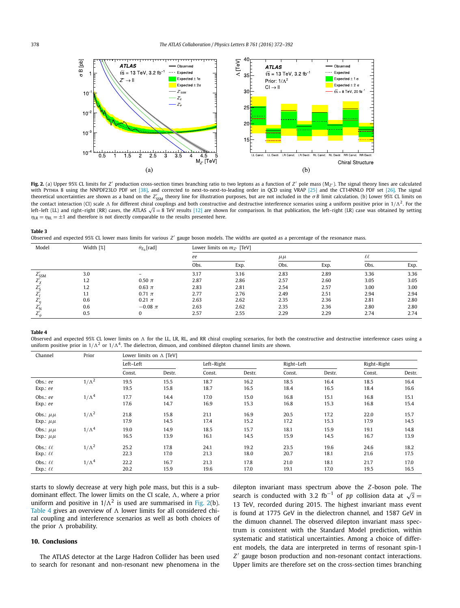<span id="page-6-0"></span>

Fig. 2. (a) Upper 95% CL limits for *Z'* production cross-section times branching ratio to two leptons as a function of *Z'* pole mass (M<sub>Z</sub><sup>,</sup>). The signal theory lines are calculated with PYTHIA 8 using the NNPDF23LO PDF set [\[38\],](#page-7-0) and corrected to next-to-next-to-leading order in QCD using VRAP [\[25\]](#page-7-0) and the CT14NNLO PDF set [\[26\].](#page-7-0) The signal theoretical uncertainties are shown as a band on the  $Z'_{\rm SSM}$  theory line for illustration purposes, but are not included in the  $\sigma$ *B* limit calculation. (b) Lower 95% CL limits on the contact interaction (CI) scale  $\Lambda$  for different chiral couplings and both constructive and destructive interference scenarios using a uniform positive prior in  $1/\Lambda^2$ . For the left–left (LL) and right–right (RR) cases, the ATLAS <sup>√</sup>*<sup>s</sup>* <sup>=</sup> 8 TeV results [\[12\]](#page-7-0) are shown for comparison. In that publication, the left–right (LR) case was obtained by setting  $\eta_{LR} = \eta_{RL} = \pm 1$  and therefore is not directly comparable to the results presented here.

#### **Table 3**

Observed and expected 95% CL lower mass limits for various Z' gauge boson models. The widths are quoted as a percentage of the resonance mass.

| Model                     | Width [%] | $\theta_{E_6}$ [rad] | Lower limits on $m_{Z'}$ [TeV] |      |          |      |      |      |  |
|---------------------------|-----------|----------------------|--------------------------------|------|----------|------|------|------|--|
|                           |           |                      | ee                             |      | $\mu\mu$ |      | l.l. |      |  |
|                           |           |                      | Obs.                           | Exp. | Obs.     | Exp. | Obs. | Exp. |  |
| $\mathbf{z}_{\text{SSM}}$ | 3.0       |                      | 3.17                           | 3.16 | 2.83     | 2.89 | 3.36 | 3.36 |  |
|                           | 1.2       | $0.50 \pi$           | 2.87                           | 2.86 | 2.57     | 2.60 | 3.05 | 3.05 |  |
|                           | 1.2       | $0.63 \pi$           | 2.83                           | 2.81 | 2.54     | 2.57 | 3.00 | 3.00 |  |
|                           | 1.1       | $0.71 \pi$           | 2.77                           | 2.76 | 2.49     | 2.51 | 2.94 | 2.94 |  |
|                           | 0.6       | $0.21 \pi$           | 2.63                           | 2.62 | 2.35     | 2.36 | 2.81 | 2.80 |  |
|                           | 0.6       | $-0.08$ $\pi$        | 2.63                           | 2.62 | 2.35     | 2.36 | 2.80 | 2.80 |  |
| $L_{,h}$                  | 0.5       | 0                    | 2.57                           | 2.55 | 2.29     | 2.29 | 2.74 | 2.74 |  |

#### **Table 4**

Observed and expected 95% CL lower limits on  $\Lambda$  for the LL, LR, RL, and RR chiral coupling scenarios, for both the constructive and destructive interference cases using a uniform positive prior in  $1/\Lambda^2$  or  $1/\Lambda^4$ . The dielectron, dimuon, and combined dilepton channel limits are shown.

| Channel          | Prior         | Lower limits on $\Lambda$ [TeV] |        |            |        |            |        |             |        |
|------------------|---------------|---------------------------------|--------|------------|--------|------------|--------|-------------|--------|
|                  |               | Left-Left                       |        | Left-Right |        | Right-Left |        | Right-Right |        |
|                  |               | Const.                          | Destr. | Const.     | Destr. | Const.     | Destr. | Const.      | Destr. |
| Obs.: ee         | $1/\Lambda^2$ | 19.5                            | 15.5   | 18.7       | 16.2   | 18.5       | 16.4   | 18.5        | 16.4   |
| Exp.: ee         |               | 19.5                            | 15.8   | 18.7       | 16.5   | 18.4       | 16.5   | 18.4        | 16.6   |
| Obs.: ee         | $1/\Lambda^4$ | 17.7                            | 14.4   | 17.0       | 15.0   | 16.8       | 15.1   | 16.8        | 15.1   |
| Exp.: ee         |               | 17.6                            | 14.7   | 16.9       | 15.3   | 16.8       | 15.3   | 16.8        | 15.4   |
| Obs.: $\mu\mu$   | $1/\Lambda^2$ | 21.8                            | 15.8   | 21.1       | 16.9   | 20.5       | 17.2   | 22.0        | 15.7   |
| Exp.: $\mu\mu$   |               | 17.9                            | 14.5   | 17.4       | 15.2   | 17.2       | 15.3   | 17.9        | 14.5   |
| Obs.: $\mu\mu$   | $1/\Lambda^4$ | 19.0                            | 14.9   | 18.5       | 15.7   | 18.1       | 15.9   | 19.1        | 14.8   |
| Exp.: $\mu\mu$   |               | 16.5                            | 13.9   | 16.1       | 14.5   | 15.9       | 14.5   | 16.7        | 13.9   |
| Obs.: $\ell\ell$ | $1/\Lambda^2$ | 25.2                            | 17.8   | 24.1       | 19.2   | 23.5       | 19.6   | 24.6        | 18.2   |
| Exp.: $\ell\ell$ |               | 22.3                            | 17.0   | 21.3       | 18.0   | 20.7       | 18.1   | 21.6        | 17.5   |
| Obs.: $\ell\ell$ | $1/\Lambda^4$ | 22.2                            | 16.7   | 21.3       | 17.8   | 21.0       | 18.1   | 21.7        | 17.0   |
| Exp.: $\ell\ell$ |               | 20.2                            | 15.9   | 19.6       | 17.0   | 19.1       | 17.0   | 19.5        | 16.5   |

starts to slowly decrease at very high pole mass, but this is a subdominant effect. The lower limits on the CI scale,  $\Lambda$ , where a prior uniform and positive in  $1/\Lambda^2$  is used are summarised in Fig. 2(b). Table 4 gives an overview of  $\Lambda$  lower limits for all considered chiral coupling and interference scenarios as well as both choices of the prior  $\Lambda$  probability.

# **10. Conclusions**

The ATLAS detector at the Large Hadron Collider has been used to search for resonant and non-resonant new phenomena in the dilepton invariant mass spectrum above the *Z*-boson pole. The search is conducted with 3.2 fb<sup>-1</sup> of *pp* collision data at  $\sqrt{s}$  = 13 TeV, recorded during 2015. The highest invariant mass event is found at 1775 GeV in the dielectron channel, and 1587 GeV in the dimuon channel. The observed dilepton invariant mass spectrum is consistent with the Standard Model prediction, within systematic and statistical uncertainties. Among a choice of different models, the data are interpreted in terms of resonant spin-1 *Z* gauge boson production and non-resonant contact interactions. Upper limits are therefore set on the cross-section times branching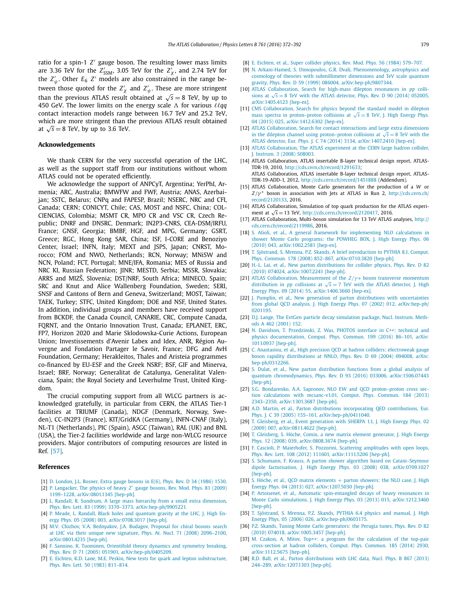<span id="page-7-0"></span>ratio for a spin-1 *Z'* gauge boson. The resulting lower mass limits are 3.36 TeV for the  $Z'_{\mathsf{SSM}}$ , 3.05 TeV for the  $Z'_\chi$ , and 2.74 TeV for the  $Z^\prime_\psi.$  Other  $E_6$   $Z^\prime$  models are also constrained in the range between those quoted for the  $Z^{\prime}_{\chi}$  and  $Z^{\prime}_{\psi}.$  These are more stringent than the previous ATLAS result obtained at  $\sqrt{s} = 8$  TeV, by up to 450 GeV. The lower limits on the energy scale  $\Lambda$  for various  $\ell \ell qa$ contact interaction models range between 16.7 TeV and 25.2 TeV, which are more stringent than the previous ATLAS result obtained at  $\sqrt{s} = 8$  TeV, by up to 3.6 TeV.

## **Acknowledgements**

We thank CERN for the very successful operation of the LHC, as well as the support staff from our institutions without whom ATLAS could not be operated efficiently.

We acknowledge the support of ANPCyT, Argentina; YerPhI, Armenia; ARC, Australia; BMWFW and FWF, Austria; ANAS, Azerbaijan; SSTC, Belarus; CNPq and FAPESP, Brazil; NSERC, NRC and CFI, Canada; CERN; CONICYT, Chile; CAS, MOST and NSFC, China; COL-CIENCIAS, Colombia; MSMT CR, MPO CR and VSC CR, Czech Republic; DNRF and DNSRC, Denmark; IN2P3-CNRS, CEA-DSM/IRFU, France; GNSF, Georgia; BMBF, HGF, and MPG, Germany; GSRT, Greece; RGC, Hong Kong SAR, China; ISF, I-CORE and Benoziyo Center, Israel; INFN, Italy; MEXT and JSPS, Japan; CNRST, Morocco; FOM and NWO, Netherlands; RCN, Norway; MNiSW and NCN, Poland; FCT, Portugal; MNE/IFA, Romania; MES of Russia and NRC KI, Russian Federation; JINR; MESTD, Serbia; MSSR, Slovakia; ARRS and MIZŠ, Slovenia; DST/NRF, South Africa; MINECO, Spain; SRC and Knut and Alice Wallenberg Foundation, Sweden; SERI, SNSF and Cantons of Bern and Geneva, Switzerland; MOST, Taiwan; TAEK, Turkey; STFC, United Kingdom; DOE and NSF, United States. In addition, individual groups and members have received support from BCKDF, the Canada Council, CANARIE, CRC, Compute Canada, FQRNT, and the Ontario Innovation Trust, Canada; EPLANET, ERC, FP7, Horizon 2020 and Marie Sklodowska-Curie Actions, European Union; Investissements d'Avenir Labex and Idex, ANR, Région Auvergne and Fondation Partager le Savoir, France; DFG and AvH Foundation, Germany; Herakleitos, Thales and Aristeia programmes co-financed by EU-ESF and the Greek NSRF; BSF, GIF and Minerva, Israel; BRF, Norway; Generalitat de Catalunya, Generalitat Valenciana, Spain; the Royal Society and Leverhulme Trust, United Kingdom.

The crucial computing support from all WLCG partners is acknowledged gratefully, in particular from CERN, the ATLAS Tier-1 facilities at TRIUMF (Canada), NDGF (Denmark, Norway, Sweden), CC-IN2P3 (France), KIT/GridKA (Germany), INFN-CNAF (Italy), NL-T1 (Netherlands), PIC (Spain), ASGC (Taiwan), RAL (UK) and BNL (USA), the Tier-2 facilities worldwide and large non-WLCG resource providers. Major contributors of computing resources are listed in Ref. [\[57\].](#page-8-0)

### **References**

- [1] D. [London,](http://refhub.elsevier.com/S0370-2693(16)30475-0/bib4C6F6E646F6E3A31393836646Bs1) J.L. Rosner, Extra gauge bosons in E(6), Phys. Rev. D 34 (1986) 1530.
- [2] P. [Langacker,](http://refhub.elsevier.com/S0370-2693(16)30475-0/bib4C616E6761636B65723A323030387976s1) The physics of heavy *Z'* gauge bosons, Rev. Mod. Phys. 81 (2009) 1199–1228, [arXiv:0801.1345](http://refhub.elsevier.com/S0370-2693(16)30475-0/bib4C616E6761636B65723A323030387976s1) [hep-ph].
- [3] L. Randall, R. Sundrum, A large mass hierarchy from a small extra [dimension,](http://refhub.elsevier.com/S0370-2693(16)30475-0/bib52616E64616C6C3A313939396565s1) Phys. Rev. Lett. 83 (1999) 3370–3373, [arXiv:hep-ph/9905221.](http://refhub.elsevier.com/S0370-2693(16)30475-0/bib52616E64616C6C3A313939396565s1)
- [4] P. Meade, L. Randall, Black holes and [quantum](http://refhub.elsevier.com/S0370-2693(16)30475-0/bib4D656164653A32303037737As1) gravity at the LHC, J. High Energy Phys. 05 (2008) 003, [arXiv:0708.3017](http://refhub.elsevier.com/S0370-2693(16)30475-0/bib4D656164653A32303037737As1) [hep-ph].
- [5] M.V. Chizhov, V.A. [Bednyakov,](http://refhub.elsevier.com/S0370-2693(16)30475-0/bib4368697A686F763A323030387470s1) J.A. Budagov, Proposal for chiral bosons search at LHC via their unique new signature, Phys. At. Nucl. 71 (2008) [2096–2100,](http://refhub.elsevier.com/S0370-2693(16)30475-0/bib4368697A686F763A323030387470s1) [arXiv:0801.4235](http://refhub.elsevier.com/S0370-2693(16)30475-0/bib4368697A686F763A323030387470s1) [hep-ph].
- [6] F. Sannino, K. Tuominen, [Orientifold](http://refhub.elsevier.com/S0370-2693(16)30475-0/bib53616E6E696E6F3A323030347170s1) theory dynamics and symmetry breaking, Phys. Rev. D 71 (2005) 051901, [arXiv:hep-ph/0405209.](http://refhub.elsevier.com/S0370-2693(16)30475-0/bib53616E6E696E6F3A323030347170s1)
- [7] E. Eichten, K.D. Lane, M.E. Peskin, New tests for quark and lepton [substructure,](http://refhub.elsevier.com/S0370-2693(16)30475-0/bib4569636874656E3A313938336877s1) Phys. Rev. Lett. 50 (1983) [811–814.](http://refhub.elsevier.com/S0370-2693(16)30475-0/bib4569636874656E3A313938336877s1)
- [8] E. Eichten, et al., Super collider physics, Rev. Mod. Phys. 56 (1984) [579–707.](http://refhub.elsevier.com/S0370-2693(16)30475-0/bib4569636874656E3A313938346575s1)
- [9] N. Arkani-Hamed, S. Dimopoulos, G.R. Dvali, [Phenomenology,](http://refhub.elsevier.com/S0370-2693(16)30475-0/bib41726B616E6948616D65643A313939386E6Es1) astrophysics and cosmology of theories with [submillimeter](http://refhub.elsevier.com/S0370-2693(16)30475-0/bib41726B616E6948616D65643A313939386E6Es1) dimensions and TeV scale quantum gravity, Phys. Rev. D 59 (1999) 086004, [arXiv:hep-ph/9807344.](http://refhub.elsevier.com/S0370-2693(16)30475-0/bib41726B616E6948616D65643A313939386E6Es1)
- [10] ATLAS [Collaboration,](http://refhub.elsevier.com/S0370-2693(16)30475-0/bib4161643A32303134636B61s1) Search for high-mass dilepton resonances in *pp* collisions at  $\sqrt{s}$  = 8 [TeV with](http://refhub.elsevier.com/S0370-2693(16)30475-0/bib4161643A32303134636B61s1) the ATLAS detector, Phys. Rev. D 90 (2014) 052005, [arXiv:1405.4123](http://refhub.elsevier.com/S0370-2693(16)30475-0/bib4161643A32303134636B61s1) [hep-ex].
- [11] CMS [Collaboration,](http://refhub.elsevier.com/S0370-2693(16)30475-0/bib4B6861636861747279616E3A32303134666261s1) Search for physics beyond the standard model in dilepton mass spectra in [proton–proton](http://refhub.elsevier.com/S0370-2693(16)30475-0/bib4B6861636861747279616E3A32303134666261s1) collisions at  $\sqrt{s} = 8$  TeV, J. High Energy Phys. 04 (2015) 025, [arXiv:1412.6302](http://refhub.elsevier.com/S0370-2693(16)30475-0/bib4B6861636861747279616E3A32303134666261s1) [hep-ex].
- [12] ATLAS [Collaboration,](http://refhub.elsevier.com/S0370-2693(16)30475-0/bib4161643A32303134776361s1) Search for contact interactions and large extra dimensions in the dilepton channel using [proton–proton](http://refhub.elsevier.com/S0370-2693(16)30475-0/bib4161643A32303134776361s1) collisions at  $\sqrt{s} = 8$  TeV with the ATLAS detector, Eur. Phys. J. C 74 (2014) 3134, [arXiv:1407.2410](http://refhub.elsevier.com/S0370-2693(16)30475-0/bib4161643A32303134776361s1) [hep-ex].
- [13] ATLAS [Collaboration,](http://refhub.elsevier.com/S0370-2693(16)30475-0/bib504552462D323030372D3031s1) The ATLAS experiment at the CERN large hadron collider, J. [Instrum.](http://refhub.elsevier.com/S0370-2693(16)30475-0/bib504552462D323030372D3031s1) 3 (2008) S08003.
- [14] ATLAS Collaboration, ATLAS insertable B-layer technical design report, ATLAS-TDR-19, 2010, <http://cds.cern.ch/record/1291633>; ATLAS Collaboration, ATLAS insertable B-layer technical design report, ATLAS-TDR-19-ADD-1, 2012, <http://cds.cern.ch/record/1451888> (Addendum).
- [15] ATLAS Collaboration, Monte Carlo generators for the production of a *W* or *Z/γ* <sup>∗</sup> boson in association with Jets at ATLAS in Run 2, [http://cds.cern.ch/](http://cds.cern.ch/record/2120133) [record/2120133](http://cds.cern.ch/record/2120133), 2016.
- [16] ATLAS Collaboration, Simulation of top quark production for the ATLAS experiment at  $\sqrt{s}$  = 13 TeV, [http://cds.cern.ch/record/2120417,](http://cds.cern.ch/record/2120417) 2016.
- [17] ATLAS Collaboration, Multi-boson simulation for 13 TeV ATLAS analyses, [http://](http://cds.cern.ch/record/2119986) [cds.cern.ch/record/2119986,](http://cds.cern.ch/record/2119986) 2016.
- [18] S. Alioli, et al., A general framework for [implementing](http://refhub.elsevier.com/S0370-2693(16)30475-0/bib416C696F6C693A323031307864s1) NLO calculations in shower Monte Carlo [programs:](http://refhub.elsevier.com/S0370-2693(16)30475-0/bib416C696F6C693A323031307864s1) the POWHEG BOX, J. High Energy Phys. 06 (2010) 043, [arXiv:1002.2581](http://refhub.elsevier.com/S0370-2693(16)30475-0/bib416C696F6C693A323031307864s1) [hep-ex].
- [19] T. Sjöstrand, S. Mrenna, P.Z. Skands, A brief [introduction](http://refhub.elsevier.com/S0370-2693(16)30475-0/bib536A6F737472616E643A323030376773s1) to PYTHIA 8.1, Comput. Phys. Commun. 178 (2008) 852–867, [arXiv:0710.3820](http://refhub.elsevier.com/S0370-2693(16)30475-0/bib536A6F737472616E643A323030376773s1) [hep-ph].
- [20] H.-L. Lai, et al., New parton [distributions](http://refhub.elsevier.com/S0370-2693(16)30475-0/bib4C61693A323031307676s1) for collider physics, Phys. Rev. D 82 (2010) 074024, [arXiv:1007.2241](http://refhub.elsevier.com/S0370-2693(16)30475-0/bib4C61693A323031307676s1) [hep-ph].
- [21] ATLAS [Collaboration,](http://refhub.elsevier.com/S0370-2693(16)30475-0/bib415A4E4C4F3A32303134s1) Measurement of the *<sup>Z</sup>/γ* ∗ boson transverse momentum [distribution](http://refhub.elsevier.com/S0370-2693(16)30475-0/bib415A4E4C4F3A32303134s1) in *pp* collisions at  $\sqrt{s} = 7$  TeV with the ATLAS detector, J. High Energy Phys. 09 (2014) 55, [arXiv:1406.3660](http://refhub.elsevier.com/S0370-2693(16)30475-0/bib415A4E4C4F3A32303134s1) [hep-ex].
- [22] J. Pumplin, et al., New generation of parton distributions with [uncertainties](http://refhub.elsevier.com/S0370-2693(16)30475-0/bib50756D706C696E3A323030327677s1) from global QCD analysis, J. High Energy Phys. 07 (2002) 012, [arXiv:hep-ph/](http://refhub.elsevier.com/S0370-2693(16)30475-0/bib50756D706C696E3A323030327677s1) [0201195.](http://refhub.elsevier.com/S0370-2693(16)30475-0/bib50756D706C696E3A323030327677s1)
- [23] D.J. Lange, The EvtGen particle decay [simulation](http://refhub.elsevier.com/S0370-2693(16)30475-0/bib45767447656Es1) package, Nucl. Instrum. Methods A 462 [\(2001\)](http://refhub.elsevier.com/S0370-2693(16)30475-0/bib45767447656Es1) 152.
- [24] N. Davidson, T. [Przedzinski,](http://refhub.elsevier.com/S0370-2693(16)30475-0/bib4461766964736F6E3A323031306577s1) Z. Was, PHOTOS interface in C++: technical and physics [documentation,](http://refhub.elsevier.com/S0370-2693(16)30475-0/bib4461766964736F6E3A323031306577s1) Comput. Phys. Commun. 199 (2016) 86–101, arXiv: [1011.0937](http://refhub.elsevier.com/S0370-2693(16)30475-0/bib4461766964736F6E3A323031306577s1) [hep-ph].
- [25] C. Anastasiou, et al., High precision QCD at hadron colliders: [electroweak](http://refhub.elsevier.com/S0370-2693(16)30475-0/bib416E6173746173696F753A323030336473s1) gauge boson rapidity [distributions](http://refhub.elsevier.com/S0370-2693(16)30475-0/bib416E6173746173696F753A323030336473s1) at NNLO, Phys. Rev. D 69 (2004) 094008, arXiv: [hep-ph/0312266.](http://refhub.elsevier.com/S0370-2693(16)30475-0/bib416E6173746173696F753A323030336473s1)
- [26] S. Dulat, et al., New parton [distribution](http://refhub.elsevier.com/S0370-2693(16)30475-0/bib44756C61743A323031356D6361s1) functions from a global analysis of quantum [chromodynamics,](http://refhub.elsevier.com/S0370-2693(16)30475-0/bib44756C61743A323031356D6361s1) Phys. Rev. D 93 (2016) 033006, arXiv:1506.07443 [\[hep-ph\].](http://refhub.elsevier.com/S0370-2693(16)30475-0/bib44756C61743A323031356D6361s1)
- [27] S.G. Bondarenko, A.A. Sapronov, NLO EW and QCD [proton–proton](http://refhub.elsevier.com/S0370-2693(16)30475-0/bib426F6E646172656E6B6F3A323031336E75s1) cross section calculations with [mcsanc-v1.01,](http://refhub.elsevier.com/S0370-2693(16)30475-0/bib426F6E646172656E6B6F3A323031336E75s1) Comput. Phys. Commun. 184 (2013) 2343–2350, [arXiv:1301.3687](http://refhub.elsevier.com/S0370-2693(16)30475-0/bib426F6E646172656E6B6F3A323031336E75s1) [hep-ph].
- [28] A.D. Martin, et al., Parton distributions incorporating QED [contributions,](http://refhub.elsevier.com/S0370-2693(16)30475-0/bib4D617274696E3A323030346468s1) Eur. Phys. J. C 39 (2005) 155–161, [arXiv:hep-ph/0411040.](http://refhub.elsevier.com/S0370-2693(16)30475-0/bib4D617274696E3A323030346468s1)
- [29] T. Gleisberg, et al., Event [generation](http://refhub.elsevier.com/S0370-2693(16)30475-0/bib476C656973626572673A323030387461s1) with SHERPA 1.1, J. High Energy Phys. 02 (2009) 007, [arXiv:0811.4622](http://refhub.elsevier.com/S0370-2693(16)30475-0/bib476C656973626572673A323030387461s1) [hep-ph].
- [30] T. Gleisberg, S. Höche, Comix, a new matrix element [generator,](http://refhub.elsevier.com/S0370-2693(16)30475-0/bib476C656973626572673A323030386676s1) J. High Energy Phys. 12 (2008) 039, [arXiv:0808.3674](http://refhub.elsevier.com/S0370-2693(16)30475-0/bib476C656973626572673A323030386676s1) [hep-ph].
- [31] F. Cascioli, P. [Maierhofer,](http://refhub.elsevier.com/S0370-2693(16)30475-0/bib43617363696F6C693A323031317661s1) S. Pozzorini, Scattering amplitudes with open loops, Phys. Rev. Lett. 108 (2012) 111601, [arXiv:1111.5206](http://refhub.elsevier.com/S0370-2693(16)30475-0/bib43617363696F6C693A323031317661s1) [hep-ph].
- [32] S. Schumann, F. Krauss, A parton shower algorithm based on [Catani–Seymour](http://refhub.elsevier.com/S0370-2693(16)30475-0/bib536368756D616E6E3A323030376D67s1) dipole factorisation, J. High Energy Phys. 03 (2008) 038, [arXiv:0709.1027](http://refhub.elsevier.com/S0370-2693(16)30475-0/bib536368756D616E6E3A323030376D67s1) [\[hep-ph\].](http://refhub.elsevier.com/S0370-2693(16)30475-0/bib536368756D616E6E3A323030376D67s1)
- [33] S. Höche, et al., QCD matrix [elements](http://refhub.elsevier.com/S0370-2693(16)30475-0/bib486F656368653A323031327966s1) + parton showers: the NLO case, J. High Energy Phys. 04 (2013) 027, [arXiv:1207.5030](http://refhub.elsevier.com/S0370-2693(16)30475-0/bib486F656368653A323031327966s1) [hep-ph].
- [34] P. Artoisenet, et al., Automatic [spin-entangled](http://refhub.elsevier.com/S0370-2693(16)30475-0/bib4172746F6973656E65743A323031327374s1) decays of heavy resonances in Monte Carlo simulations, J. High Energy Phys. 03 (2013) 015, [arXiv:1212.3460](http://refhub.elsevier.com/S0370-2693(16)30475-0/bib4172746F6973656E65743A323031327374s1) [\[hep-ph\].](http://refhub.elsevier.com/S0370-2693(16)30475-0/bib4172746F6973656E65743A323031327374s1)
- [35] T. [Sjöstrand,](http://refhub.elsevier.com/S0370-2693(16)30475-0/bib536A6F737472616E643A323030367A61s1) S. Mrenna, P.Z. Skands, PYTHIA 6.4 physics and manual, J. High Energy Phys. 05 (2006) 026, [arXiv:hep-ph/0603175.](http://refhub.elsevier.com/S0370-2693(16)30475-0/bib536A6F737472616E643A323030367A61s1)
- [36] P.Z. Skands, Tuning Monte Carlo [generators:](http://refhub.elsevier.com/S0370-2693(16)30475-0/bib536B616E64733A32303130616Bs1) the Perugia tunes, Phys. Rev. D 82 (2010) 074018, [arXiv:1005.3457](http://refhub.elsevier.com/S0370-2693(16)30475-0/bib536B616E64733A32303130616Bs1) [hep-ph].
- [37] M. Czakon, A. Mitov, Top++: a program for the [calculation](http://refhub.elsevier.com/S0370-2693(16)30475-0/bib437A616B6F6E3A323031317878s1) of the top-pair [cross-section](http://refhub.elsevier.com/S0370-2693(16)30475-0/bib437A616B6F6E3A323031317878s1) at hadron colliders, Comput. Phys. Commun. 185 (2014) 2930, [arXiv:1112.5675](http://refhub.elsevier.com/S0370-2693(16)30475-0/bib437A616B6F6E3A323031317878s1) [hep-ph].
- [38] R.D. Ball, et al., Parton [distributions](http://refhub.elsevier.com/S0370-2693(16)30475-0/bib42616C6C3A323031326378s1) with LHC data, Nucl. Phys. B 867 (2013) 244–289, [arXiv:1207.1303](http://refhub.elsevier.com/S0370-2693(16)30475-0/bib42616C6C3A323031326378s1) [hep-ph].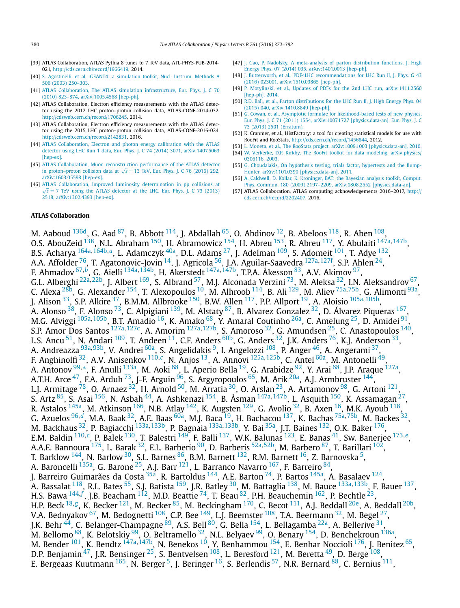- <span id="page-8-0"></span>[39] ATLAS Collaboration, ATLAS Pythia 8 tunes to 7 TeV data, ATL-PHYS-PUB-2014- 021, <http://cds.cern.ch/record/1966419>, 2014.
- [40] S. [Agostinelli,](http://refhub.elsevier.com/S0370-2693(16)30475-0/bib41676F7374696E656C6C693A323030326868s1) et al., GEANT4: a simulation toolkit, Nucl. Instrum. Methods A 506 (2003) [250–303.](http://refhub.elsevier.com/S0370-2693(16)30475-0/bib41676F7374696E656C6C693A323030326868s1)
- [41] ATLAS Collaboration, The ATLAS simulation [infrastructure,](http://refhub.elsevier.com/S0370-2693(16)30475-0/bib4161643A323031306168s1) Eur. Phys. J. C 70 (2010) 823–874, [arXiv:1005.4568](http://refhub.elsevier.com/S0370-2693(16)30475-0/bib4161643A323031306168s1) [hep-ph].
- [42] ATLAS Collaboration, Electron efficiency measurements with the ATLAS detector using the 2012 LHC proton–proton collision data, ATLAS-CONF-2014-032, <http://cdsweb.cern.ch/record/1706245>, 2014.
- [43] ATLAS Collaboration, Electron efficiency measurements with the ATLAS detector using the 2015 LHC proton–proton collision data, ATLAS-CONF-2016-024, <http://cdsweb.cern.ch/record/2142831>, 2016.
- [44] ATLAS [Collaboration,](http://refhub.elsevier.com/S0370-2693(16)30475-0/bib4161643A323031346E696Ds1) Electron and photon energy calibration with the ATLAS detector using LHC Run 1 data, Eur. Phys. J. C 74 (2014) 3071, [arXiv:1407.5063](http://refhub.elsevier.com/S0370-2693(16)30475-0/bib4161643A323031346E696Ds1) [\[hep-ex\].](http://refhub.elsevier.com/S0370-2693(16)30475-0/bib4161643A323031346E696Ds1)
- [45] ATLAS Collaboration, Muon [reconstruction](http://refhub.elsevier.com/S0370-2693(16)30475-0/bib4D756F6E50657266s1) performance of the ATLAS detector in [proton–proton](http://refhub.elsevier.com/S0370-2693(16)30475-0/bib4D756F6E50657266s1) collision data at  $\sqrt{s}$  = 13 TeV, Eur. Phys. J. C 76 (2016) 292, [arXiv:1603.05598](http://refhub.elsevier.com/S0370-2693(16)30475-0/bib4D756F6E50657266s1) [hep-ex].
- [46] [AT](http://refhub.elsevier.com/S0370-2693(16)30475-0/bib4161643A32303133756370s1)LAS Collaboration, Improved luminosity determination in pp collisions at <sup>√</sup>*<sup>s</sup>* <sup>=</sup> <sup>7</sup> [TeV](http://refhub.elsevier.com/S0370-2693(16)30475-0/bib4161643A32303133756370s1) [using](http://refhub.elsevier.com/S0370-2693(16)30475-0/bib4161643A32303133756370s1) the ATLAS detector at the LHC, Eur. Phys. J. <sup>C</sup> <sup>73</sup> (2013) 2518, [arXiv:1302.4393](http://refhub.elsevier.com/S0370-2693(16)30475-0/bib4161643A32303133756370s1) [hep-ex].
- [47] J. Gao, P. Nadolsky, A. [meta-analysis](http://refhub.elsevier.com/S0370-2693(16)30475-0/bib47616F3A32303133626961s1) of parton distribution functions, J. High Energy Phys. 07 (2014) 035, [arXiv:1401.0013](http://refhub.elsevier.com/S0370-2693(16)30475-0/bib47616F3A32303133626961s1) [hep-ph].
- [48] J. Butterworth, et al., PDF4LHC [recommendations](http://refhub.elsevier.com/S0370-2693(16)30475-0/bib427574746572776F7274683A323031356F7561s1) for LHC Run II, J. Phys. G 43 (2016) 023001, [arXiv:1510.03865](http://refhub.elsevier.com/S0370-2693(16)30475-0/bib427574746572776F7274683A323031356F7561s1) [hep-ph].
- [49] P. Motylinski, et al., Updates of PDFs for the 2nd LHC run, [arXiv:1411.2560](http://refhub.elsevier.com/S0370-2693(16)30475-0/bib4D6F74796C696E736B693A32303134737961s1) [\[hep-ph\],](http://refhub.elsevier.com/S0370-2693(16)30475-0/bib4D6F74796C696E736B693A32303134737961s1) 2014.
- [50] R.D. Ball, et al., Parton [distributions](http://refhub.elsevier.com/S0370-2693(16)30475-0/bib42616C6C3A32303134757761s1) for the LHC Run II, J. High Energy Phys. 04 (2015) 040, [arXiv:1410.8849](http://refhub.elsevier.com/S0370-2693(16)30475-0/bib42616C6C3A32303134757761s1) [hep-ph].
- [51] G. Cowan, et al., Asymptotic formulae for [likelihood-based](http://refhub.elsevier.com/S0370-2693(16)30475-0/bib737461745F6173796D70746F746963s1) tests of new physics, Eur. Phys. J. C 71 (2011) 1554, arXiv:1007.1727 [\[physics.data-an\],](http://refhub.elsevier.com/S0370-2693(16)30475-0/bib737461745F6173796D70746F746963s1) Eur. Phys. J. C 73 (2013) 2501 [\(Erratum\).](http://refhub.elsevier.com/S0370-2693(16)30475-0/bib737461745F6173796D70746F746963s1)
- [52] K. Cranmer, et al., HistFactory: a tool for creating statistical models for use with RooFit and RooStats, <http://cds.cern.ch/record/1456844>, 2012.
- [53] L. Moneta, et al., The RooStats project, arXiv:1009.1003 [\[physics.data-an\],](http://refhub.elsevier.com/S0370-2693(16)30475-0/bib526F6F5374617473s1) 2010. [54] W. Verkerke, D.P. Kirkby, The RooFit toolkit for data modeling, [arXiv:physics/](http://refhub.elsevier.com/S0370-2693(16)30475-0/bib5665726B65726B653A323030336972s1)
- [0306116,](http://refhub.elsevier.com/S0370-2693(16)30475-0/bib5665726B65726B653A323030336972s1) 2003. [55] G. [Choudalakis,](http://refhub.elsevier.com/S0370-2693(16)30475-0/bib43686F7564616C616B69733A32303131716Es1) On hypothesis testing, trials factor, hypertests and the Bump-
- Hunter, arXiv:1101.0390 [\[physics.data-an\],](http://refhub.elsevier.com/S0370-2693(16)30475-0/bib43686F7564616C616B69733A32303131716Es1) 2011. [56] A. Caldwell, D. Kollar, K. [Kroninger,](http://refhub.elsevier.com/S0370-2693(16)30475-0/bib43616C6477656C6C3A323030386677s1) BAT: the Bayesian analysis toolkit, Comput. Phys. Commun. 180 (2009) 2197–2209, arXiv:0808.2552 [\[physics.data-an\].](http://refhub.elsevier.com/S0370-2693(16)30475-0/bib43616C6477656C6C3A323030386677s1)
- [57] ATLAS Collaboration, ATLAS computing acknowledgements 2016–2017, [http://](http://cds.cern.ch/record/2202407) [cds.cern.ch/record/2202407,](http://cds.cern.ch/record/2202407) 2016.

# **ATLAS Collaboration**

M. Aaboud  $^{136d}$ , G. Aad  $^{87}$ , B. Abbott  $^{114}$ , J. Abdallah  $^{65}$ , O. Abdinov  $^{12}$ , B. Abeloos  $^{118}$ , R. Aben  $^{108}$ , O.S. AbouZeid [138,](#page-18-0) N.L. Abraham [150,](#page-19-0) H. Abramowicz [154](#page-19-0), H. Abreu [153,](#page-19-0) R. Abreu [117,](#page-18-0) Y. Abulaiti [147a](#page-19-0)*,*[147b,](#page-19-0) B.S. Acharya [164a](#page-19-0)*,*[164b](#page-19-0)*,[a](#page-19-0)*, L. Adamczyk [40a,](#page-17-0) D.L. Adams [27,](#page-17-0) J. Adelman [109,](#page-18-0) S. Adomeit [101,](#page-18-0) T. Adye [132,](#page-18-0) A.A. Affolder [76](#page-18-0), T. Agatonovic-Jovin [14,](#page-17-0) J. Agricola [56,](#page-17-0) J.A. Aguilar-Saavedra [127a](#page-18-0)*,*[127f,](#page-18-0) S.P. Ahlen [24,](#page-17-0) F. Ahmadov [67](#page-17-0)*,[b](#page-19-0)*, G. Aielli [134a](#page-18-0)*,*[134b,](#page-18-0) H. Akerstedt [147a](#page-19-0)*,*[147b,](#page-19-0) T.P.A. Åkesson [83,](#page-18-0) A.V. Akimov [97,](#page-18-0) G.L. Alberghi [22a](#page-17-0)*,*[22b,](#page-17-0) J. Albert [169](#page-19-0), S. Albrand [57,](#page-17-0) M.J. Alconada Verzini [73,](#page-18-0) M. Aleksa [32,](#page-17-0) I.N. Aleksandrov [67,](#page-17-0) C. Alexa [28b,](#page-17-0) G. Alexander [154,](#page-19-0) T. Alexopoulos [10,](#page-17-0) M. Alhroob [114,](#page-18-0) B. Ali [129,](#page-18-0) M. Aliev [75a](#page-18-0)*,*[75b,](#page-18-0) G. Alimonti [93a,](#page-18-0) J. Alison [33,](#page-17-0) S.P. Alkire [37,](#page-17-0) B.M.M. Allbrooke [150,](#page-19-0) B.W. Allen [117,](#page-18-0) P.P. Allport [19,](#page-17-0) A. Aloisio [105a](#page-18-0)*,*[105b,](#page-18-0) A. Alonso <sup>38</sup>, F. Alonso <sup>73</sup>, C. Alpigiani <sup>139</sup>, M. Alstaty <sup>87</sup>, B. Alvarez Gonzalez <sup>32</sup>, D. Álvarez Piqueras <sup>167</sup>, M.G. Alviggi [105a](#page-18-0)*,*[105b,](#page-18-0) B.T. Amadio [16,](#page-17-0) K. Amako [68,](#page-17-0) Y. Amaral Coutinho [26a,](#page-17-0) C. Amelung [25,](#page-17-0) D. Amidei [91](#page-18-0), S.P. Amor Dos Santos [127a](#page-18-0)*,*[127c,](#page-18-0) A. Amorim [127a](#page-18-0)*,*[127b,](#page-18-0) S. Amoroso [32,](#page-17-0) G. Amundsen [25](#page-17-0), C. Anastopoulos [140,](#page-18-0) L.S. Ancu  $^{51}$ , N. Andari  $^{109}$ , T. Andeen  $^{11}$  $^{11}$  $^{11}$ , C.F. Anders  $^{60\text{b}}$ , G. Anders  $^{32}$ , J.K. Anders  $^{76}$ , K.J. Anderson  $^{33}$ , A. Andreazza [93a](#page-18-0)*,*[93b,](#page-18-0) V. Andrei [60a,](#page-17-0) S. Angelidakis [9,](#page-17-0) I. Angelozzi [108,](#page-18-0) P. Anger [46,](#page-17-0) A. Angerami [37](#page-17-0), F. Anghinolfi [32,](#page-17-0) A.V. Anisenkov [110](#page-18-0)*,[c](#page-19-0)*, N. Anjos [13,](#page-17-0) A. Annovi [125a](#page-18-0)*,*[125b,](#page-18-0) C. Antel [60a,](#page-17-0) M. Antonelli [49,](#page-17-0) A. Antonov [99](#page-18-0)*,*[∗](#page-20-0), F. Anulli [133a,](#page-18-0) M. Aoki [68,](#page-17-0) L. Aperio Bella [19,](#page-17-0) G. Arabidze [92,](#page-18-0) Y. Arai [68](#page-17-0), J.P. Araque [127a,](#page-18-0) A.T.H. Arce <sup>47</sup>, F.A. Arduh <sup>73</sup>, J-F. Arguin <sup>96</sup>, S. Argyropoulos <sup>65</sup>, M. Arik <sup>20a</sup>, A.J. Armbruster <sup>144</sup>, L.J. Armitage  $^{78}$ , O. Arnaez  $^{32}$ , H. Arnold  $^{50}$ , M. Arratia  $^{30}$ , O. Arslan  $^{23}$ , A. Artamonov  $^{98}$ , G. Artoni  $^{121}$ , S. Artz [85,](#page-18-0) S. Asai [156,](#page-19-0) N. Asbah [44,](#page-17-0) A. Ashkenazi [154,](#page-19-0) B. Åsman [147a](#page-19-0)*,*[147b,](#page-19-0) L. Asquith [150,](#page-19-0) K. Assamagan [27,](#page-17-0) R. Astalos  $^{145$ a, M. Atkinson  $^{166}$  $^{166}$  $^{166}$ , N.B. Atlay  $^{142}$ , K. Augsten  $^{129}$ , G. Avolio  $^{32}$ , B. Axen  $^{16}$ , M.K. Ayoub  $^{118}$ , G. Azuelos [96](#page-18-0)*,[d](#page-19-0)*, M.A. Baak [32,](#page-17-0) A.E. Baas [60a,](#page-17-0) M.J. Baca [19,](#page-17-0) H. Bachacou [137,](#page-18-0) K. Bachas [75a](#page-18-0)*,*[75b,](#page-18-0) M. Backes [32,](#page-17-0) M. Backhaus [32,](#page-17-0) P. Bagiacchi [133a](#page-18-0)*,*[133b,](#page-18-0) P. Bagnaia [133a](#page-18-0)*,*[133b,](#page-18-0) Y. Bai [35a,](#page-17-0) J.T. Baines [132,](#page-18-0) O.K. Baker [176,](#page-19-0) E.M. Baldin [110](#page-18-0)*,[c](#page-19-0)*, P. Balek [130,](#page-18-0) T. Balestri [149,](#page-19-0) F. Balli [137,](#page-18-0) W.K. Balunas [123,](#page-18-0) E. Banas [41](#page-17-0), Sw. Banerjee [173](#page-19-0)*,[e](#page-19-0)*, A.A.E. Bannoura [175,](#page-19-0) L. Barak [32,](#page-17-0) E.L. Barberio [90,](#page-18-0) D. Barberis [52a](#page-17-0)*,*[52b](#page-17-0), M. Barbero [87,](#page-18-0) T. Barillari [102,](#page-18-0) T. Barklow <sup>144</sup>, N. Barlow <sup>30</sup>, S.L. Barnes <sup>86</sup>, B.M. Barnett <sup>132</sup>, R.M. Barnett <sup>16</sup>, Z. Barnovska <sup>5</sup>, A. Baroncelli  $^{135a}$ , G. Barone  $^{25}$  $^{25}$  $^{25}$ , A.J. Barr  $^{121}$ , L. Barranco Navarro  $^{167}$ , F. Barreiro  $^{84}$ , J. Barreiro Guimarães da Costa <sup>35a</sup>, R. Bartoldus <sup>144</sup>, A.E. Barton <sup>74</sup>, P. Bartos <sup>145a</sup>, A. Basalaev <sup>124</sup>, A. Bassalat [118,](#page-18-0) R.L. Bates [55,](#page-17-0) S.J. Batista [159,](#page-19-0) J.R. Batley [30,](#page-17-0) M. Battaglia [138,](#page-18-0) M. Bauce [133a](#page-18-0)*,*[133b,](#page-18-0) F. Bauer [137,](#page-18-0) H.S. Bawa [144](#page-19-0)*,[f](#page-19-0)* , J.B. Beacham [112,](#page-18-0) M.D. Beattie [74,](#page-18-0) T. Beau [82,](#page-18-0) P.H. Beauchemin [162,](#page-19-0) P. Bechtle [23,](#page-17-0) H.P. Beck <sup>[18](#page-17-0),[g](#page-19-0)</sup>, K. Becker <sup>121</sup>, M. Becker <sup>85</sup>, M. Beckingham <sup>170</sup>, C. Becot <sup>111</sup>, A.J. Beddall <sup>20e</sup>, A. Beddall <sup>20b</sup>, V.A. Bednyakov  $^{67}$ , M. Bedognetti  $^{108}$ , C.P. Bee  $^{149}$ , L.J. Beemster  $^{108}$ , T.A. Beermann  $^{32}$  $^{32}$  $^{32}$ , M. Begel  $^{27}$ , J.K. Behr<sup>[44](#page-17-0)</sup>, C. Belanger-Champagne <sup>89</sup>, A.S. Bell <sup>80</sup>, G. Bella <sup>154</sup>, L. Bellagamba <sup>22a</sup>, A. Bellerive <sup>31</sup>, M. Bellomo  $88$ , K. Belotskiy  $99$ , O. Beltramello  $32$ , N.L. Belyaev  $99$ , O. Benary  $154$ , D. Benchekroun  $136a$ , M. Bender [101,](#page-18-0) K. Bendtz [147a](#page-19-0)*,*[147b,](#page-19-0) N. Benekos [10,](#page-17-0) Y. Benhammou [154,](#page-19-0) E. Benhar Noccioli [176,](#page-19-0) J. Benitez [65,](#page-17-0) D.P. Benjamin  $^{47}$ , J.R. Bensinger  $^{25}$ , S. Bentvelsen  $^{108}$ , L. Beresford  $^{121}$ , M. Beretta  $^{49}$ , D. Berge  $^{108}$ , E. Bergeaas Kuutmann <sup>165</sup>, N. Berger <sup>5</sup>, J. Beringer <sup>16</sup>, S. Berlendis <sup>57</sup>, N.R. Bernard <sup>88</sup>, C. Bernius <sup>111</sup>,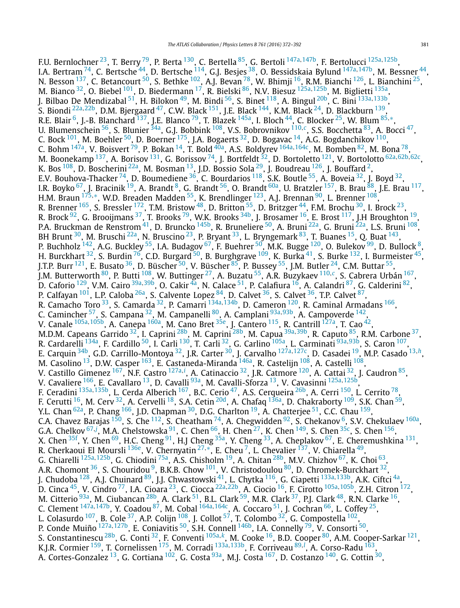F.U. Bernlochner [23,](#page-17-0) T. Berry [79,](#page-18-0) P. Berta [130,](#page-18-0) C. Bertella [85,](#page-18-0) G. Bertoli [147a](#page-19-0)*,*[147b,](#page-19-0) F. Bertolucci [125a](#page-18-0)*,*[125b,](#page-18-0) I.A. Bertram [74,](#page-18-0) C. Bertsche [44,](#page-17-0) D. Bertsche [114,](#page-18-0) G.J. Besjes [38,](#page-17-0) O. Bessidskaia Bylund [147a](#page-19-0)*,*[147b,](#page-19-0) M. Bessner [44,](#page-17-0) N. Besson <sup>137</sup>, C. Betancourt <sup>50</sup>, S. Bethke <sup>102</sup>, A.J. Bevan <sup>78</sup>, W. Bhimji <sup>16</sup>, R.M. Bianchi <sup>[126](#page-18-0)</sup>, L. Bianchini <sup>25</sup>, M. Bianco [32,](#page-17-0) O. Biebel [101,](#page-18-0) D. Biedermann [17,](#page-17-0) R. Bielski [86,](#page-18-0) N.V. Biesuz [125a](#page-18-0)*,*[125b,](#page-18-0) M. Biglietti [135a,](#page-18-0) J. Bilbao De Mendizabal [51,](#page-17-0) H. Bilokon [49,](#page-17-0) M. Bindi [56,](#page-17-0) S. Binet [118,](#page-18-0) A. Bingul [20b,](#page-17-0) C. Bini [133a](#page-18-0)*,*[133b,](#page-18-0) S. Biondi <sup>[22a](#page-17-0),22b</sup>, D.M. Bjergaard <sup>47</sup>, C.W. Black <sup>151</sup>, J.E. Black <sup>144</sup>, K.M. Black <sup>24</sup>, D. Blackburn <sup>139</sup>, R.E. Blair [6,](#page-17-0) J.-B. Blanchard [137,](#page-18-0) J.E. Blanco [79,](#page-18-0) T. Blazek [145a,](#page-19-0) I. Bloch [44,](#page-17-0) C. Blocker [25,](#page-17-0) W. Blum [85](#page-18-0)*,*[∗](#page-20-0), U. Blumenschein [56,](#page-17-0) S. Blunier [34a,](#page-17-0) G.J. Bobbink [108,](#page-18-0) V.S. Bobrovnikov [110](#page-18-0)*,[c](#page-19-0)*, S.S. Bocchetta [83,](#page-18-0) A. Bocci [47,](#page-17-0) C. Bock <sup>101</sup>, M. Boehler <sup>50</sup>, D. Boerner <sup>175</sup>, J.A. Bogaerts <sup>32</sup>, D. Bogavac <sup>14</sup>, A.G. Bogdanchikov <sup>110</sup>, C. Bohm [147a,](#page-19-0) V. Boisvert [79,](#page-18-0) P. Bokan [14,](#page-17-0) T. Bold [40a,](#page-17-0) A.S. Boldyrev [164a](#page-19-0)*,*[164c,](#page-19-0) M. Bomben [82](#page-18-0), M. Bona [78,](#page-18-0) M. Boonekamp [137,](#page-18-0) A. Borisov [131,](#page-18-0) G. Borissov [74,](#page-18-0) J. Bortfeldt [32,](#page-17-0) D. Bortoletto [121,](#page-18-0) V. Bortolotto [62a](#page-17-0)*,*[62b](#page-17-0)*,*[62c,](#page-17-0) K. Bos  $^{108}$ , D. Boscherini  $^{22}$ a, M. Bosman  $^{13}$ , J.D. Bossio Sola  $^{29}$ , J. Boudreau  $^{126}$ , J. Bouffard  $^2$ , E.V. Bouhova-Thacker  $^{74}$ , D. Boumediene  $^{36}$  $^{36}$  $^{36}$ , C. Bourdarios  $^{118}$ , S.K. Boutle  $^{55}$ , A. Boveia  $^{32}$ , J. Boyd  $^{32}$ , I.R. Boyko  $^{67}$ , J. Bracinik  $^{19}$  $^{19}$  $^{19}$ , A. Brandt  $^8$ , G. Brandt  $^{56}$  $^{56}$  $^{56}$ , O. Brandt  $^{60$ a, U. Bratzler  $^{157}$ , B. Brau  $^{88}$ , J.E. Brau  $^{117}$ , H.M. Braun [175](#page-19-0)*,*[∗](#page-20-0), W.D. Breaden Madden [55](#page-17-0), K. Brendlinger [123,](#page-18-0) A.J. Brennan [90](#page-18-0), L. Brenner [108](#page-18-0), R. Brenner  $^{165}$ , S. Bressler  $^{172}$ , T.M. Bristow  $^{48}$ , D. Britton  $^{55}$ , D. Britzger  $^{44}$ , F.M. Brochu  $^{30}$ , I. Brock  $^{23}$ , R. Brock <sup>92</sup>, G. Brooijmans <sup>37</sup>, T. Brooks <sup>[79](#page-18-0)</sup>, W.K. Brooks <sup>[34b](#page-17-0)</sup>, J. Brosamer <sup>16</sup>, E. Brost <sup>117</sup>, J.H Broughton <sup>19</sup>, P.A. Bruckman de Renstrom $^{41}$  $^{41}$  $^{41}$ , D. Bruncko  $^{145\mathrm{b}}$ , R. Bruneliere  $^{50}$ , A. Bruni  $^{22\mathrm{a}}$ , G. Bruni  $^{22\mathrm{a}}$ , L.S. Bruni  $^{108}$ , BH Brunt  $^{30}$ , M. Bruschi  $^{22}$ a, N. Bruscino  $^{23}$ , P. Bryant  $^{33}$ , L. Bryngemark  $^{83}$ , T. Buanes  $^{15}$  $^{15}$  $^{15}$ , Q. Buat  $^{143}$ , P. Buchholz  $^{142}$ , A.G. Buckley  $^{55}$ , I.A. Budagov  $^{67}$ , F. Buehrer  $^{50}$ , M.K. Bugge  $^{120}$ , O. Bulekov  $^{99}$ , D. Bullock  $^8$ , H. Burckhart <sup>32</sup>, S. Burdin <sup>[76](#page-18-0)</sup>, C.D. Burgard <sup>50</sup>, B. Burghgrave <sup>109</sup>, K. Burka <sup>41</sup>, S. Burke <sup>132</sup>, I. Burmeister <sup>45</sup>, J.T.P. Burr <sup>121</sup>, E. Busato <sup>36</sup>, D. Büscher <sup>50</sup>, V. Büscher <sup>[85](#page-18-0)</sup>, P. Bussey <sup>55</sup>, J.M. Butler <sup>24</sup>, C.M. Buttar <sup>55</sup>, J.M. Butterworth [80,](#page-18-0) P. Butti [108](#page-18-0), W. Buttinger [27,](#page-17-0) A. Buzatu [55,](#page-17-0) A.R. Buzykaev [110](#page-18-0)*,[c](#page-19-0)*, S. Cabrera Urbán [167,](#page-19-0) D. Caforio [129,](#page-18-0) V.M. Cairo [39a](#page-17-0)*,*[39b,](#page-17-0) O. Cakir [4a,](#page-17-0) N. Calace [51,](#page-17-0) P. Calafiura [16,](#page-17-0) A. Calandri [87,](#page-18-0) G. Calderini [82,](#page-18-0) P. Calfayan <sup>101</sup>, L.P. Caloba <sup>26a</sup>, S. Calvente Lopez <sup>[84](#page-18-0)</sup>, D. Calvet <sup>36</sup>, S. Calvet <sup>36</sup>, T.P. Calvet <sup>87</sup>, R. Camacho Toro<sup>33</sup>, S. Camarda <sup>32</sup>, P. Camarri<sup>[134a](#page-18-0),134b</sup>, D. Cameron <sup>120</sup>, R. Caminal Armadans <sup>166</sup>, C. Camincher [57,](#page-17-0) S. Campana [32,](#page-17-0) M. Campanelli [80,](#page-18-0) A. Camplani [93a](#page-18-0)*,*[93b,](#page-18-0) A. Campoverde [142,](#page-18-0) V. Canale [105a](#page-18-0)*,*[105b,](#page-18-0) A. Canepa [160a,](#page-19-0) M. Cano Bret [35e,](#page-17-0) J. Cantero [115,](#page-18-0) R. Cantrill [127a,](#page-18-0) T. Cao [42,](#page-17-0) M.D.M. Capeans Garrido [32](#page-17-0), I. Caprini [28b,](#page-17-0) M. Caprini [28b,](#page-17-0) M. Capua [39a](#page-17-0)*,*[39b,](#page-17-0) R. Caputo [85](#page-18-0), R.M. Carbone [37,](#page-17-0) R. Cardarelli [134a,](#page-18-0) F. Cardillo [50,](#page-17-0) I. Carli [130,](#page-18-0) T. Carli [32,](#page-17-0) G. Carlino [105a,](#page-18-0) L. Carminati [93a](#page-18-0)*,*[93b,](#page-18-0) S. Caron [107,](#page-18-0) E. Carquin [34b,](#page-17-0) G.D. Carrillo-Montoya [32,](#page-17-0) J.R. Carter [30,](#page-17-0) J. Carvalho [127a](#page-18-0)*,*[127c,](#page-18-0) D. Casadei [19,](#page-17-0) M.P. Casado [13](#page-17-0)*,[h](#page-19-0)*, M. Casolino <sup>13</sup>, D.W. Casper <sup>163</sup>, E. Castaneda-Miranda <sup>146a</sup>, R. Castelijn <sup>108</sup>, A. Castelli <sup>108</sup>, V. Castillo Gimenez <sup>167</sup>, N.F. Castro <sup>[127a](#page-18-0),[i](#page-19-0)</sup>, A. Catinaccio <sup>32</sup>, J.R. Catmore <sup>120</sup>, A. Cattai <sup>32</sup>, J. Caudron <sup>85</sup>, V. Cavaliere [166,](#page-19-0) E. Cavallaro [13,](#page-17-0) D. Cavalli [93a,](#page-18-0) M. Cavalli-Sforza [13](#page-17-0), V. Cavasinni [125a](#page-18-0)*,*[125b](#page-18-0), F. Ceradini [135a](#page-18-0)*,*[135b,](#page-18-0) L. Cerda Alberich [167](#page-19-0), B.C. Cerio [47](#page-17-0), A.S. Cerqueira [26b](#page-17-0), A. Cerri [150](#page-19-0), L. Cerrito [78,](#page-18-0) F. Cerutti <sup>16</sup>, M. Cerv <sup>32</sup>, A. Cervelli <sup>18</sup>, S.A. Cetin <sup>20d</sup>, A. Chafaq <sup>136a</sup>, D. Chakraborty <sup>109</sup>, S.K. Chan <sup>59</sup>, Y.L. Chan $^{\rm 62a}$ , P. Chang  $^{\rm 166}$ , J.D. Chapman  $^{\rm 30}$ , D.G. Charlton  $^{\rm 19}$ , A. Chatterjee  $^{\rm 51}$ , C.C. Chau  $^{\rm 159}$ , C.A. Chavez Barajas  $^{150}$  $^{150}$  $^{150}$ , S. Che $^{112}$ , S. Cheatham  $^{74}$ , A. Chegwidden  $^{92}$ , S. Chekanov  $^6$ , S.V. Chekulaev  $^{160a}$  $^{160a}$  $^{160a}$ , G.A. Chelkov <sup>[67](#page-17-0), *[j](#page-19-0)*</sup>, M.A. Chelstowska <sup>91</sup>, C. Chen <sup>66</sup>, H. Chen <sup>27</sup>, K. Chen <sup>149</sup>, S. Chen <sup>35c</sup>, S. Chen <sup>[156](#page-19-0)</sup>, X. Chen  $^{35f}$  $^{35f}$  $^{35f}$ , Y. Chen  $^{69}$ , H.C. Cheng  $^{91}$ , H.J Cheng  $^{35a}$ , Y. Cheng  $^{33}$ , A. Cheplakov  $^{67}$ , E. Cheremushkina  $^{131}$ , R. Cherkaoui El Moursli [136e,](#page-18-0) V. Chernyatin [27](#page-17-0)*,*[∗](#page-20-0), E. Cheu [7,](#page-17-0) L. Chevalier [137,](#page-18-0) V. Chiarella [49,](#page-17-0) G. Chiarelli [125a](#page-18-0)*,*[125b](#page-18-0), G. Chiodini [75a,](#page-18-0) A.S. Chisholm [19,](#page-17-0) A. Chitan [28b,](#page-17-0) M.V. Chizhov [67,](#page-17-0) K. Choi [63,](#page-17-0) A.R. Chomont  $36$ , S. Chouridou [9,](#page-17-0) B.K.B. Chow  $101$ , V. Christodoulou  $80$ , D. Chromek-Burckhart  $32$ , J. Chudoba [128,](#page-18-0) A.J. Chuinard [89,](#page-18-0) J.J. Chwastowski [41,](#page-17-0) L. Chytka [116,](#page-18-0) G. Ciapetti [133a](#page-18-0)*,*[133b,](#page-18-0) A.K. Ciftci [4a,](#page-17-0) D. Cinca [45,](#page-17-0) V. Cindro [77,](#page-18-0) I.A. Cioara [23,](#page-17-0) C. Ciocca [22a](#page-17-0)*,*[22b,](#page-17-0) A. Ciocio [16,](#page-17-0) F. Cirotto [105a](#page-18-0)*,*[105b,](#page-18-0) Z.H. Citron [172,](#page-19-0) M. Citterio <sup>93a</sup>, M. Ciubancan <sup>28b</sup>, A. Clark <sup>51</sup>, B.L. Clark <sup>59</sup>, M.R. Clark <sup>[37](#page-17-0)</sup>, P.J. Clark <sup>48</sup>, R.N. Clarke <sup>16</sup>, C. Clement [147a](#page-19-0)*,*[147b](#page-19-0), Y. Coadou [87,](#page-18-0) M. Cobal [164a](#page-19-0)*,*[164c,](#page-19-0) A. Coccaro [51,](#page-17-0) J. Cochran [66,](#page-17-0) L. Coffey [25,](#page-17-0) L. Colasurdo <sup>[107](#page-18-0)</sup>, B. Cole <sup>37</sup>, A.P. Colijn <sup>108</sup>, J. Collot <sup>57</sup>, T. Colombo <sup>32</sup>, G. Compostella <sup>[102](#page-18-0)</sup>, P. Conde Muiño [127a](#page-18-0)*,*[127b,](#page-18-0) E. Coniavitis [50,](#page-17-0) S.H. Connell [146b,](#page-19-0) I.A. Connelly [79,](#page-18-0) V. Consorti [50,](#page-17-0) S. Constantinescu [28b,](#page-17-0) G. Conti [32,](#page-17-0) F. Conventi [105a](#page-18-0)*,[k](#page-19-0)*, M. Cooke [16,](#page-17-0) B.D. Cooper [80,](#page-18-0) A.M. Cooper-Sarkar [121,](#page-18-0) K.J.R. Cormier [159,](#page-19-0) T. Cornelissen [175](#page-19-0), M. Corradi [133a](#page-18-0)*,*[133b,](#page-18-0) F. Corriveau [89](#page-18-0)*,[l](#page-19-0)* , A. Corso-Radu [163,](#page-19-0) A. Cortes-Gonzalez <sup>13</sup>, G. Cortiana <sup>[102](#page-18-0)</sup>, G. Costa <sup>93a</sup>, M.J. Costa <sup>167</sup>, D. Costanzo <sup>140</sup>, G. Cottin <sup>30</sup>,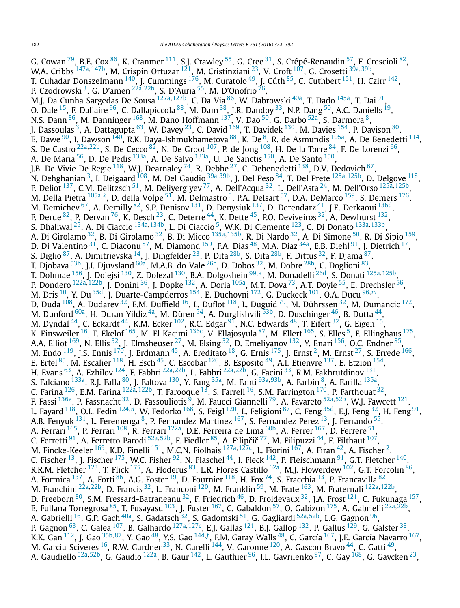G. Cowan  $^{79}$  $^{79}$  $^{79}$ , B.E. Cox  $^{86}$ , K. Cranmer  $^{111}$  $^{111}$  $^{111}$ , S.J. Crawley  $^{55}$ , G. Cree  $^{31}$ , S. Crépé-Renaudin  $^{57}$ , F. Crescioli  $^{82}$ , W.A. Cribbs [147a](#page-19-0)*,*[147b,](#page-19-0) M. Crispin Ortuzar [121,](#page-18-0) M. Cristinziani [23,](#page-17-0) V. Croft [107,](#page-18-0) G. Crosetti [39a](#page-17-0)*,*[39b,](#page-17-0) T. Cuhadar Donszelmann <sup>140</sup>, J. Cummings <sup>176</sup>, M. Curatolo <sup>49</sup>, J. Cúth <sup>85</sup>, C. Cuthbert <sup>151</sup>, H. Czirr <sup>142</sup>, P. Czodrowski [3,](#page-17-0) G. D'amen [22a](#page-17-0)*,*[22b,](#page-17-0) S. D'Auria [55,](#page-17-0) M. D'Onofrio [76](#page-18-0), M.J. Da Cunha Sargedas De Sousa [127a](#page-18-0)*,*[127b,](#page-18-0) C. Da Via [86,](#page-18-0) W. Dabrowski [40a,](#page-17-0) T. Dado [145a,](#page-19-0) T. Dai [91,](#page-18-0) O. Dale  $^{15}$ , F. Dallaire  $^{96}$ , C. Dallapiccola  $^{88}$ , M. Dam  $^{38}$ , J.R. Dandoy  $^{33}$ , N.P. Dang  $^{50}$ , A.C. Daniells  $^{19}$ , N.S. Dann <sup>86</sup>, M. Danninger <sup>168</sup>, M. Dano Hoffmann <sup>137</sup>, V. Dao <sup>50</sup>, G. Darbo <sup>52a</sup>, S. Darmora <sup>8</sup>, J. Dassoulas <sup>3</sup>, A. Dattagupta <sup>[63](#page-17-0)</sup>, W. Davey <sup>23</sup>, C. David <sup>169</sup>, T. Davidek <sup>130</sup>, M. Davies <sup>154</sup>, P. Davison <sup>80</sup>, E. Dawe <sup>90</sup>, I. Dawson <sup>140</sup>, R.K. Daya-Ishmukhametova <sup>88</sup>, K. De <sup>8</sup>, R. de Asmundis <sup>105a</sup>, A. De Benedetti <sup>114</sup>, S. De Castro <sup>[22a](#page-17-0),22b</sup>, S. De Cecco <sup>82</sup>, N. De Groot <sup>107</sup>, P. de Jong <sup>[108](#page-18-0)</sup>, H. De la Torre <sup>[84](#page-18-0)</sup>, F. De Lorenzi <sup>66</sup>, A. De Maria  $^{56}$ , D. De Pedis  $^{133a}$ , A. De Salvo  $^{133a}$ , U. De Sanctis  $^{150}$ , A. De Santo  $^{150}$ , J.B. De Vivie De Regie $^{118}$  $^{118}$  $^{118}$ , W.J. Dearnaley $^{74}$ , R. Debbe $^{27}$ , C. Debenedetti $^{138}$ , D.V. Dedovich $^{67},$ N. Dehghanian [3,](#page-17-0) I. Deigaard [108,](#page-18-0) M. Del Gaudio [39a](#page-17-0)*,*[39b](#page-17-0), J. Del Peso [84,](#page-18-0) T. Del Prete [125a](#page-18-0)*,*[125b](#page-18-0), D. Delgove [118,](#page-18-0) F. Deliot [137,](#page-18-0) C.M. Delitzsch [51,](#page-17-0) M. Deliyergiyev [77,](#page-18-0) A. Dell'Acqua [32,](#page-17-0) L. Dell'Asta [24,](#page-17-0) M. Dell'Orso [125a](#page-18-0)*,*[125b,](#page-18-0) M. Della Pietra [105a](#page-18-0)*,[k](#page-19-0)*, D. della Volpe [51,](#page-17-0) M. Delmastro [5,](#page-17-0) P.A. Delsart [57,](#page-17-0) D.A. DeMarco [159,](#page-19-0) S. Demers [176,](#page-19-0) M. Demichev  $^{67}$ , A. Demilly  $^{82}$ , S.P. Denisov  $^{131}$ , D. Denysiuk  $^{137}$ , D. Derendarz  $^{41}$  $^{41}$  $^{41}$ , J.E. Derkaoui  $^{136\mathrm{d}}$ , F. Derue  $^{82}$ , P. Dervan  $^{76}$  $^{76}$  $^{76}$ , K. Desch  $^{23}$ , C. Deterre  $^{44}$ , K. Dette  $^{45}$ , P.O. Deviveiros  $^{32}$ , A. Dewhurst  $^{132}$ , S. Dhaliwal [25,](#page-17-0) A. Di Ciaccio [134a](#page-18-0)*,*[134b,](#page-18-0) L. Di Ciaccio [5,](#page-17-0) W.K. Di Clemente [123,](#page-18-0) C. Di Donato [133a](#page-18-0)*,*[133b,](#page-18-0) A. Di Girolamo [32,](#page-17-0) B. Di Girolamo [32,](#page-17-0) B. Di Micco [135a](#page-18-0)*,*[135b](#page-18-0), R. Di Nardo [32](#page-17-0), A. Di Simone [50,](#page-17-0) R. Di Sipio [159,](#page-19-0) D. Di Valentino <sup>[31](#page-17-0)</sup>, C. Diaconu <sup>87</sup>, M. Diamond <sup>159</sup>, F.A. Dias <sup>[48](#page-17-0)</sup>, M.A. Diaz <sup>34a</sup>, E.B. Diehl <sup>91</sup>, J. Dietrich <sup>17</sup>, S. Diglio <sup>[87](#page-18-0)</sup>, A. Dimitrievska <sup>14</sup>, J. Dingfelder <sup>23</sup>, P. Dita <sup>28b</sup>, S. Dita <sup>28b</sup>, F. Dittus <sup>32</sup>, F. Djama <sup>87</sup>, T. Djobava <sup>53b</sup>, J.I. Djuvsland <sup>[60a](#page-17-0)</sup>, M.A.B. do Vale <sup>26c</sup>, D. Dobos <sup>32</sup>, M. Dobre <sup>28b</sup>, C. Doglioni <sup>83</sup>, T. Dohmae [156,](#page-19-0) J. Dolejsi [130,](#page-18-0) Z. Dolezal [130,](#page-18-0) B.A. Dolgoshein [99](#page-18-0)*,*[∗](#page-20-0), M. Donadelli [26d,](#page-17-0) S. Donati [125a](#page-18-0)*,*[125b,](#page-18-0) P. Dondero <sup>[122a](#page-18-0), [122b](#page-18-0)</sup>, J. Donini<sup>36</sup>, J. Dopke <sup>132</sup>, A. Doria <sup>105a</sup>, M.T. Dova <sup>73</sup>, A.T. Doyle <sup>55</sup>, E. Drechsler <sup>56</sup>, M. Dris [10,](#page-17-0) Y. Du [35d,](#page-17-0) J. Duarte-Campderros [154](#page-19-0), E. Duchovni [172,](#page-19-0) G. Duckeck [101,](#page-18-0) O.A. Ducu [96](#page-18-0)*,[m](#page-19-0)*, D. Duda  $^{108}$ , A. Dudarev  $^{32}$ , E.M. Duffield  $^{16}$ , L. Duflot  $^{118}$ , L. Duguid  $^{79}$ , M. Dührssen  $^{32}$ , M. Dumancic  $^{172}$ , M. Dunford <sup>[60a](#page-17-0)</sup>, H. Duran Yildiz <sup>4a</sup>, M. Düren <sup>54</sup>, A. Durglishvili <sup>53b</sup>, D. Duschinger <sup>46</sup>, B. Dutta <sup>44</sup>, M. Dyndal  $^{44}$ , C. Eckardt  $^{44}$ , K.M. Ecker  $^{102}$ , R.C. Edgar  $^{91}$ , N.C. Edwards  $^{48}$ , T. Eifert  $^{32}$ , G. Eigen  $^{15}$  $^{15}$  $^{15}$ , K. Einsweiler <sup>16</sup>, T. Ekelof <sup>165</sup>, M. El Kacimi <sup>136c</sup>, V. Ellajosyula <sup>87</sup>, M. Ellert <sup>165</sup>, S. Elles <sup>5</sup>, F. Ellinghaus <sup>175</sup>, A.A. Elliot <sup>169</sup>, N. Ellis <sup>32</sup>, J. Elmsheuser <sup>27</sup>, M. Elsing <sup>32</sup>, D. Emeliyanov <sup>132</sup>, Y. Enari <sup>156</sup>, O.C. Endner <sup>85</sup>, M. Endo  $^{119}$ , J.S. Ennis  $^{170}$ , J. Erdmann  $^{45}$  $^{45}$  $^{45}$ , A. Ereditato  $^{18}$  $^{18}$  $^{18}$ , G. Ernis  $^{175}$  $^{175}$  $^{175}$ , J. Ernst  $^2$ , M. Ernst  $^{27}$ , S. Errede  $^{166}$ , E. Ertel <sup>85</sup>, M. Escalier <sup>118</sup>, H. Esch <sup>45</sup>, C. Escobar <sup>126</sup>, B. Esposito <sup>49</sup>, A.I. Etienvre <sup>137</sup>, E. Etzion <sup>154</sup>, H. Evans [63,](#page-17-0) A. Ezhilov [124,](#page-18-0) F. Fabbri [22a](#page-17-0)*,*[22b,](#page-17-0) L. Fabbri [22a](#page-17-0)*,*[22b,](#page-17-0) G. Facini [33,](#page-17-0) R.M. Fakhrutdinov [131,](#page-18-0) S. Falciano [133a,](#page-18-0) R.J. Falla [80,](#page-18-0) J. Faltova [130,](#page-18-0) Y. Fang [35a,](#page-17-0) M. Fanti [93a](#page-18-0)*,*[93b,](#page-18-0) A. Farbin [8,](#page-17-0) A. Farilla [135a,](#page-18-0) C. Farina [126,](#page-18-0) E.M. Farina [122a](#page-18-0)*,*[122b,](#page-18-0) T. Farooque [13,](#page-17-0) S. Farrell [16,](#page-17-0) S.M. Farrington [170](#page-19-0), P. Farthouat [32,](#page-17-0) F. Fassi <sup>136e</sup>, P. Fassnacht <sup>32</sup>, D. Fassouliotis <sup>5</sup>, M. Faucci Giannelli <sup>79</sup>, A. Favareto <sup>[52a](#page-17-0),52b</sup>, W.J. Fawcett <sup>[121](#page-18-0)</sup>, L. Fayard [118,](#page-18-0) O.L. Fedin [124](#page-18-0)*,[n](#page-19-0)*, W. Fedorko [168,](#page-19-0) S. Feigl [120,](#page-18-0) L. Feligioni [87,](#page-18-0) C. Feng [35d,](#page-17-0) E.J. Feng [32,](#page-17-0) H. Feng [91,](#page-18-0) A.B. Fenyuk <sup>131</sup>, L. Feremenga <sup>8</sup>, P. Fernandez Martinez <sup>[167](#page-19-0)</sup>, S. Fernandez Perez <sup>13</sup>, J. Ferrando <sup>55</sup>, A. Ferrari <sup>165</sup>, P. Ferrari <sup>108</sup>, R. Ferrari <sup>122a</sup>, D.E. Ferreira de Lima <sup>60b</sup>, A. Ferrer <sup>167</sup>, D. Ferrere <sup>51</sup>, C. Ferretti <sup>[91](#page-18-0)</sup>, A. Ferretto Parodi <sup>[52a](#page-17-0),52b</sup>, F. Fiedler <sup>85</sup>, A. Filipčič <sup>77</sup>, M. Filipuzzi <sup>44</sup>, F. Filthaut <sup>107</sup>, M. Fincke-Keeler [169,](#page-19-0) K.D. Finelli [151,](#page-19-0) M.C.N. Fiolhais [127a](#page-18-0)*,*[127c,](#page-18-0) L. Fiorini [167,](#page-19-0) A. Firan [42,](#page-17-0) A. Fischer [2,](#page-17-0) C. Fischer  $^{13}$ , J. Fischer  $^{175}$ , W.C. Fisher  $^{92}$ , N. Flaschel  $^{44}$ , I. Fleck  $^{142}$ , P. Fleischmann  $^{91}$ , G.T. Fletcher  $^{140}$ , R.R.M. Fletcher  $^{123}$ , T. Flick  $^{175}$ , A. Floderus  $^{83}$ , L.R. Flores Castillo  $^{62a}$  $^{62a}$  $^{62a}$ , M.J. Flowerdew  $^{102}$ , G.T. Forcolin  $^{86}$ , A. Formica  $^{137}$ , A. Forti  $^{86}$ , A.G. Foster  $^{19}$ , D. Fournier  $^{118}$ , H. Fox  $^{74}$ , S. Fracchia  $^{13}$ , P. Francavilla  $^{82}$ , M. Franchini [22a](#page-17-0)*,*[22b,](#page-17-0) D. Francis [32](#page-17-0), L. Franconi [120,](#page-18-0) M. Franklin [59,](#page-17-0) M. Frate [163,](#page-19-0) M. Fraternali [122a](#page-18-0)*,*[122b,](#page-18-0) D. Freeborn <sup>80</sup>, S.M. Fressard-Batraneanu<sup>32</sup>, F. Friedrich <sup>46</sup>, D. Froidevaux <sup>32</sup>, J.A. Frost <sup>121</sup>, C. Fukunaga <sup>157</sup>, E. Fullana Torregrosa [85,](#page-18-0) T. Fusayasu [103](#page-18-0), J. Fuster [167,](#page-19-0) C. Gabaldon [57,](#page-17-0) O. Gabizon [175,](#page-19-0) A. Gabrielli [22a](#page-17-0)*,*[22b,](#page-17-0) A. Gabrielli [16,](#page-17-0) G.P. Gach [40a,](#page-17-0) S. Gadatsch [32,](#page-17-0) S. Gadomski [51,](#page-17-0) G. Gagliardi [52a](#page-17-0)*,*[52b,](#page-17-0) L.G. Gagnon [96,](#page-18-0) P. Gagnon [63,](#page-17-0) C. Galea [107,](#page-18-0) B. Galhardo [127a](#page-18-0)*,*[127c,](#page-18-0) E.J. Gallas [121,](#page-18-0) B.J. Gallop [132,](#page-18-0) P. Gallus [129,](#page-18-0) G. Galster [38,](#page-17-0) K.K. Gan <sup>112</sup>, J. Gao <sup>[35b](#page-17-0),[87](#page-18-0)</sup>, Y. Gao <sup>48</sup>, Y.S. Gao <sup>[144](#page-19-0),[f](#page-19-0)</sup>, F.M. Garay Walls <sup>48</sup>, C. García <sup>167</sup>, J.E. García Navarro <sup>167</sup>, M. Garcia-Sciveres <sup>16</sup>, R.W. Gardner <sup>33</sup>, N. Garelli <sup>144</sup>, V. Garonne <sup>120</sup>, A. Gascon Bravo <sup>44</sup>, C. Gatti <sup>49</sup>, A. Gaudiello <sup>[52a](#page-17-0), 52b</sup>, G. Gaudio <sup>122a</sup>, B. Gaur <sup>142</sup>, L. Gauthier <sup>96</sup>, I.L. Gavrilenko <sup>97</sup>, C. Gay <sup>168</sup>, G. Gaycken <sup>23</sup>,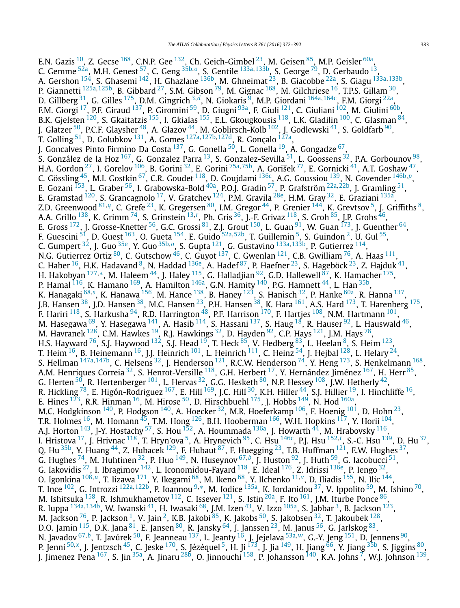E.N. Gazis <sup>10</sup>, Z. Gecse <sup>168</sup>, C.N.P. Gee <sup>132</sup>, Ch. Geich-Gimbel <sup>[23](#page-17-0)</sup>, M. Geisen <sup>85</sup>, M.P. Geisler <sup>60a</sup>, C. Gemme [52a,](#page-17-0) M.H. Genest [57,](#page-17-0) C. Geng [35b](#page-17-0)*,[o](#page-19-0)*, S. Gentile [133a](#page-18-0)*,*[133b,](#page-18-0) S. George [79,](#page-18-0) D. Gerbaudo [13,](#page-17-0) A. Gershon [154,](#page-19-0) S. Ghasemi [142,](#page-18-0) H. Ghazlane [136b](#page-18-0), M. Ghneimat [23,](#page-17-0) B. Giacobbe [22a,](#page-17-0) S. Giagu [133a](#page-18-0)*,*[133b,](#page-18-0) P. Giannetti [125a](#page-18-0)*,*[125b,](#page-18-0) B. Gibbard [27,](#page-17-0) S.M. Gibson [79,](#page-18-0) M. Gignac [168](#page-19-0), M. Gilchriese [16,](#page-17-0) T.P.S. Gillam [30](#page-17-0), D. Gillberg [31,](#page-17-0) G. Gilles [175,](#page-19-0) D.M. Gingrich [3](#page-17-0)*,[d](#page-19-0)*, N. Giokaris [9,](#page-17-0) M.P. Giordani [164a](#page-19-0)*,*[164c,](#page-19-0) F.M. Giorgi [22a,](#page-17-0) F.M. Giorgi <sup>17</sup>, P.F. Giraud <sup>137</sup>, P. Giromini <sup>[59](#page-17-0)</sup>, D. Giugni <sup>93a</sup>, F. Giuli <sup>121</sup>, C. Giuliani <sup>[102](#page-18-0)</sup>, M. Giulini <sup>60b</sup>, B.K. Gjelsten <sup>120</sup>, S. Gkaitatzis <sup>155</sup>, I. Gkialas <sup>155</sup>, E.L. Gkougkousis <sup>118</sup>, L.K. Gladilin <sup>100</sup>, C. Glasman <sup>84</sup>, J. Glatzer  $^{50}$  $^{50}$  $^{50}$ , P.C.F. Glaysher  $^{48}$ , A. Glazov  $^{44}$ , M. Goblirsch-Kolb  $^{102}$ , J. Godlewski  $^{41}$ , S. Goldfarb  $^{90}$ , T. Golling [51,](#page-17-0) D. Golubkov [131,](#page-18-0) A. Gomes [127a](#page-18-0)*,*[127b](#page-18-0)*,*[127d,](#page-18-0) R. Gonçalo [127a,](#page-18-0) J. Goncalves Pinto Firmino Da Costa  $^{137}$ , G. Gonella  $^{50}$ , L. Gonella  $^{19}$ , A. Gongadze  $^{67}$ , S. González de la Hoz  $^{167}$ , G. Gonzalez Parra  $^{13}$  $^{13}$  $^{13}$ , S. Gonzalez-Sevilla  $^{51}$ , L. Goossens  $^{32}$ , P.A. Gorbounov  $^{98}$ , H.A. Gordon [27,](#page-17-0) I. Gorelov [106,](#page-18-0) B. Gorini [32,](#page-17-0) E. Gorini [75a](#page-18-0)*,*[75b,](#page-18-0) A. Gorišek [77,](#page-18-0) E. Gornicki [41,](#page-17-0) A.T. Goshaw [47,](#page-17-0) C. Gössling [45,](#page-17-0) M.I. Gostkin [67,](#page-17-0) C.R. Goudet [118,](#page-18-0) D. Goujdami [136c,](#page-18-0) A.G. Goussiou [139,](#page-18-0) N. Govender [146b](#page-19-0)*,[p](#page-19-0)*, E. Gozani [153,](#page-19-0) L. Graber [56,](#page-17-0) I. Grabowska-Bold [40a,](#page-17-0) P.O.J. Gradin [57,](#page-17-0) P. Grafström [22a](#page-17-0)*,*[22b,](#page-17-0) J. Gramling [51,](#page-17-0) E. Gramstad <sup>120</sup>, S. Grancagnolo <sup>17</sup>, V. Gratchev <sup>124</sup>, P.M. Gravila <sup>28e</sup>, H.M. Gray <sup>32</sup>, E. Graziani <sup>135a</sup>, Z.D. Greenwood <sup>[81](#page-18-0),[q](#page-19-0)</sup>, C. Grefe <sup>23</sup>, K. Gregersen <sup>80</sup>, I.M. Gregor <sup>44</sup>, P. Grenier <sup>144</sup>, K. Grevtsov <sup>5</sup>, J. Griffiths <sup>8</sup>, A.A. Grillo [138,](#page-18-0) K. Grimm [74](#page-18-0), S. Grinstein [13](#page-17-0)*,[r](#page-19-0)* , Ph. Gris [36,](#page-17-0) J.-F. Grivaz [118,](#page-18-0) S. Groh [85,](#page-18-0) J.P. Grohs [46,](#page-17-0) E. Gross  $^{172}$ , J. Grosse-Knetter  $^{56}$ , G.C. Grossi  $^{81}$  $^{81}$  $^{81}$ , Z.J. Grout  $^{150}$ , L. Guan  $^{91}$ , W. Guan  $^{173}$  $^{173}$  $^{173}$ , J. Guenther  $^{64}$ , F. Guescini [51,](#page-17-0) D. Guest [163,](#page-19-0) O. Gueta [154,](#page-19-0) E. Guido [52a](#page-17-0)*,*[52b,](#page-17-0) T. Guillemin [5,](#page-17-0) S. Guindon [2,](#page-17-0) U. Gul [55,](#page-17-0) C. Gumpert [32,](#page-17-0) J. Guo [35e,](#page-17-0) Y. Guo [35b](#page-17-0)*,[o](#page-19-0)*, S. Gupta [121,](#page-18-0) G. Gustavino [133a](#page-18-0)*,*[133b,](#page-18-0) P. Gutierrez [114,](#page-18-0) N.G. Gutierrez Ortiz  $80$ , C. Gutschow  $46$ , C. Guyot  $137$ , C. Gwenlan  $121$ , C.B. Gwilliam  $76$ , A. Haas  $111$ , C. Haber  $^{16}$ , H.K. Hadavand  $^8$ , N. Haddad  $^{136\mathrm{e}}$ , A. Hadef  $^{87}$ , P. Haefner  $^{23}$ , S. Hageböck  $^{23}$ , Z. Hajduk  $^{41}$ , H. Hakobyan [177](#page-19-0)*,*[∗](#page-20-0), M. Haleem [44,](#page-17-0) J. Haley [115,](#page-18-0) G. Halladjian [92,](#page-18-0) G.D. Hallewell [87](#page-18-0), K. Hamacher [175,](#page-19-0) P. Hamal  $^{116}$  $^{116}$  $^{116}$ , K. Hamano  $^{169}$ , A. Hamilton  $^{146}$ , G.N. Hamity  $^{140}$ , P.G. Hamnett  $^{44}$ , L. Han  $^{35\mathrm{b}}$ , K. Hanagaki <sup>[68](#page-17-0),[s](#page-19-0)</sup>, K. Hanawa <sup>[156](#page-19-0)</sup>, M. Hance <sup>138</sup>, B. Haney <sup>123</sup>, S. Hanisch <sup>32</sup>, P. Hanke <sup>60a</sup>, R. Hanna <sup>137</sup>, J.B. Hansen <sup>38</sup>, J.D. Hansen <sup>38</sup>, M.C. Hansen <sup>23</sup>, P.H. Hansen <sup>38</sup>, K. Hara <sup>161</sup>, A.S. Hard <sup>173</sup>, T. Harenberg <sup>175</sup>, F. Hariri  $^{118}$ , S. Harkusha  $^{94}$ , R.D. Harrington  $^{48}$ , P.F. Harrison  $^{170}$ , F. Hartjes  $^{108}$ , N.M. Hartmann  $^{101}$ , M. Hasegawa  $^{69}$ , Y. Hasegawa  $^{141}$ , A. Hasib  $^{114}$ , S. Hassani  $^{137}$ , S. Haug  $^{18}$ , R. Hauser  $^{92}$ , L. Hauswald  $^{46}$ , M. Havranek  $^{128}$ , C.M. Hawkes  $^{19}$ , R.J. Hawkings  $^{32}$ , D. Hayden  $^{92}$ , C.P. Hays  $^{121}$ , J.M. Hays  $^{78}$ , H.S. Hayward  $^{76}$ , S.J. Haywood  $^{132}$ , S.J. Head  $^{19}$ , T. Heck  $^{85}$ , V. Hedberg  $^{83}$ , L. Heelan  $^8$ , S. Heim  $^{123}$ , T. Heim  $^{16}$ , B. Heinemann  $^{16}$ , J.J. Heinrich  $^{101}$ , L. Heinrich  $^{111}$ , C. Heinz  $^{54}$ , J. Hejbal  $^{128}$ , L. Helary  $^{24}$ , S. Hellman <sup>[147a](#page-19-0), 147b</sup>, C. Helsens <sup>32</sup>, J. Henderson <sup>[121](#page-18-0)</sup>, R.C.W. Henderson <sup>74</sup>, Y. Heng <sup>[173](#page-19-0)</sup>, S. Henkelmann <sup>[168](#page-19-0)</sup>, A.M. Henriques Correia<sup>32</sup>, S. Henrot-Versille <sup>118</sup>, G.H. Herbert <sup>17</sup>, Y. Hernández Jiménez <sup>167</sup>, H. Herr<sup>85</sup>, G. Herten  $^{50}$ , R. Hertenberger  $^{101}$ , L. Hervas  $^{32}$ , G.G. Hesketh  $^{80}$ , N.P. Hessey  $^{108}$ , J.W. Hetherly  $^{42}$ , R. Hickling <sup>78</sup>, E. Higón-Rodriguez <sup>167</sup>, E. Hill <sup>169</sup>, J.C. Hill <sup>[30](#page-17-0)</sup>, K.H. Hiller <sup>44</sup>, S.J. Hillier <sup>19</sup>, I. Hinchliffe <sup>16</sup>, E. Hines  $^{123}$ , R.R. Hinman  $^{16}$ , M. Hirose  $^{50}$ , D. Hirschbuehl  $^{175}$ , J. Hobbs  $^{149}$ , N. Hod  $^{160a}$ , M.C. Hodgkinson  $^{140}$ , P. Hodgson  $^{140}$ , A. Hoecker  $^{32}$ , M.R. Hoeferkamp  $^{106}$ , F. Hoenig  $^{101}$ , D. Hohn  $^{23}$ , T.R. Holmes <sup>16</sup>, M. Homann <sup>45</sup>, T.M. Hong <sup>126</sup>, B.H. Hooberman <sup>[166](#page-19-0)</sup>, W.H. Hopkins <sup>117</sup>, Y. Horii <sup>104</sup>, A.J. Horton  $^{143}$ , J-Y. Hostachy  $^{57}$ , S. Hou  $^{152}$  $^{152}$  $^{152}$ , A. Hoummada  $^{136a}$ , J. Howarth  $^{44}$ , M. Hrabovsky  $^{116}$  $^{116}$  $^{116}$ , I. Hristova <sup>17</sup>, J. Hrivnac <sup>118</sup>, T. Hryn'ova <sup>[5](#page-17-0)</sup>, A. Hrynevich <sup>95</sup>, C. Hsu <sup>146c</sup>, P.J. Hsu <sup>[152](#page-19-0),*[t](#page-19-0)*</sup>, S.-C. Hsu <sup>[139](#page-18-0)</sup>, D. Hu <sup>37</sup>, Q. Hu  $^{35b}$  $^{35b}$  $^{35b}$ , Y. Huang  $^{44}$  $^{44}$  $^{44}$ , Z. Hubacek  $^{129}$ , F. Hubaut  $^{87}$ , F. Huegging  $^{23}$ , T.B. Huffman  $^{121}$ , E.W. Hughes  $^{37}$ , G. Hughes [74,](#page-18-0) M. Huhtinen [32,](#page-17-0) P. Huo [149,](#page-19-0) N. Huseynov [67](#page-17-0)*,[b](#page-19-0)*, J. Huston [92,](#page-18-0) J. Huth [59,](#page-17-0) G. Iacobucci [51](#page-17-0), G. Iakovidis  $^{27}$ , I. Ibragimov  $^{142}$ , L. Iconomidou-Fayard  $^{118}$ , E. Ideal  $^{176}$ , Z. Idrissi  $^{136\mathrm{e}}$ , P. Iengo  $^{32}$ , O. Igonkina [108](#page-18-0)*,[u](#page-19-0)*, T. Iizawa [171,](#page-19-0) Y. Ikegami [68,](#page-17-0) M. Ikeno [68,](#page-17-0) Y. Ilchenko [11](#page-17-0)*,[v](#page-19-0)*, D. Iliadis [155,](#page-19-0) N. Ilic [144,](#page-19-0) T. Ince [102,](#page-18-0) G. Introzzi [122a](#page-18-0)*,*[122b,](#page-18-0) P. Ioannou [9](#page-17-0)*,*[∗](#page-20-0), M. Iodice [135a,](#page-18-0) K. Iordanidou [37,](#page-17-0) V. Ippolito [59,](#page-17-0) M. Ishino [70,](#page-18-0) M. Ishitsuka  $158$ , R. Ishmukhametov  $112$ , C. Issever  $121$ , S. Istin  $20a$ , F. Ito  $161$ , J.M. Iturbe Ponce  $86$ , R. Iuppa <sup>[134a](#page-18-0), 134b</sup>, W. Iwanski <sup>41</sup>, H. Iwasaki <sup>68</sup>, J.M. Izen <sup>43</sup>, V. Izzo <sup>105a</sup>, S. Jabbar <sup>3</sup>, B. Jackson <sup>123</sup>, M. Jackson <sup>76</sup>, P. Jackson <sup>1</sup>, V. Jain <sup>2</sup>, K.B. Jakobi <sup>85</sup>, K. Jakobs <sup>50</sup>, S. Jakobsen <sup>32</sup>, T. Jakoubek <sup>128</sup>, D.O. Jamin  $^{115}$  $^{115}$  $^{115}$ , D.K. Jana $^{81}$ , E. Jansen $^{80}$  $^{80}$  $^{80}$ , R. Jansky  $^{64}$ , J. Janssen  $^{23}$ , M. Janus  $^{56}$ , G. Jarlskog  $^{83}$ , N. Javadov <sup>[67](#page-17-0),[b](#page-19-0)</sup>, T. Javůrek <sup>50</sup>, F. Jeanneau <sup>137</sup>, L. Jeanty <sup>16</sup>, J. Jejelava <sup>[53a](#page-17-0),[w](#page-19-0)</sup>, G.-Y. Jeng <sup>151</sup>, D. Jennens <sup>90</sup>, P. Jenni [50](#page-17-0)*,[x](#page-19-0)*, J. Jentzsch [45,](#page-17-0) C. Jeske [170,](#page-19-0) S. Jézéquel [5,](#page-17-0) H. Ji [173](#page-19-0), J. Jia [149,](#page-19-0) H. Jiang [66,](#page-17-0) Y. Jiang [35b,](#page-17-0) S. Jiggins [80,](#page-18-0) J. Jimenez Pena <sup>167</sup>, S. Jin <sup>35a</sup>, A. Jinaru <sup>28b</sup>, O. Jinnouchi <sup>158</sup>, P. Johansson <sup>140</sup>, K.A. Johns <sup>7</sup>, W.J. Johnson <sup>139</sup>,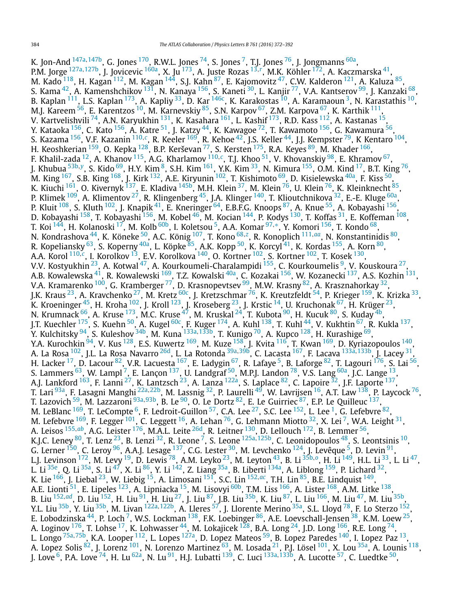K. Jon-And <sup>[147a](#page-19-0), 147b</sup>, G. Jones <sup>[170](#page-19-0)</sup>, R.W.L. Jones <sup>74</sup>, S. Jones <sup>7</sup>, T.J. Jones <sup>[76](#page-18-0)</sup>, J. Jongmanns <sup>[60a](#page-17-0)</sup>, P.M. Jorge [127a](#page-18-0)*,*[127b,](#page-18-0) J. Jovicevic [160a](#page-19-0), X. Ju [173,](#page-19-0) A. Juste Rozas [13](#page-17-0)*,[r](#page-19-0)* , M.K. Köhler [172,](#page-19-0) A. Kaczmarska [41,](#page-17-0) M. Kado  $^{118}$ , H. Kagan  $^{112}$ , M. Kagan  $^{144}$ , S.J. Kahn  $^{87}$ , E. Kajomovitz  $^{47}$ , C.W. Kalderon  $^{121}$ , A. Kaluza  $^{85}$ , S. Kama <sup>42</sup>, A. Kamenshchikov <sup>131</sup>, N. Kanaya <sup>156</sup>, S. Kaneti <sup>30</sup>, L. Kanjir <sup>77</sup>, V.A. Kantserov <sup>99</sup>, J. Kanzaki <sup>[68](#page-17-0)</sup>, B. Kaplan  $^{111}$ , L.S. Kaplan  $^{173}$ , A. Kapliy  $^{33}$ , D. Kar  $^{146\rm c}$ , K. Karakostas  $^{10}$ , A. Karamaoun  $^3$ , N. Karastathis  $^{10}$ , M.J. Kareem <sup>56</sup>, E. Karentzos <sup>10</sup>, M. Karnevskiy <sup>85</sup>, S.N. Karpov <sup>[67](#page-17-0)</sup>, Z.M. Karpova <sup>67</sup>, K. Karthik <sup>111</sup>, V. Kartvelishvili $^{74}$ , A.N. Karyukhin $^{131}$ , K. Kasahara $^{161}$ , L. Kashif $^{173}$ , R.D. Kass $^{112}$ , A. Kastanas $^{15}$ , Y. Kataoka <sup>156</sup>, C. Kato <sup>156</sup>, A. Katre <sup>51</sup>, J. Katzy <sup>44</sup>, K. Kawagoe <sup>72</sup>, T. Kawamoto <sup>156</sup>, G. Kawamura <sup>56</sup>, S. Kazama [156,](#page-19-0) V.F. Kazanin [110](#page-18-0)*,[c](#page-19-0)*, R. Keeler [169,](#page-19-0) R. Kehoe [42,](#page-17-0) J.S. Keller [44,](#page-17-0) J.J. Kempster [79,](#page-18-0) K Kentaro [104,](#page-18-0) H. Keoshkerian <sup>159</sup>, O. Kepka <sup>128</sup>, B.P. Kerševan <sup>77</sup>, S. Kersten <sup>175</sup>, R.A. Keyes <sup>89</sup>, M. Khader <sup>[166](#page-19-0)</sup>, F. Khalil-zada [12,](#page-17-0) A. Khanov [115,](#page-18-0) A.G. Kharlamov [110](#page-18-0)*,[c](#page-19-0)*, T.J. Khoo [51,](#page-17-0) V. Khovanskiy [98,](#page-18-0) E. Khramov [67,](#page-17-0) J. Khubua [53b](#page-17-0)*,[y](#page-19-0)*, S. Kido [69,](#page-18-0) H.Y. Kim [8,](#page-17-0) S.H. Kim [161](#page-19-0), Y.K. Kim [33,](#page-17-0) N. Kimura [155,](#page-19-0) O.M. Kind [17,](#page-17-0) B.T. King [76,](#page-18-0) M. King <sup>167</sup>, S.B. King <sup>[168](#page-19-0)</sup>, J. Kirk <sup>132</sup>, A.E. Kiryunin <sup>102</sup>, T. Kishimoto <sup>69</sup>, D. Kisielewska <sup>40a</sup>, F. Kiss <sup>50</sup>, K. Kiuchi <sup>161</sup>, O. Kivernyk <sup>137</sup>, E. Kladiva <sup>[145b](#page-19-0)</sup>, M.H. Klein <sup>37</sup>, M. Klein <sup>76</sup>, U. Klein <sup>76</sup>, K. Kleinknecht <sup>85</sup>, P. Klimek <sup>109</sup>, A. Klimentov <sup>27</sup>, R. Klingenberg <sup>45</sup>, J.A. Klinger <sup>140</sup>, T. Klioutchnikova <sup>32</sup>, E.-E. Kluge <sup>60a</sup>, P. Kluit <sup>108</sup>, S. Kluth <sup>102</sup>, J. Knapik <sup>41</sup>, E. Kneringer <sup>64</sup>, E.B.F.G. Knoops <sup>87</sup>, A. Knue <sup>55</sup>, A. Kobayashi <sup>[156](#page-19-0)</sup>, D. Kobayashi <sup>158</sup>, T. Kobayashi <sup>156</sup>, M. Kobel <sup>46</sup>, M. Kocian <sup>144</sup>, P. Kodys <sup>[130](#page-18-0)</sup>, T. Koffas <sup>31</sup>, E. Koffeman <sup>108</sup>, T. Koi [144,](#page-19-0) H. Kolanoski [17,](#page-17-0) M. Kolb [60b,](#page-17-0) I. Koletsou [5,](#page-17-0) A.A. Komar [97](#page-18-0)*,*[∗](#page-20-0), Y. Komori [156,](#page-19-0) T. Kondo [68,](#page-17-0) N. Kondrashova [44,](#page-17-0) K. Köneke [50,](#page-17-0) A.C. König [107,](#page-18-0) T. Kono [68](#page-17-0)*,[z](#page-19-0)* , R. Konoplich [111](#page-18-0)*,[aa](#page-19-0)*, N. Konstantinidis [80](#page-18-0), R. Kopeliansky <sup>63</sup>, S. Koperny <sup>40a</sup>, L. Köpke <sup>[85](#page-18-0)</sup>, A.K. Kopp <sup>[50](#page-17-0)</sup>, K. Korcyl <sup>41</sup>, K. Kordas <sup>155</sup>, A. Korn <sup>80</sup>, A.A. Korol [110](#page-18-0)*,[c](#page-19-0)*, I. Korolkov [13,](#page-17-0) E.V. Korolkova [140,](#page-18-0) O. Kortner [102](#page-18-0), S. Kortner [102,](#page-18-0) T. Kosek [130,](#page-18-0) V.V. Kostyukhin $^{23}$ , A. Kotwal $^{47}$ , A. Kourkoumeli-Charalampidi  $^{155}$ , C. Kourkoumelis  $^9$ , V. Kouskoura  $^{27},$ A.B. Kowalewska <sup>41</sup>, R. Kowalewski <sup>169</sup>, T.Z. Kowalski <sup>[40a](#page-17-0)</sup>, C. Kozakai <sup>156</sup>, W. Kozanecki <sup>137</sup>, A.S. Kozhin <sup>131</sup>, V.A. Kramarenko  $^{100}$ , G. Kramberger  $^{77}$ , D. Krasnopevtsev  $^{99}$ , M.W. Krasny  $^{82}$ , A. Krasznahorkay  $^{32}$ , J.K. Kraus <sup>23</sup>, A. Kravchenko <sup>27</sup>, M. Kretz <sup>60c</sup>, J. Kretzschmar <sup>76</sup>, K. Kreutzfeldt <sup>54</sup>, P. Krieger <sup>[159](#page-19-0)</sup>, K. Krizka <sup>33</sup>, K. Kroeninger  $^{45}$ , H. Kroha  $^{102}$ , J. Kroll  $^{123}$  $^{123}$  $^{123}$ , J. Kroseberg  $^{23}$ , J. Krstic  $^{14}$ , U. Kruchonak  $^{67}$ , H. Krüger  $^{23}$ , N. Krumnack  $^{66}$ , A. Kruse  $^{173}$ , M.C. Kruse  $^{47}$ , M. Kruskal  $^{24}$ , T. Kubota  $^{90}$ , H. Kucuk  $^{80}$ , S. Kuday  $^{4\mathrm{b}}$ , J.T. Kuechler <sup>175</sup>, S. Kuehn <sup>50</sup>, A. Kugel <sup>60c</sup>, F. Kuger <sup>[174](#page-19-0)</sup>, A. Kuhl <sup>138</sup>, T. Kuhl <sup>44</sup>, V. Kukhtin <sup>67</sup>, R. Kukla <sup>137</sup>, Y. Kulchitsky [94,](#page-18-0) S. Kuleshov [34b,](#page-17-0) M. Kuna [133a](#page-18-0)*,*[133b,](#page-18-0) T. Kunigo [70](#page-18-0), A. Kupco [128,](#page-18-0) H. Kurashige [69,](#page-18-0) Y.A. Kurochkin <sup>[94](#page-18-0)</sup>, V. Kus <sup>128</sup>, E.S. Kuwertz <sup>169</sup>, M. Kuze <sup>158</sup>, J. Kvita <sup>116</sup>, T. Kwan <sup>169</sup>, D. Kyriazopoulos <sup>140</sup>, A. La Rosa [102,](#page-18-0) J.L. La Rosa Navarro [26d](#page-17-0), L. La Rotonda [39a](#page-17-0)*,*[39b,](#page-17-0) C. Lacasta [167,](#page-19-0) F. Lacava [133a](#page-18-0)*,*[133b,](#page-18-0) J. Lacey [31](#page-17-0), H. Lacker <sup>17</sup>, D. Lacour <sup>82</sup>, V.R. Lacuesta <sup>167</sup>, E. Ladygin <sup>67</sup>, R. Lafaye <sup>5</sup>, B. Laforge <sup>82</sup>, T. Lagouri <sup>176</sup>, S. Lai <sup>56</sup>, S. Lammers  $^{63}$ , W. Lampl  $^7$ , E. Lançon  $^{137}$ , U. Landgraf  $^{50}$ , M.P.J. Landon  $^{78}$ , V.S. Lang  $^{60{\rm a}}$ , J.C. Lange  $^{13}$ , A.J. Lankford <sup>163</sup>, F. Lanni <sup>27</sup>, K. Lantzsch <sup>23</sup>, A. Lanza <sup>[122a](#page-18-0)</sup>, S. Laplace <sup>82</sup>, C. Lapoire <sup>32</sup>, J.F. Laporte <sup>137</sup>, T. Lari [93a,](#page-18-0) F. Lasagni Manghi [22a](#page-17-0)*,*[22b,](#page-17-0) M. Lassnig [32,](#page-17-0) P. Laurelli [49,](#page-17-0) W. Lavrijsen [16,](#page-17-0) A.T. Law [138,](#page-18-0) P. Laycock [76,](#page-18-0) T. Lazovich [59,](#page-17-0) M. Lazzaroni [93a](#page-18-0)*,*[93b,](#page-18-0) B. Le [90,](#page-18-0) O. Le Dortz [82,](#page-18-0) E. Le Guirriec [87,](#page-18-0) E.P. Le Quilleuc [137](#page-18-0), M. LeBlanc  $^{169}$  $^{169}$  $^{169}$ , T. LeCompte  $^6$ , F. Ledroit-Guillon  $^{57}$ , C.A. Lee  $^{27}$ , S.C. Lee  $^{152}$ , L. Lee  $^1$ , G. Lefebvre  $^{82}$ , M. Lefebvre  $^{169}$ , F. Legger  $^{101}$ , C. Leggett  $^{16}$ , A. Lehan  $^{76}$  $^{76}$  $^{76}$ , G. Lehmann Miotto  $^{32}$ , X. Lei  $^7$ , W.A. Leight  $^{31}$ , A. Leisos [155](#page-19-0)*,[ab](#page-19-0)*, A.G. Leister [176](#page-19-0), M.A.L. Leite [26d,](#page-17-0) R. Leitner [130,](#page-18-0) D. Lellouch [172](#page-19-0), B. Lemmer [56](#page-17-0), K.J.C. Leney [80,](#page-18-0) T. Lenz [23,](#page-17-0) B. Lenzi [32,](#page-17-0) R. Leone [7,](#page-17-0) S. Leone [125a](#page-18-0)*,*[125b,](#page-18-0) C. Leonidopoulos [48,](#page-17-0) S. Leontsinis [10,](#page-17-0) G. Lerner <sup>150</sup>, C. Leroy <sup>96</sup>, A.A.J. Lesage <sup>137</sup>, C.G. Lester <sup>30</sup>, M. Levchenko <sup>124</sup>, J. Levêque <sup>5</sup>, D. Levin <sup>91</sup>, L.J. Levinson [172,](#page-19-0) M. Levy [19,](#page-17-0) D. Lewis [78,](#page-18-0) A.M. Leyko [23,](#page-17-0) M. Leyton [43,](#page-17-0) B. Li [35b](#page-17-0)*,[o](#page-19-0)*, H. Li [149,](#page-19-0) H.L. Li [33,](#page-17-0) L. Li [47,](#page-17-0) L. Li <sup>35e</sup>, Q. Li <sup>35a</sup>, S. Li <sup>47</sup>, X. Li <sup>86</sup>, Y. Li <sup>142</sup>, Z. Liang <sup>35a</sup>, B. Liberti <sup>134a</sup>, A. Liblong <sup>159</sup>, P. Lichard <sup>32</sup>, K. Lie [166,](#page-19-0) J. Liebal [23,](#page-17-0) W. Liebig [15,](#page-17-0) A. Limosani [151,](#page-19-0) S.C. Lin [152](#page-19-0)*,[ac](#page-19-0)*, T.H. Lin [85,](#page-18-0) B.E. Lindquist [149,](#page-19-0) A.E. Lionti <sup>51</sup>, E. Lipeles <sup>[123](#page-18-0)</sup>, A. Lipniacka <sup>15</sup>, M. Lisovyi <sup>60b</sup>, T.M. Liss <sup>166</sup>, A. Lister <sup>168</sup>, A.M. Litke <sup>138</sup>, B. Liu [152](#page-19-0)*,[ad](#page-19-0)*, D. Liu [152,](#page-19-0) H. Liu [91,](#page-18-0) H. Liu [27,](#page-17-0) J. Liu [87,](#page-18-0) J.B. Liu [35b,](#page-17-0) K. Liu [87,](#page-18-0) L. Liu [166,](#page-19-0) M. Liu [47,](#page-17-0) M. Liu [35b,](#page-17-0) Y.L. Liu [35b,](#page-17-0) Y. Liu [35b,](#page-17-0) M. Livan [122a](#page-18-0)*,*[122b,](#page-18-0) A. Lleres [57,](#page-17-0) J. Llorente Merino [35a,](#page-17-0) S.L. Lloyd [78,](#page-18-0) F. Lo Sterzo [152,](#page-19-0) E. Lobodzinska $^{44}$ , P. Loch  $^7$ , W.S. Lockman  $^{138}$ , F.K. Loebinger  $^{86}$  $^{86}$  $^{86}$ , A.E. Loevschall-Jensen  $^{38}$ , K.M. Loew  $^{25}$ , A. Loginov <sup>176</sup>, T. Lohse <sup>17</sup>, K. Lohwasser <sup>44</sup>, M. Lokajicek <sup>128</sup>, B.A. Long <sup>24</sup>, J.D. Long <sup>166</sup>, R.E. Long <sup>74</sup>, L. Longo [75a](#page-18-0)*,*[75b,](#page-18-0) K.A. Looper [112,](#page-18-0) L. Lopes [127a,](#page-18-0) D. Lopez Mateos [59,](#page-17-0) B. Lopez Paredes [140,](#page-18-0) I. Lopez Paz [13,](#page-17-0) A. Lopez Solis <sup>82</sup>, J. Lorenz <sup>101</sup>, N. Lorenzo Martinez <sup>63</sup>, M. Losada <sup>21</sup>, P.J. Lösel <sup>101</sup>, X. Lou <sup>35a</sup>, A. Lounis <sup>118</sup>, J. Love  $^{6}$ , P.A. Love  $^{74}$ , H. Lu  $^{62a}$ , N. Lu  $^{91}$ , H.J. Lubatti  $^{139}$ , C. Luci  $^{133a,133b}$  $^{133a,133b}$  $^{133a,133b}$ , A. Lucotte  $^{57}$ , C. Luedtke  $^{50}$ ,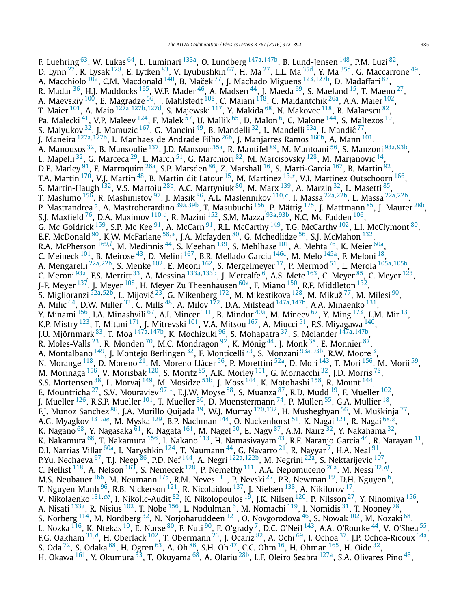F. Luehring [63,](#page-17-0) W. Lukas [64,](#page-17-0) L. Luminari [133a,](#page-18-0) O. Lundberg [147a](#page-19-0)*,*[147b,](#page-19-0) B. Lund-Jensen [148,](#page-19-0) P.M. Luzi [82,](#page-18-0) D. Lynn  $^{27}$ , R. Lysak  $^{128}$ , E. Lytken  $^{83}$ , V. Lyubushkin  $^{67}$ , H. Ma  $^{27}$ , L.L. Ma  $^{35{\rm d}}$ , Y. Ma  $^{35{\rm d}}$ , G. Maccarrone  $^{49}$ , A. Macchiolo <sup>102</sup>, C.M. Macdonald <sup>140</sup>, B. Maček <sup>77</sup>, J. Machado Miguens <sup>[123](#page-18-0),127b</sup>, D. Madaffari <sup>87</sup>, R. Madar  $^{36}$ , H.J. Maddocks  $^{165}$ , W.F. Mader  $^{46}$ , A. Madsen  $^{44}$  $^{44}$  $^{44}$ , J. Maeda  $^{69}$ , S. Maeland  $^{15}$ , T. Maeno  $^{27}$ , A. Maevskiy  $^{100}$ , E. Magradze  $^{56}$ , J. Mahlstedt  $^{108}$ , C. Maiani  $^{118}$ , C. Maidantchik  $^{26$ a, A.A. Maier  $^{102}$  $^{102}$  $^{102}$ , T. Maier [101,](#page-18-0) A. Maio [127a](#page-18-0)*,*[127b](#page-18-0)*,*[127d,](#page-18-0) S. Majewski [117,](#page-18-0) Y. Makida [68](#page-17-0), N. Makovec [118,](#page-18-0) B. Malaescu [82,](#page-18-0) Pa. Malecki $^{41}$ , V.P. Maleev  $^{124}$ , F. Malek $^{57}$ , U. Mallik $^{65}$  $^{65}$  $^{65}$ , D. Malon $^6$ , C. Malone  $^{144}$ , S. Maltezos  $^{10}$ , S. Malyukov <sup>32</sup>, J. Mamuzic <sup>167</sup>, G. Mancini <sup>49</sup>, B. Mandelli <sup>32</sup>, L. Mandelli <sup>93a</sup>, I. Mandić <sup>77</sup>, J. Maneira [127a](#page-18-0)*,*[127b,](#page-18-0) L. Manhaes de Andrade Filho [26b,](#page-17-0) J. Manjarres Ramos [160b,](#page-19-0) A. Mann [101,](#page-18-0) A. Manousos [32,](#page-17-0) B. Mansoulie [137,](#page-18-0) J.D. Mansour [35a,](#page-17-0) R. Mantifel [89,](#page-18-0) M. Mantoani [56](#page-17-0), S. Manzoni [93a](#page-18-0)*,*[93b,](#page-18-0) L. Mapelli <sup>32</sup>, G. Marceca <sup>[29](#page-17-0)</sup>, L. March <sup>51</sup>, G. Marchiori <sup>82</sup>, M. Marcisovsky <sup>128</sup>, M. Marjanovic <sup>14</sup>, D.E. Marley  $91$ , F. Marroquim  $^{26a}$ , S.P. Marsden  $^{86}$ , Z. Marshall  $^{16}$ , S. Marti-Garcia  $^{167}$ , B. Martin  $^{92}$ , T.A. Martin [170,](#page-19-0) V.J. Martin [48,](#page-17-0) B. Martin dit Latour [15,](#page-17-0) M. Martinez [13](#page-17-0)*,[r](#page-19-0)* , V.I. Martinez Outschoorn [166,](#page-19-0) S. Martin-Haugh <sup>[132](#page-18-0)</sup>, V.S. Martoiu <sup>28b</sup>, A.C. Martyniuk <sup>80</sup>, M. Marx <sup>139</sup>, A. Marzin <sup>32</sup>, L. Masetti <sup>85</sup>, T. Mashimo [156,](#page-19-0) R. Mashinistov [97,](#page-18-0) J. Masik [86,](#page-18-0) A.L. Maslennikov [110](#page-18-0)*,[c](#page-19-0)*, I. Massa [22a](#page-17-0)*,*[22b,](#page-17-0) L. Massa [22a](#page-17-0)*,*[22b](#page-17-0), P. Mastrandrea [5,](#page-17-0) A. Mastroberardino [39a](#page-17-0)*,*[39b,](#page-17-0) T. Masubuchi [156,](#page-19-0) P. Mättig [175,](#page-19-0) J. Mattmann [85,](#page-18-0) J. Maurer [28b,](#page-17-0) S.J. Maxfield [76,](#page-18-0) D.A. Maximov [110](#page-18-0)*,[c](#page-19-0)*, R. Mazini [152,](#page-19-0) S.M. Mazza [93a](#page-18-0)*,*[93b,](#page-18-0) N.C. Mc Fadden [106,](#page-18-0) G. Mc Goldrick  $^{159}$ , S.P. Mc Kee  $^{91}$ , A. McCarn  $^{91}$ , R.L. McCarthy  $^{149}$ , T.G. McCarthy  $^{102}$ , L.I. McClymont  $^{80}$ , E.F. McDonald [90,](#page-18-0) K.W. McFarlane [58](#page-17-0)*,*[∗](#page-20-0), J.A. Mcfayden [80,](#page-18-0) G. Mchedlidze [56,](#page-17-0) S.J. McMahon [132,](#page-18-0) R.A. McPherson <sup>[169](#page-19-0), !</sup>, M. Medinnis <sup>44</sup>, S. Meehan <sup>139</sup>, S. Meh[l](#page-19-0)hase <sup>101</sup>, A. Mehta <sup>76</sup>, K. Meier <sup>60a</sup>, C. Meineck  $^{101}$ , B. Meirose  $^{43}$ , D. Melini  $^{167}$ , B.R. Mellado Garcia  $^{146c}$ , M. Melo  $^{145a}$ , F. Meloni  $^{18}$ , A. Mengarelli [22a](#page-17-0)*,*[22b,](#page-17-0) S. Menke [102,](#page-18-0) E. Meoni [162,](#page-19-0) S. Mergelmeyer [17,](#page-17-0) P. Mermod [51,](#page-17-0) L. Merola [105a](#page-18-0)*,*[105b,](#page-18-0) C. Meroni [93a,](#page-18-0) F.S. Merritt [33,](#page-17-0) A. Messina [133a](#page-18-0)*,*[133b,](#page-18-0) J. Metcalfe [6,](#page-17-0) A.S. Mete [163,](#page-19-0) C. Meyer [85,](#page-18-0) C. Meyer [123,](#page-18-0) J-P. Meyer  $^{137}$ , J. Meyer  $^{108}$ , H. Meyer Zu Theenhausen  $^{60a}$ , F. Miano  $^{150}$ , R.P. Middleton  $^{132}$ , S. Miglioranzi <sup>[52a](#page-17-0),52b</sup>, L. Mijović <sup>[23](#page-17-0)</sup>, G. Mikenberg <sup>[172](#page-19-0)</sup>, M. Mikestikova <sup>128</sup>, M. Mikuž <sup>77</sup>, M. Milesi <sup>90</sup>, A. Milic [64,](#page-17-0) D.W. Miller [33,](#page-17-0) C. Mills [48](#page-17-0), A. Milov [172,](#page-19-0) D.A. Milstead [147a](#page-19-0)*,*[147b,](#page-19-0) A.A. Minaenko [131,](#page-18-0) Y. Minami <sup>156</sup>, I.A. Minashvili <sup>67</sup>, A.I. Mincer <sup>111</sup>, B. Mindur <sup>[40a](#page-17-0)</sup>, M. Mineev <sup>67</sup>, Y. Ming <sup>173</sup>, L.M. Mir <sup>13</sup>, K.P. Mistry <sup>123</sup>, T. Mitani <sup>171</sup>, J. Mitrevski <sup>101</sup>, V.A. Mitsou <sup>167</sup>, A. Miucci <sup>51</sup>, P.S. Miyagawa <sup>140</sup>, J.U. Mjörnmark [83,](#page-18-0) T. Moa [147a](#page-19-0)*,*[147b,](#page-19-0) K. Mochizuki [96,](#page-18-0) S. Mohapatra [37,](#page-17-0) S. Molander [147a](#page-19-0)*,*[147b,](#page-19-0) R. Moles-Valls  $^{23}$ , R. Monden  $^{70}$ , M.C. Mondragon  $^{92}$ , K. Mönig  $^{44}$ , J. Monk  $^{38}$ , E. Monnier  $^{87},$ A. Montalbano [149,](#page-19-0) J. Montejo Berlingen [32,](#page-17-0) F. Monticelli [73,](#page-18-0) S. Monzani [93a](#page-18-0)*,*[93b](#page-18-0), R.W. Moore [3,](#page-17-0) N. Mortundation, J. Mortugo Berlinger, A. Mortugon, C. Morettini [52a,](#page-17-0) D. Mori  $^{143}$ , T. Mori  $^{156}$  $^{156}$  $^{156}$ , M. Morii  $^{59}$ , N. Moring, D. Moreno  $^{21}$ , M. Moreno  $^{21}$ , M. Moreno Llácer  $^{56}$ , P. Morettini  $^{52}$ a, D. Mor M. Morinaga  $^{156}$ , V. Morisbak  $^{120}$ , S. Moritz  $^{85}$ , A.K. Morley  $^{151}$ , G. Mornacchi  $^{32}$ , J.D. Morris  $^{78}$  $^{78}$  $^{78}$ , S.S. Mortensen <sup>38</sup>, L. Morvaj <sup>149</sup>, M. Mosidze <sup>53b</sup>, J. Moss <sup>[144](#page-19-0)</sup>, K. Motohashi <sup>158</sup>, R. Mount <sup>144</sup>, E. Mountricha [27,](#page-17-0) S.V. Mouraviev [97](#page-18-0)*,*[∗](#page-20-0), E.J.W. Moyse [88,](#page-18-0) S. Muanza [87,](#page-18-0) R.D. Mudd [19,](#page-17-0) F. Mueller [102,](#page-18-0) J. Mueller  $^{126}$ , R.S.P. Mueller  $^{101}$ , T. Mueller  $^{30}$  $^{30}$  $^{30}$ , D. Muenstermann  $^{74}$ , P. Mullen  $^{55}$ , G.A. Mullier  $^{18}$ , F.J. Munoz Sanchez [86,](#page-18-0) J.A. Murillo Quijada [19,](#page-17-0) W.J. Murray [170](#page-19-0)*,*[132,](#page-18-0) H. Musheghyan [56,](#page-17-0) M. Muškinja [77,](#page-18-0) A.G. Myagkov [131](#page-18-0)*,[ae](#page-19-0)*, M. Myska [129,](#page-18-0) B.P. Nachman [144,](#page-19-0) O. Nackenhorst [51,](#page-17-0) K. Nagai [121,](#page-18-0) R. Nagai [68](#page-17-0)*,[z](#page-19-0)* , K. Nagano  $^{68}$  $^{68}$  $^{68}$ , Y. Nagasaka  $^{61}$ , K. Nagata  $^{161}$ , M. Nagel  $^{50}$ , E. Nagy  $^{87}$ , A.M. Nairz  $^{32}$ , Y. Nakahama  $^{32}$ , K. Nakamura <sup>68</sup>, T. Nakamura <sup>156</sup>, I. Nakano <sup>113</sup>, H. Namasivayam <sup>[43](#page-17-0)</sup>, R.F. Naranjo Garcia <sup>44</sup>, R. Narayan <sup>11</sup>, D.I. Narrias Villar <sup>60a</sup>, I. Naryshkin <sup>124</sup>, T. Naumann <sup>44</sup>, G. Navarro <sup>21</sup>, R. Nayyar<sup>7</sup>, H.A. Neal <sup>91</sup>, P.Yu. Nechaeva [97,](#page-18-0) T.J. Neep [86,](#page-18-0) P.D. Nef [144,](#page-19-0) A. Negri [122a](#page-18-0)*,*[122b,](#page-18-0) M. Negrini [22a,](#page-17-0) S. Nektarijevic [107,](#page-18-0) C. Nellist [118,](#page-18-0) A. Nelson [163,](#page-19-0) S. Nemecek [128,](#page-18-0) P. Nemethy [111,](#page-18-0) A.A. Nepomuceno [26a,](#page-17-0) M. Nessi [32](#page-17-0)*,[af](#page-19-0)* , M.S. Neubauer  $^{166}$ , M. Neumann  $^{175}$ , R.M. Neves  $^{111}$ , P. Nevski  $^{27}$ , P.R. Newman  $^{19}$ , D.H. Nguyen  $^6$ , T. Nguyen Manh  $^{96}$ , R.B. Nickerson  $^{121}$ , R. Nicolaidou  $^{137}$ , J. Nielsen  $^{138}$ , A. Nikiforov  $^{17}$ , V. Nikolaenko [131](#page-18-0)*,[ae](#page-19-0)*, I. Nikolic-Audit [82,](#page-18-0) K. Nikolopoulos [19,](#page-17-0) J.K. Nilsen [120,](#page-18-0) P. Nilsson [27,](#page-17-0) Y. Ninomiya [156,](#page-19-0) A. Nisati <sup>133a</sup>, R. Nisius <sup>102</sup>, T. Nobe <sup>15[6](#page-17-0)</sup>, L. Nodulman <sup>6</sup>, M. Nomachi <sup>119</sup>, I. Nomidis <sup>31</sup>, T. Nooney <sup>78</sup>, S. Norberg  $^{114}$ , M. Nordberg  $^{32}$ , N. Norjoharuddeen  $^{121}$ , O. Novgorodova  $^{46}$ , S. Nowak  $^{102}$ , M. Nozaki  $^{68},$ L. Nozka  $^{116}$ , K. Ntekas  $^{10}$  $^{10}$  $^{10}$ , E. Nurse  $^{80}$ , F. Nuti  $^{90}$ , F. O'grady  $^7$ , D.C. O'Neil  $^{143}$ , A.A. O'Rourke  $^{44}$ , V. O'Shea  $^{55}$ , F.G. Oakham [31](#page-17-0)*,[d](#page-19-0)*, H. Oberlack [102,](#page-18-0) T. Obermann [23,](#page-17-0) J. Ocariz [82,](#page-18-0) A. Ochi [69,](#page-18-0) I. Ochoa [37,](#page-17-0) J.P. Ochoa-Ricoux [34a,](#page-17-0) S. Oda  $^{72}$ , S. Odaka  $^{68}$  $^{68}$  $^{68}$ , H. Ogren  $^{63}$ , A. Oh  $^{86}$ , S.H. Oh  $^{47}$ , C.C. Ohm  $^{16}$ , H. Ohman  $^{165}$ , H. Oide  $^{32}$ , H. Okawa <sup>[161](#page-19-0)</sup>, Y. Okumura <sup>33</sup>, T. Okuyama <sup>68</sup>, A. Olariu <sup>28b</sup>, L.F. Oleiro Seabra <sup>127a</sup>, S.A. Olivares Pino <sup>48</sup>,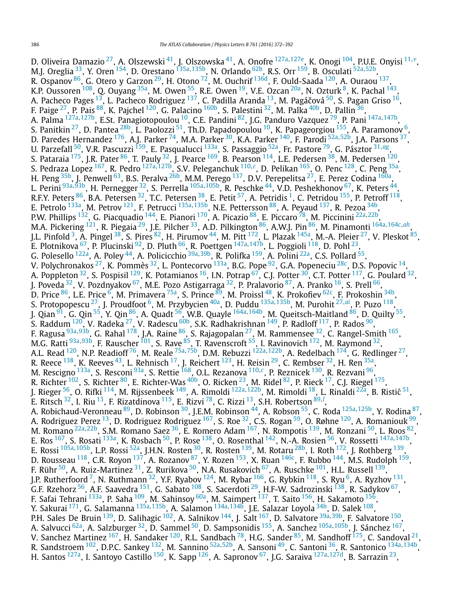D. Oliveira Damazio [27,](#page-17-0) A. Olszewski [41,](#page-17-0) J. Olszowska [41](#page-17-0), A. Onofre [127a](#page-18-0)*,*[127e,](#page-18-0) K. Onogi [104,](#page-18-0) P.U.E. Onyisi [11](#page-17-0)*,[v](#page-19-0)*, M.J. Oreglia [33,](#page-17-0) Y. Oren [154,](#page-19-0) D. Orestano [135a](#page-18-0)*,*[135b,](#page-18-0) N. Orlando [62b,](#page-17-0) R.S. Orr [159,](#page-19-0) B. Osculati [52a](#page-17-0)*,*[52b,](#page-17-0) R. Ospanov $^{86}$ , G. Otero y Garzon $^{29}$ , H. Otono $^{72}$ , M. Ouchrif  $^{136\mathrm{d}}$ , F. Ould-Saada  $^{120}$ , A. Ouraou  $^{137}$ , K.P. Oussoren  $^{108}$  $^{108}$  $^{108}$ , Q. Ouyang  $^{35a}$ , M. Owen  $^{55}$ , R.E. Owen  $^{19}$ , V.E. Ozcan  $^{20a}$ , N. Ozturk  $^8$ , K. Pachal  $^{143}$ , A. Pacheco Pages <sup>13</sup>, L. Pacheco Rodriguez <sup>137</sup>, C. Padilla Aranda <sup>13</sup>, M. Pagáčová <sup>50</sup>, S. Pagan Griso <sup>16</sup>, F. Paige  $^{27}$ , P. Pais  $^{88}$ , K. Pajchel  $^{120}$ , G. Palacino  $^{160b}$ , S. Palestini  $^{32}$ , M. Palka  $^{40b}$ , D. Pallin  $^{36}$ , A. Palma [127a](#page-18-0)*,*[127b](#page-18-0), E.St. Panagiotopoulou [10,](#page-17-0) C.E. Pandini [82,](#page-18-0) J.G. Panduro Vazquez [79,](#page-18-0) P. Pani [147a](#page-19-0)*,*[147b,](#page-19-0) S. Panitkin  $^{27}$ , D. Pantea  $^{28\mathsf{b}}$ , L. Paolozzi  $^{51}$ , Th.D. Papadopoulou  $^{10}$ , K. Papageorgiou  $^{155}$ , A. Paramonov  $^6$ , D. Paredes Hernandez [176,](#page-19-0) A.J. Parker [74,](#page-18-0) M.A. Parker [30,](#page-17-0) K.A. Parker [140,](#page-18-0) F. Parodi [52a](#page-17-0)*,*[52b,](#page-17-0) J.A. Parsons [37,](#page-17-0) U. Parzefall [50,](#page-17-0) V.R. Pascuzzi [159,](#page-19-0) E. Pasqualucci [133a,](#page-18-0) S. Passaggio [52a,](#page-17-0) Fr. Pastore [79,](#page-18-0) G. Pásztor [31](#page-17-0)*,[ag](#page-19-0)*, S. Pataraia  $^{175}$ , J.R. Pater  $^{86}$ , T. Pauly  $^{32}$ , J. Pearce  $^{169}$ , B. Pearson  $^{114}$ , L.E. Pedersen  $^{38}$ , M. Pedersen  $^{120}$ , S. Pedraza Lopez [167,](#page-19-0) R. Pedro [127a](#page-18-0)*,*[127b,](#page-18-0) S.V. Peleganchuk [110](#page-18-0)*,[c](#page-19-0)*, D. Pelikan [165,](#page-19-0) O. Penc [128](#page-18-0), C. Peng [35a,](#page-17-0) H. Peng <sup>35b</sup>, J. Penwell <sup>63</sup>, B.S. Peralva <sup>26b</sup>, M.M. Perego <sup>[137](#page-18-0)</sup>, D.V. Perepelitsa <sup>27</sup>, E. Perez Codina <sup>[160a](#page-19-0)</sup>, L. Perini [93a](#page-18-0)*,*[93b,](#page-18-0) H. Pernegger [32,](#page-17-0) S. Perrella [105a](#page-18-0)*,*[105b,](#page-18-0) R. Peschke [44,](#page-17-0) V.D. Peshekhonov [67,](#page-17-0) K. Peters [44,](#page-17-0) R.F.Y. Peters  $^{86}$ , B.A. Petersen  $^{32}$ , T.C. Petersen  $^{38}$ , E. Petit  $^{57}$ , A. Petridis  $^1$ , C. Petridou  $^{155}$ , P. Petroff  $^{118}$ , E. Petrolo [133a,](#page-18-0) M. Petrov [121,](#page-18-0) F. Petrucci [135a](#page-18-0)*,*[135b,](#page-18-0) N.E. Pettersson [88,](#page-18-0) A. Peyaud [137,](#page-18-0) R. Pezoa [34b,](#page-17-0) P.W. Phillips [132,](#page-18-0) G. Piacquadio [144,](#page-19-0) E. Pianori [170](#page-19-0), A. Picazio [88,](#page-18-0) E. Piccaro [78,](#page-18-0) M. Piccinini [22a](#page-17-0)*,*[22b,](#page-17-0) M.A. Pickering [121,](#page-18-0) R. Piegaia [29,](#page-17-0) J.E. Pilcher [33,](#page-17-0) A.D. Pilkington [86,](#page-18-0) A.W.J. Pin [86,](#page-18-0) M. Pinamonti [164a](#page-19-0)*,*[164c](#page-19-0)*,[ah](#page-19-0)*, J.L. Pinfold <sup>3</sup>, A. Pingel <sup>38</sup>, S. Pires <sup>82</sup>, H. Pirumov <sup>44</sup>, M. Pitt <sup>172</sup>, L. Plazak <sup>145a</sup>, M.-A. Pleier <sup>27</sup>, V. Pleskot <sup>85</sup>, E. Plotnikova [67,](#page-17-0) P. Plucinski [92,](#page-18-0) D. Pluth [66,](#page-17-0) R. Poettgen [147a](#page-19-0)*,*[147b,](#page-19-0) L. Poggioli [118,](#page-18-0) D. Pohl [23](#page-17-0), G. Polesello [122a,](#page-18-0) A. Poley [44,](#page-17-0) A. Policicchio [39a](#page-17-0)*,*[39b,](#page-17-0) R. Polifka [159,](#page-19-0) A. Polini [22a,](#page-17-0) C.S. Pollard [55,](#page-17-0) V. Polychronakos <sup>[27](#page-17-0)</sup>, K. Pommès <sup>32</sup>, L. Pontecorvo <sup>133a</sup>, B.G. Pope <sup>92</sup>, G.A. Popeneciu <sup>28c</sup>, D.S. Popovic <sup>14</sup>, A. Poppleton <sup>32</sup>, S. Pospisil <sup>129</sup>, K. Potamianos <sup>16</sup>, I.N. Potrap <sup>67</sup>, C.J. Potter <sup>[30](#page-17-0)</sup>, C.T. Potter <sup>117</sup>, G. Poulard <sup>32</sup>, J. Poveda <sup>32</sup>, V. Pozdnyakov <sup>67</sup>, M.E. Pozo Astigarraga <sup>32</sup>, P. Pralavorio <sup>87</sup>, A. Pranko <sup>16</sup>, S. Prell <sup>[66](#page-17-0)</sup>, D. Price <sup>86</sup>, L.E. Price <sup>6</sup>, M. Primavera <sup>75a</sup>, S. Prince <sup>89</sup>, M. Proissl <sup>[48](#page-17-0)</sup>, K. Prokofiev <sup>62c</sup>, F. Prokoshin <sup>34b</sup>, S. Protopopescu [27,](#page-17-0) J. Proudfoot [6,](#page-17-0) M. Przybycien [40a,](#page-17-0) D. Puddu [135a](#page-18-0)*,*[135b,](#page-18-0) M. Purohit [27](#page-17-0)*,[ai](#page-19-0)*, P. Puzo [118,](#page-18-0) J. Qian [91,](#page-18-0) G. Qin [55,](#page-17-0) Y. Qin [86,](#page-18-0) A. Quadt [56](#page-17-0), W.B. Quayle [164a](#page-19-0)*,*[164b,](#page-19-0) M. Queitsch-Maitland [86,](#page-18-0) D. Quilty [55,](#page-17-0) S. Raddum  $^{120}$ , V. Radeka $^{27}$ , V. Radescu $^{\rm 60b}$ , S.K. Radhakrishnan  $^{149}$ , P. Radloff  $^{117}$ , P. Rados  $^{90}$ , F. Ragusa [93a](#page-18-0)*,*[93b,](#page-18-0) G. Rahal [178,](#page-19-0) J.A. Raine [86,](#page-18-0) S. Rajagopalan [27,](#page-17-0) M. Rammensee [32,](#page-17-0) C. Rangel-Smith [165,](#page-19-0) M.G. Ratti [93a](#page-18-0)*,*[93b,](#page-18-0) F. Rauscher [101,](#page-18-0) S. Rave [85,](#page-18-0) T. Ravenscroft [55](#page-17-0), I. Ravinovich [172,](#page-19-0) M. Raymond [32,](#page-17-0) A.L. Read [120,](#page-18-0) N.P. Readioff [76,](#page-18-0) M. Reale [75a](#page-18-0)*,*[75b,](#page-18-0) D.M. Rebuzzi [122a](#page-18-0)*,*[122b,](#page-18-0) A. Redelbach [174,](#page-19-0) G. Redlinger [27,](#page-17-0) R. Reece  $^{138}$  $^{138}$  $^{138}$ , K. Reeves  $^{43}$ , L. Rehnisch  $^{17}$ , J. Reichert  $^{123}$ , H. Reisin  $^{29}$  $^{29}$  $^{29}$ , C. Rembser  $^{32}$ , H. Ren  $^{35\mathrm{a}}$ , M. Rescigno [133a,](#page-18-0) S. Resconi [93a,](#page-18-0) S. Rettie [168,](#page-19-0) O.L. Rezanova [110](#page-18-0)*,[c](#page-19-0)*, P. Reznicek [130,](#page-18-0) R. Rezvani [96](#page-18-0), R. Richter  $^{102}$ , S. Richter  $^{80}$ , E. Richter-Was  $^{40\mathrm{b}}$ , O. Ricken  $^{23}$ , M. Ridel  $^{82}$ , P. Rieck  $^{17}$ , C.J. Riegel  $^{175}$ , J. Rieger [56,](#page-17-0) O. Rifki [114,](#page-18-0) M. Rijssenbeek [149,](#page-19-0) A. Rimoldi [122a](#page-18-0)*,*[122b,](#page-18-0) M. Rimoldi [18,](#page-17-0) L. Rinaldi [22a,](#page-17-0) B. Ristic´ [51,](#page-17-0) E. Ritsch [32,](#page-17-0) I. Riu [13](#page-17-0), F. Rizatdinova [115,](#page-18-0) E. Rizvi [78](#page-18-0), C. Rizzi [13,](#page-17-0) S.H. Robertson [89](#page-18-0)*,[l](#page-19-0)* , A. Robichaud-Veronneau [89,](#page-18-0) D. Robinson [30,](#page-17-0) J.E.M. Robinson [44,](#page-17-0) A. Robson [55](#page-17-0), C. Roda [125a](#page-18-0)*,*[125b,](#page-18-0) Y. Rodina [87,](#page-18-0) A. Rodriguez Perez <sup>13</sup>, D. Rodriguez Rodriguez <sup>167</sup>, S. Roe <sup>32</sup>, C.S. Rogan <sup>59</sup>, O. Røhne <sup>[120](#page-18-0)</sup>, A. Romaniouk <sup>99</sup>, M. Romano [22a](#page-17-0)*,*[22b,](#page-17-0) S.M. Romano Saez [36,](#page-17-0) E. Romero Adam [167,](#page-19-0) N. Rompotis [139,](#page-18-0) M. Ronzani [50,](#page-17-0) L. Roos [82](#page-18-0), E. Ros [167,](#page-19-0) S. Rosati [133a,](#page-18-0) K. Rosbach [50,](#page-17-0) P. Rose [138,](#page-18-0) O. Rosenthal [142,](#page-18-0) N.-A. Rosien [56](#page-17-0), V. Rossetti [147a](#page-19-0)*,*[147b](#page-19-0), E. Rossi [105a](#page-18-0)*,*[105b,](#page-18-0) L.P. Rossi [52a](#page-17-0), J.H.N. Rosten [30](#page-17-0), R. Rosten [139,](#page-18-0) M. Rotaru [28b,](#page-17-0) I. Roth [172](#page-19-0), J. Rothberg [139,](#page-18-0) D. Rousseau  $^{118}$ , C.R. Royon  $^{137}$ , A. Rozanov  $^{87}$ , Y. Rozen  $^{153}$ , X. Ruan  $^{146\rm c}$ , F. Rubbo  $^{144}$ , M.S. Rudolph  $^{159}$ , F. Rühr <sup>50</sup>, A. Ruiz-Martinez <sup>31</sup>, Z. Rurikova <sup>50</sup>, N.A. Rusakovich <sup>67</sup>, A. Ruschke <sup>[101](#page-18-0)</sup>, H.L. Russell <sup>139</sup>, J.P. Rutherfoord <sup>7</sup>, N. Ruthmann <sup>32</sup>, Y.F. Ryabov <sup>124</sup>, M. Rybar <sup>166</sup>, G. Rybkin <sup>118</sup>, S. Ryu <sup>6</sup>, A. Ryzhov <sup>131</sup>, G.F. Rzehorz <sup>56</sup>, A.F. Saavedra <sup>151</sup>, G. Sabato <sup>108</sup>, S. Sacerdoti <sup>29</sup>, H.F-W. Sadrozinski <sup>138</sup>, R. Sadykov <sup>67</sup>, F. Safai Tehrani <sup>133a</sup>, P. Saha <sup>109</sup>, M. Sahinsoy <sup>60a</sup>, M. Saimpert <sup>137</sup>, T. Saito <sup>156</sup>, H. Sakamoto <sup>156</sup>, Y. Sakurai [171,](#page-19-0) G. Salamanna [135a](#page-18-0)*,*[135b,](#page-18-0) A. Salamon [134a](#page-18-0)*,*[134b,](#page-18-0) J.E. Salazar Loyola [34b,](#page-17-0) D. Salek [108,](#page-18-0) P.H. Sales De Bruin [139,](#page-18-0) D. Salihagic [102,](#page-18-0) A. Salnikov [144,](#page-19-0) J. Salt [167](#page-19-0), D. Salvatore [39a](#page-17-0)*,*[39b,](#page-17-0) F. Salvatore [150,](#page-19-0) A. Salvucci [62a,](#page-17-0) A. Salzburger [32,](#page-17-0) D. Sammel [50,](#page-17-0) D. Sampsonidis [155](#page-19-0), A. Sanchez [105a](#page-18-0)*,*[105b,](#page-18-0) J. Sánchez [167,](#page-19-0) V. Sanchez Martinez  $^{167}$ , H. Sandaker  $^{120}$ , R.L. Sandbach  $^{78}$ , H.G. Sander  $^{85}$ , M. Sandhoff  $^{175}$ , C. Sandoval  $^{21}$ , R. Sandstroem [102,](#page-18-0) D.P.C. Sankey [132](#page-18-0), M. Sannino [52a](#page-17-0)*,*[52b,](#page-17-0) A. Sansoni [49,](#page-17-0) C. Santoni [36,](#page-17-0) R. Santonico [134a](#page-18-0)*,*[134b,](#page-18-0) H. Santos [127a,](#page-18-0) I. Santoyo Castillo [150,](#page-19-0) K. Sapp [126,](#page-18-0) A. Sapronov [67,](#page-17-0) J.G. Saraiva [127a](#page-18-0)*,*[127d,](#page-18-0) B. Sarrazin [23,](#page-17-0)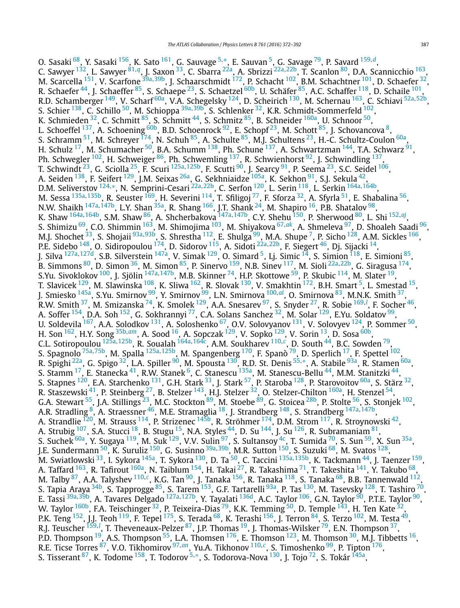O. Sasaki [68,](#page-17-0) Y. Sasaki [156,](#page-19-0) K. Sato [161,](#page-19-0) G. Sauvage [5](#page-17-0)*,*[∗](#page-20-0), E. Sauvan [5,](#page-17-0) G. Savage [79,](#page-18-0) P. Savard [159](#page-19-0)*,[d](#page-19-0)*, C. Sawyer [132,](#page-18-0) L. Sawyer [81](#page-18-0)*,[q](#page-19-0)*, J. Saxon [33,](#page-17-0) C. Sbarra [22a,](#page-17-0) A. Sbrizzi [22a](#page-17-0)*,*[22b](#page-17-0), T. Scanlon [80,](#page-18-0) D.A. Scannicchio [163,](#page-19-0) M. Scarcella [151,](#page-19-0) V. Scarfone [39a](#page-17-0)*,*[39b,](#page-17-0) J. Schaarschmidt [172,](#page-19-0) P. Schacht [102](#page-18-0), B.M. Schachtner [101,](#page-18-0) D. Schaefer [32,](#page-17-0) R. Schaefer  $^{44}$ , J. Schaeffer  $^{85}$ , S. Schaepe  $^{23}$ , S. Schaetzel  $^{60\mathrm{b}}$ , U. Schäfer  $^{85}$ , A.C. Schaffer  $^{118}$ , D. Schaile  $^{101}$ , R.D. Schamberger [149,](#page-19-0) V. Scharf [60a](#page-17-0), V.A. Schegelsky [124,](#page-18-0) D. Scheirich [130,](#page-18-0) M. Schernau [163,](#page-19-0) C. Schiavi [52a](#page-17-0)*,*[52b,](#page-17-0) S. Schier [138,](#page-18-0) C. Schillo [50,](#page-17-0) M. Schioppa [39a](#page-17-0)*,*[39b,](#page-17-0) S. Schlenker [32,](#page-17-0) K.R. Schmidt-Sommerfeld [102,](#page-18-0) K. Schmieden  $^{32}$ , C. Schmitt  $^{85}$ , S. Schmitt  $^{44}$ , S. Schmitz  $^{85}$ , B. Schneider  $^{160}$ , U. Schnoor  $^{50}$ , L. Schoeffel <sup>137</sup>, A. Schoening <sup>[60b](#page-17-0)</sup>, B.D. Schoenrock <sup>92</sup>, E. Schopf <sup>23</sup>, M. Schott <sup>85</sup>, J. Schovancova <sup>8</sup>, S. Schramm <sup>51</sup>, M. Schreyer <sup>174</sup>, N. Schuh <sup>85</sup>, A. Schulte <sup>85</sup>, M.J. Schultens <sup>23</sup>, H.-C. Schultz-Coulon <sup>60a</sup>, H. Schulz  $^{17}$ , M. Schumacher  $^{50}$ , B.A. Schumm  $^{138}$  $^{138}$  $^{138}$ , Ph. Schune  $^{137}$ , A. Schwartzman  $^{144}$ , T.A. Schwarz  $^{91}$ , Ph. Schwegler <sup>102</sup>, H. Schweiger <sup>86</sup>, Ph. Schwemling <sup>137</sup>, R. Schwienhorst <sup>92</sup>, J. Schwindling <sup>137</sup> T. Schwindt [23,](#page-17-0) G. Sciolla [25,](#page-17-0) F. Scuri [125a](#page-18-0)*,*[125b,](#page-18-0) F. Scutti [90,](#page-18-0) J. Searcy [91,](#page-18-0) P. Seema [23,](#page-17-0) S.C. Seidel [106,](#page-18-0) A. Seiden <sup>138</sup>, F. Seifert <sup>129</sup>, J.M. Seixas <sup>26a</sup>, G. Sekhniaidze <sup>[105a](#page-18-0)</sup>, K. Sekhon <sup>[91](#page-18-0)</sup>, S.J. Sekula <sup>42</sup>, D.M. Seliverstov [124](#page-18-0)*,*[∗](#page-20-0), N. Semprini-Cesari [22a](#page-17-0)*,*[22b,](#page-17-0) C. Serfon [120,](#page-18-0) L. Serin [118,](#page-18-0) L. Serkin [164a](#page-19-0)*,*[164b,](#page-19-0) M. Sessa <sup>[135a](#page-18-0),135b</sup>, R. Seuster <sup>169</sup>, H. Severini <sup>114</sup>, T. Sfiligoj <sup>77</sup>, F. Sforza <sup>32</sup>, A. Sfyrla <sup>51</sup>, E. Shabalina <sup>56</sup>, N.W. Shaikh [147a](#page-19-0)*,*[147b,](#page-19-0) L.Y. Shan [35a,](#page-17-0) R. Shang [166,](#page-19-0) J.T. Shank [24,](#page-17-0) M. Shapiro [16,](#page-17-0) P.B. Shatalov [98,](#page-18-0) K. Shaw [164a](#page-19-0)*,*[164b,](#page-19-0) S.M. Shaw [86,](#page-18-0) A. Shcherbakova [147a](#page-19-0)*,*[147b,](#page-19-0) C.Y. Shehu [150,](#page-19-0) P. Sherwood [80,](#page-18-0) L. Shi [152](#page-19-0)*,[aj](#page-19-0)*, S. Shimizu [69,](#page-18-0) C.O. Shimmin [163,](#page-19-0) M. Shimojima [103,](#page-18-0) M. Shiyakova [67](#page-17-0)*,[ak](#page-20-0)*, A. Shmeleva [97,](#page-18-0) D. Shoaleh Saadi [96](#page-18-0), M.J. Shochet<sup>33</sup>, S. Shojaii <sup>[93a](#page-18-0), 93b</sup>, S. Shrestha <sup>112</sup>, E. Shulga <sup>99</sup>, M.A. Shupe <sup>7</sup>, P. Sicho <sup>[128](#page-18-0)</sup>, A.M. Sickles <sup>166</sup>, P.E. Sidebo [148,](#page-19-0) O. Sidiropoulou [174,](#page-19-0) D. Sidorov [115,](#page-18-0) A. Sidoti [22a](#page-17-0)*,*[22b,](#page-17-0) F. Siegert [46](#page-17-0), Dj. Sijacki [14,](#page-17-0) J. Silva [127a](#page-18-0)*,*[127d](#page-18-0), S.B. Silverstein [147a,](#page-19-0) V. Simak [129,](#page-18-0) O. Simard [5](#page-17-0), Lj. Simic [14,](#page-17-0) S. Simion [118,](#page-18-0) E. Simioni [85,](#page-18-0) B. Simmons [80,](#page-18-0) D. Simon [36,](#page-17-0) M. Simon [85,](#page-18-0) P. Sinervo [159,](#page-19-0) N.B. Sinev [117,](#page-18-0) M. Sioli [22a](#page-17-0)*,*[22b,](#page-17-0) G. Siragusa [174,](#page-19-0) S.Yu. Sivoklokov [100](#page-18-0), J. Sjölin [147a](#page-19-0)*,*[147b,](#page-19-0) M.B. Skinner [74,](#page-18-0) H.P. Skottowe [59,](#page-17-0) P. Skubic [114,](#page-18-0) M. Slater [19](#page-17-0), T. Slavicek [129,](#page-18-0) M. Slawinska [108,](#page-18-0) K. Sliwa [162,](#page-19-0) R. Slovak [130,](#page-18-0) V. Smakhtin [172,](#page-19-0) B.H. Smart [5,](#page-17-0) L. Smestad [15,](#page-17-0) J. Smiesko [145a,](#page-19-0) S.Yu. Smirnov [99,](#page-18-0) Y. Smirnov [99,](#page-18-0) L.N. Smirnova [100](#page-18-0)*,[al](#page-20-0)*, O. Smirnova [83,](#page-18-0) M.N.K. Smith [37,](#page-17-0) R.W. Smith [37,](#page-17-0) M. Smizanska [74,](#page-18-0) K. Smolek [129,](#page-18-0) A.A. Snesarev [97,](#page-18-0) S. Snyder [27,](#page-17-0) R. Sobie [169](#page-19-0)*,[l](#page-19-0)* , F. Socher [46,](#page-17-0) A. Soffer  $^{154}$ , D.A. Soh  $^{152}$ , G. Sokhrannyi  $^{77}$ , C.A. Solans Sanchez  $^{32}$ , M. Solar  $^{129}$ , E.Yu. Soldatov  $^{99}$ , U. Soldevila <sup>167</sup>, A.A. Solodkov <sup>131</sup>, A. Soloshenko <sup>67</sup>, O.V. Solovyanov <sup>131</sup>, V. Solovyev <sup>124</sup>, P. Sommer <sup>50</sup>, H. Son [162](#page-19-0), H.Y. Song [35b](#page-17-0)*,[am](#page-20-0)*, A. Sood [16,](#page-17-0) A. Sopczak [129,](#page-18-0) V. Sopko [129,](#page-18-0) V. Sorin [13,](#page-17-0) D. Sosa [60b,](#page-17-0) C.L. Sotiropoulou [125a](#page-18-0)*,*[125b,](#page-18-0) R. Soualah [164a](#page-19-0)*,*[164c,](#page-19-0) A.M. Soukharev [110](#page-18-0)*,[c](#page-19-0)*, D. South [44](#page-17-0), B.C. Sowden [79,](#page-18-0) S. Spagnolo [75a](#page-18-0)*,*[75b,](#page-18-0) M. Spalla [125a](#page-18-0)*,*[125b,](#page-18-0) M. Spangenberg [170,](#page-19-0) F. Spanò [79,](#page-18-0) D. Sperlich [17,](#page-17-0) F. Spettel [102](#page-18-0), R. Spighi [22a,](#page-17-0) G. Spigo [32](#page-17-0), L.A. Spiller [90,](#page-18-0) M. Spousta [130,](#page-18-0) R.D. St. Denis [55](#page-17-0)*,*[∗](#page-20-0), A. Stabile [93a,](#page-18-0) R. Stamen [60a](#page-17-0), S. Stamm <sup>17</sup>, E. Stanecka <sup>41</sup>, R.W. Stanek <sup>6</sup>, C. Stanescu <sup>135a</sup>, M. Stanescu-Bellu <sup>44</sup>, M.M. Stanitzki <sup>44</sup>, S. Stapnes <sup>120</sup>, E.A. Starchenko <sup>[131](#page-18-0)</sup>, G.H. Stark <sup>33</sup>, J. Stark <sup>57</sup>, P. Staroba <sup>128</sup>, P. Starovoitov <sup>60a</sup>, S. Stärz <sup>32</sup>, R. Staszewski $^{41}$ , P. Steinberg $^{27}$ , B. Stelzer  $^{143}$ , H.J. Stelzer  $^{32}$ , O. Stelzer-Chilton  $^{160}$ , H. Stenzel  $^{54}$ , G.A. Stewart  $^{55}$ , J.A. Stillings  $^{23}$ , M.C. Stockton  $^{89}$  $^{89}$  $^{89}$ , M. Stoebe  $^{89}$ , G. Stoicea  $^{28\mathrm{b}}$ , P. Stolte  $^{56}$ , S. Stonjek  $^{102}$ , A.R. Stradling [8,](#page-17-0) A. Straessner [46,](#page-17-0) M.E. Stramaglia [18,](#page-17-0) J. Strandberg [148,](#page-19-0) S. Strandberg [147a](#page-19-0)*,*[147b,](#page-19-0) A. Strandlie <sup>120</sup>, M. Strauss <sup>114</sup>, P. Strizenec <sup>145b</sup>, R. Ströhmer <sup>174</sup>, D.M. Strom <sup>117</sup>, R. Stroynowski <sup>42</sup>, A. Strubig  $107$ , S.A. Stucci  $18$ , B. Stugu  $15$ , N.A. Styles  $^{44}$ , D. Su  $^{144}$ , J. Su  $^{126}$ , R. Subramaniam  $^{81}$ , S. Suchek <sup>60a</sup>, Y. Sugaya <sup>119</sup>, M. Suk <sup>129</sup>, V.V. Sulin <sup>97</sup>, S. Sultansoy <sup>[4c](#page-17-0)</sup>, T. Sumida <sup>70</sup>, S. Sun <sup>59</sup>, X. Sun <sup>35a</sup>, J.E. Sundermann [50,](#page-17-0) K. Suruliz [150,](#page-19-0) G. Susinno [39a](#page-17-0)*,*[39b,](#page-17-0) M.R. Sutton [150,](#page-19-0) S. Suzuki [68,](#page-17-0) M. Svatos [128,](#page-18-0) M. Swiatlowski [33,](#page-17-0) I. Sykora [145a,](#page-19-0) T. Sykora [130,](#page-18-0) D. Ta [50,](#page-17-0) C. Taccini [135a](#page-18-0)*,*[135b,](#page-18-0) K. Tackmann [44,](#page-17-0) J. Taenzer [159,](#page-19-0) A. Taffard <sup>163</sup>, R. Tafirout <sup>160a</sup>, N. Taiblum <sup>154</sup>, H. Takai <sup>27</sup>, R. Takashima <sup>71</sup>, T. Takeshita <sup>141</sup>, Y. Takubo <sup>68</sup>, M. Talby [87,](#page-18-0) A.A. Talyshev [110](#page-18-0)*,[c](#page-19-0)*, K.G. Tan [90,](#page-18-0) J. Tanaka [156,](#page-19-0) R. Tanaka [118,](#page-18-0) S. Tanaka [68,](#page-17-0) B.B. Tannenwald [112,](#page-18-0) S. Tapia Araya $^{34\text{b}}$ , S. Tapprogge $^{85}$ , S. Tarem  $^{153}$  $^{153}$  $^{153}$ , G.F. Tartarelli  $^{93a}$ , P. Tas  $^{130}$ , M. Tasevsky  $^{128}$ , T. Tashiro  $^{70}$  $^{70}$  $^{70}$ , E. Tassi [39a](#page-17-0)*,*[39b,](#page-17-0) A. Tavares Delgado [127a](#page-18-0)*,*[127b,](#page-18-0) Y. Tayalati [136d,](#page-18-0) A.C. Taylor [106,](#page-18-0) G.N. Taylor [90,](#page-18-0) P.T.E. Taylor [90,](#page-18-0) W. Taylor  $^{160\mathrm{b}}$ , F.A. Teischinger  $^{32}$ , P. Teixeira-Dias  $^{79}$ , K.K. Temming  $^{50}$ , D. Temple  $^{143}$ , H. Ten Kate  $^{32}$ , P.K. Teng <sup>152</sup>, J.J. Teoh <sup>119</sup>, F. Tepel <sup>175</sup>, S. Terada <sup>68</sup>, K. Terashi <sup>[156](#page-19-0)</sup>, J. Terron <sup>84</sup>, S. Terzo <sup>102</sup>, M. Testa <sup>49</sup>, R.J. Teuscher <sup>[159](#page-19-0), I</sup>, T. Theveneaux-Pe[l](#page-19-0)zer <sup>87</sup>, J.P. Thomas <sup>19</sup>, J. Thomas-Wilsker <sup>79</sup>, E.N. Thompson <sup>37</sup>, P.D. Thompson <sup>[19](#page-17-0)</sup>, A.S. Thompson <sup>[55](#page-17-0)</sup>, L.A. Thomsen <sup>176</sup>, E. Thomson <sup>123</sup>, M. Thomson <sup>30</sup>, M.J. Tibbetts <sup>16</sup>, R.E. Ticse Torres [87,](#page-18-0) V.O. Tikhomirov [97](#page-18-0)*,[an](#page-20-0)*, Yu.A. Tikhonov [110](#page-18-0)*,[c](#page-19-0)*, S. Timoshenko [99,](#page-18-0) P. Tipton [176,](#page-19-0) S. Tisserant [87,](#page-18-0) K. Todome [158,](#page-19-0) T. Todorov [5](#page-17-0)*,*[∗](#page-20-0), S. Todorova-Nova [130,](#page-18-0) J. Tojo [72,](#page-18-0) S. Tokár [145a,](#page-19-0)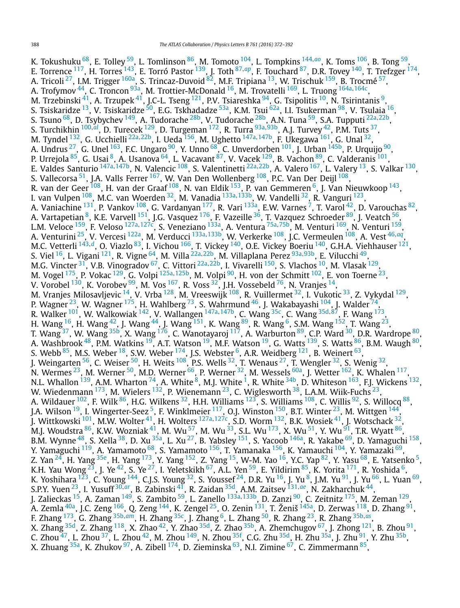K. Tokushuku [68,](#page-17-0) E. Tolley [59,](#page-17-0) L. Tomlinson [86,](#page-18-0) M. Tomoto [104,](#page-18-0) L. Tompkins [144](#page-19-0)*,[ao](#page-20-0)*, K. Toms [106,](#page-18-0) B. Tong [59,](#page-17-0) E. Torrence [117,](#page-18-0) H. Torres [143,](#page-18-0) E. Torró Pastor [139,](#page-18-0) J. Toth [87](#page-18-0)*,[ap](#page-20-0)*, F. Touchard [87,](#page-18-0) D.R. Tovey [140,](#page-18-0) T. Trefzger [174,](#page-19-0) A. Tricoli <sup>27</sup>, I.M. Trigger <sup>160a</sup>, S. Trincaz-Duvoid <sup>82</sup>, M.F. Tripiana <sup>13</sup>, W. Trischuk <sup>159</sup>, B. Trocmé <sup>57</sup>, A. Trofymov [44,](#page-17-0) C. Troncon [93a](#page-18-0), M. Trottier-McDonald [16,](#page-17-0) M. Trovatelli [169,](#page-19-0) L. Truong [164a](#page-19-0)*,*[164c,](#page-19-0) M. Trzebinski $^{\rm 41}$ , A. Trzupek $^{\rm 41}$ , J.C-L. Tseng $^{\rm 121}$ , P.V. Tsiareshka $^{\rm 94}$ , G. Tsipolitis  $^{\rm 10}$ , N. Tsirintanis  $^{\rm 9}$ , S. Tsiskaridze <sup>13</sup>, V. Tsiskaridze <sup>50</sup>, E.G. Tskhadadze <sup>53a</sup>, K.M. Tsui <sup>[62a](#page-17-0)</sup>, I.I. Tsukerman <sup>98</sup>, V. Tsulaia <sup>16</sup>, S. Tsuno [68,](#page-17-0) D. Tsybychev [149,](#page-19-0) A. Tudorache [28b,](#page-17-0) V. Tudorache [28b,](#page-17-0) A.N. Tuna [59,](#page-17-0) S.A. Tupputi [22a](#page-17-0)*,*[22b,](#page-17-0) S. Turchikhin [100](#page-18-0)*,[al](#page-20-0)*, D. Turecek [129,](#page-18-0) D. Turgeman [172,](#page-19-0) R. Turra [93a](#page-18-0)*,*[93b,](#page-18-0) A.J. Turvey [42](#page-17-0), P.M. Tuts [37,](#page-17-0) M. Tyndel [132,](#page-18-0) G. Ucchielli [22a](#page-17-0)*,*[22b,](#page-17-0) I. Ueda [156,](#page-19-0) M. Ughetto [147a](#page-19-0)*,*[147b,](#page-19-0) F. Ukegawa [161,](#page-19-0) G. Unal [32](#page-17-0), A. Undrus <sup>27</sup>, G. Unel <sup>163</sup>, F.C. Ungaro <sup>90</sup>, Y. Unno <sup>68</sup>, C. Unverdorben <sup>101</sup>, J. Urban <sup>145b</sup>, P. Urquijo <sup>90</sup>, P. Urrejola <sup>[85](#page-18-0)</sup>, G. Usai <sup>8</sup>, A. Usanova <sup>64</sup>, L. Vacavant <sup>87</sup>, V. Vacek <sup>129</sup>, B. Vachon <sup>89</sup>, C. Valderanis <sup>[101](#page-18-0)</sup>, E. Valdes Santurio [147a](#page-19-0)*,*[147b,](#page-19-0) N. Valencic [108,](#page-18-0) S. Valentinetti [22a](#page-17-0)*,*[22b,](#page-17-0) A. Valero [167,](#page-19-0) L. Valery [13,](#page-17-0) S. Valkar [130](#page-18-0), S. Vallecorsa <sup>51</sup>, J.A. Valls Ferrer <sup>167</sup>, W. Van Den Wollenberg <sup>108</sup>, P.C. Van Der Deijl <sup>108</sup>, R. van der Geer $^{\rm 108}$  $^{\rm 108}$  $^{\rm 108}$ , H. van der Graaf $^{\rm 108}$ , N. van Eldik $^{\rm 153}$ , P. van Gemmeren $^{\rm 6}$ , J. Van Nieuwkoop $^{\rm 143}$ , I. van Vulpen [108,](#page-18-0) M.C. van Woerden [32,](#page-17-0) M. Vanadia [133a](#page-18-0)*,*[133b,](#page-18-0) W. Vandelli [32,](#page-17-0) R. Vanguri [123,](#page-18-0) A. Vaniachine <sup>131</sup>, P. Vankov <sup>108</sup>, G. Vardanyan <sup>177</sup>, R. Vari <sup>133a</sup>, E.W. Varnes <sup>7</sup>, T. Varol <sup>42</sup>, D. Varouchas <sup>82</sup>, A. Vartapetian <sup>8</sup>, K.E. Varvell <sup>151</sup>, J.G. Vasquez <sup>176</sup>, F. Vazeille <sup>36</sup>, T. Vazquez Schroeder <sup>[89](#page-18-0)</sup>, J. Veatch <sup>[56](#page-17-0)</sup>, L.M. Veloce [159,](#page-19-0) F. Veloso [127a](#page-18-0)*,*[127c,](#page-18-0) S. Veneziano [133a,](#page-18-0) A. Ventura [75a](#page-18-0)*,*[75b,](#page-18-0) M. Venturi [169,](#page-19-0) N. Venturi [159,](#page-19-0) A. Venturini [25,](#page-17-0) V. Vercesi [122a,](#page-18-0) M. Verducci [133a](#page-18-0)*,*[133b](#page-18-0), W. Verkerke [108,](#page-18-0) J.C. Vermeulen [108,](#page-18-0) A. Vest [46](#page-17-0)*,[aq](#page-20-0)*, M.C. Vetterli <sup>[143](#page-18-0),*[d](#page-19-0)*</sup>, O. Viazlo <sup>83</sup>, I. Vichou <sup>[166](#page-19-0)</sup>, T. Vickey <sup>[140](#page-18-0)</sup>, O.E. Vickey Boeriu <sup>140</sup>, G.H.A. Viehhauser <sup>121</sup>, S. Viel [16,](#page-17-0) L. Vigani [121,](#page-18-0) R. Vigne [64,](#page-17-0) M. Villa [22a](#page-17-0)*,*[22b,](#page-17-0) M. Villaplana Perez [93a](#page-18-0)*,*[93b,](#page-18-0) E. Vilucchi [49,](#page-17-0) M.G. Vincter [31,](#page-17-0) V.B. Vinogradov [67,](#page-17-0) C. Vittori [22a](#page-17-0)*,*[22b](#page-17-0), I. Vivarelli [150,](#page-19-0) S. Vlachos [10,](#page-17-0) M. Vlasak [129,](#page-18-0) M. Vogel <sup>175</sup>, P. Vokac<sup>[129](#page-18-0)</sup>, G. Volpi<sup>[125a](#page-18-0),125b</sup>, M. Volpi<sup>90</sup>, H. von der Schmitt<sup>[102](#page-18-0)</sup>, E. von Toerne<sup>23</sup>, V. Vorobel  $^{130}$ , K. Vorobev  $^{99}$ , M. Vos  $^{167}$ , R. Voss  $^{32}$ , J.H. Vossebeld  $^{76}$ , N. Vranjes  $^{14}$ , M. Vranjes Milosavljevic <sup>14</sup>, V. Vrba <sup>128</sup>, M. Vreeswijk <sup>108</sup>, R. Vuillermet <sup>32</sup>, I. Vukotic <sup>33</sup>, Z. Vykydal <sup>129</sup>, P. Wagner <sup>23</sup>, W. Wagner <sup>[175](#page-19-0)</sup>, H. Wahlberg <sup>73</sup>, S. Wahrmund <sup>46</sup>, J. Wakabayashi <sup>104</sup>, J. Walder <sup>74</sup>, R. Walker [101,](#page-18-0) W. Walkowiak [142,](#page-18-0) V. Wallangen [147a](#page-19-0)*,*[147b,](#page-19-0) C. Wang [35c,](#page-17-0) C. Wang [35d](#page-17-0)*,*[87,](#page-18-0) F. Wang [173,](#page-19-0) H. Wang  $^{16}$ , H. Wang  $^{42}$  $^{42}$  $^{42}$ , J. Wang  $^{44}$ , J. Wang  $^{151}$ , K. Wang  $^{89}$ , R. Wang  $^6$ , S.M. Wang  $^{152}$ , T. Wang  $^{23}$ , T. Wang  $^{37}$ , W. Wang  $^{35\mathrm{b}}$ , X. Wang  $^{176}$ , C. Wanotayaroj  $^{117}$ , A. Warburton  $^{89}$ , C.P. Ward  $^{30}$ , D.R. Wardrope  $^{80}$ , A. Washbrook  $^{48}$ , P.M. Watkins  $^{19}$  $^{19}$  $^{19}$ , A.T. Watson  $^{19}$ , M.F. Watson  $^{19}$ , G. Watts  $^{139}$ , S. Watts  $^{86}$ , B.M. Waugh  $^{80}$ , S. Webb  $^{85}$ , M.S. Weber  $^{18}$  $^{18}$  $^{18}$ , S.W. Weber  $^{174}$ , J.S. Webster  $^6$ , A.R. Weidberg  $^{121}$ , B. Weinert  $^{63}$ , J. Weingarten  $^{56}$ , C. Weiser  $^{50}$ , H. Weits  $^{108}$ , P.S. Wells  $^{32}$  $^{32}$  $^{32}$ , T. Wenaus  $^{27}$ , T. Wengler  $^{32}$ , S. Wenig  $^{32}$ , N. Wermes  $^{23}$  $^{23}$  $^{23}$ , M. Werner  $^{50}$ , M.D. Werner  $^{66}$ , P. Werner  $^{32}$ , M. Wessels  $^{60\mathrm{a}}$ , J. Wetter  $^{162}$ , K. Whalen  $^{117}$ , N.L. Whallon  $^{139}$  $^{139}$  $^{139}$ , A.M. Wharton  $^{74}$ , A. White  $^8$  $^8$ , M.J. White  $^1$ , R. White  $^{34\mathrm{b}}$ , D. Whiteson  $^{163}$ , F.J. Wickens  $^{132}$ , W. Wiedenmann  $173$ , M. Wielers  $132$ , P. Wienemann  $23$ , C. Wiglesworth  $38$ , L.A.M. Wiik-Fuchs  $23$ , A. Wildauer  $^{102}$ , F. Wilk  $^{86}$  $^{86}$  $^{86}$ , H.G. Wilkens  $^{32}$ , H.H. Williams  $^{123}$ , S. Williams  $^{108}$ , C. Willis  $^{92}$  $^{92}$  $^{92}$ , S. Willocq  $^{88}$ , J.A. Wilson  $^{19}$ , I. Wingerter-Seez  $^5$ , F. Winklmeier  $^{117}$ , O.J. Winston  $^{150}$ , B.T. Winter  $^{23}$ , M. Wittgen  $^{144}$  $^{144}$  $^{144}$ J. Wittkowski [101,](#page-18-0) M.W. Wolter [41,](#page-17-0) H. Wolters [127a](#page-18-0)*,*[127c,](#page-18-0) S.D. Worm [132,](#page-18-0) B.K. Wosiek [41,](#page-17-0) J. Wotschack [32,](#page-17-0) M.J. Woudstra  $^{86}$  $^{86}$  $^{86}$ , K.W. Wozniak  $^{41}$ , M. Wu  $^{57}$ , M. Wu  $^{33}$ , S.L. Wu  $^{173}$ , X. Wu  $^{51}$ , Y. Wu  $^{91}$ , T.R. Wyatt  $^{86}$ , B.M. Wynne <sup>48</sup>, S. Xella <sup>38</sup>, D. Xu <sup>35a</sup>, L. Xu <sup>27</sup>, B. Yabsley <sup>151</sup>, S. Yacoob <sup>146a</sup>, R. Yakabe <sup>69</sup>, D. Yamaguchi <sup>158</sup>, Y. Yamaguchi <sup>119</sup>, A. Yamamoto <sup>68</sup>, S. Yamamoto <sup>156</sup>, T. Yamanaka <sup>156</sup>, K. Yamauchi <sup>104</sup>, Y. Yamazaki <sup>69</sup>, Z. Yan $^{24}$ , H. Yang $^{35\mathrm{e}}$ , H. Yang $^{173}$ , Y. Yang $^{152}$ , Z. Yang $^{15}$ , W-M. Yao $^{16}$ , Y.C. Yap $^{82}$ , Y. Yasu $^{68}$ , E. Yatsenko $^5$ , K.H. Yau Wong $^{23}$ , J. Ye $^{42}$ , S. Ye $^{27}$ , I. Yeletskikh $^{67}$  $^{67}$  $^{67}$ , A.L. Yen $^{59}$ , E. Yildirim $^{85}$ , K. Yorita $^{171}$  $^{171}$  $^{171}$ , R. Yoshida $^6$ , K. Yoshihara  $^{123}$ , C. Young  $^{144}$ , C.J.S. Young  $^{32}$ , S. Youssef  $^{24}$ , D.R. Yu  $^{16}$ , J. Yu  $^8$ , J.M. Yu  $^{91}$ , J. Yu  $^{66}$ , L. Yuan  $^{69}$ , S.P.Y. Yuen [23,](#page-17-0) I. Yusuff [30](#page-17-0)*,[ar](#page-20-0)*, B. Zabinski [41,](#page-17-0) R. Zaidan [35d,](#page-17-0) A.M. Zaitsev [131](#page-18-0)*,[ae](#page-19-0)*, N. Zakharchuk [44,](#page-17-0) J. Zalieckas [15,](#page-17-0) A. Zaman [149,](#page-19-0) S. Zambito [59,](#page-17-0) L. Zanello [133a](#page-18-0)*,*[133b,](#page-18-0) D. Zanzi [90,](#page-18-0) C. Zeitnitz [175,](#page-19-0) M. Zeman [129,](#page-18-0) A. Zemla $^{40$ a, J.C. Zeng $^{166}$ , Q. Zeng $^{144}$  $^{144}$  $^{144}$ , K. Zengel $^{25}$ , O. Zenin $^{131}$ , T. Ženiš $^{145}$ a, D. Zerwas $^{118}$ , D. Zhang $^{91}$ , F. Zhang [173,](#page-19-0) G. Zhang [35b](#page-17-0)*,[am](#page-20-0)*, H. Zhang [35c,](#page-17-0) J. Zhang [6,](#page-17-0) L. Zhang [50,](#page-17-0) R. Zhang [23,](#page-17-0) R. Zhang [35b](#page-17-0)*,[as](#page-20-0)*, X. Zhang  $^{35{\rm d}}$ , Z. Zhang  $^{118}$ , X. Zhao  $^{42}$ , Y. Zhao  $^{35{\rm d}}$ , Z. Zhao  $^{35{\rm b}}$ , A. Zhemchugov  $^{67}$ , J. Zhong  $^{121}$ , B. Zhou  $^{91}$ , C. Zhou $^{47}$ , L. Zhou $^{37}$ , L. Zhou $^{42}$ , M. Zhou $^{149}$ , N. Zhou $^{35\text{f}}$ , C.G. Zhu $^{35\text{d}}$ , H. Zhu $^{35\text{a}}$ , J. Zhu $^{91}$ , Y. Zhu $^{35\text{b}}$ , X. Zhuang <sup>35a</sup>, K. Zhukov <sup>97</sup>, A. Zibell <sup>174</sup>, D. Zieminska <sup>[63](#page-17-0)</sup>, N.I. Zimine <sup>67</sup>, C. Zimmermann <sup>85</sup>,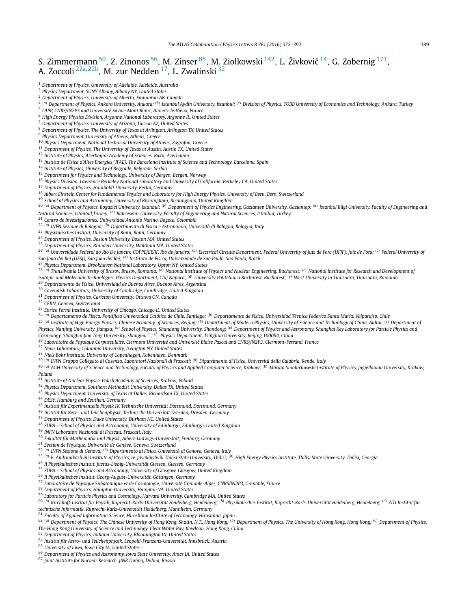# <span id="page-17-0"></span>S. Zimmermann  $^{50}$ , Z. Zinonos  $^{56}$ , M. Zinser  $^{85}$ , M. Ziolkowski  $^{142}$ , L. Živković  $^{14}$ , G. Zobernig  $^{173},$ A. Zoccoli 22a*,*22b, M. zur Nedden 17, L. Zwalinski <sup>32</sup>

- *Department of Physics, University of Adelaide, Adelaide, Australia*
- *Physics Department, SUNY Albany, Albany NY, United States*
- *Department of Physics, University of Alberta, Edmonton AB, Canada*
- 4 (a) Department of Physics, Ankara University, Ankara; (b) Istanbul Aydin University, Istanbul; (c) Division of Physics, TOBB University of Economics and Technology, Ankara, Turkey
- *LAPP, CNRS/IN2P3 and Université Savoie Mont Blanc, Annecy-le-Vieux, France*

*High Energy Physics Division, Argonne National Laboratory, Argonne IL, United States*

- *Department of Physics, University of Arizona, Tucson AZ, United States*
- *Department of Physics, The University of Texas at Arlington, Arlington TX, United States*
- *Physics Department, University of Athens, Athens, Greece*
- *Physics Department, National Technical University of Athens, Zografou, Greece*
- *Department of Physics, The University of Texas at Austin, Austin TX, United States*
- *Institute of Physics, Azerbaijan Academy of Sciences, Baku, Azerbaijan*
- *Institut de Física d'Altes Energies (IFAE), The Barcelona Institute of Science and Technology, Barcelona, Spain*
- *Institute of Physics, University of Belgrade, Belgrade, Serbia*
- *Department for Physics and Technology, University of Bergen, Bergen, Norway*
- *Physics Division, Lawrence Berkeley National Laboratory and University of California, Berkeley CA, United States*
- *Department of Physics, Humboldt University, Berlin, Germany*
- <sup>18</sup> Albert Einstein Center for Fundamental Physics and Laboratory for High Energy Physics, University of Bern, Bern, Switzerland
- *School of Physics and Astronomy, University of Birmingham, Birmingham, United Kingdom*

<sup>20</sup> (a) Department of Physics, Bogazici University, Istanbul; (b) Department of Physics Engineering, Gaziantep University, Gaziantep; (d) Istanbul Bilgi University, Faculty of Engineering and Natural Sciences, Istanbul, Turkey; <sup>(e)</sup> Bahcesehir University, Faculty of Engineering and Natural Sciences, Istanbul, Turkey

*Centro de Investigaciones, Universidad Antonio Narino, Bogota, Colombia*

<sup>22</sup> <sup>(a)</sup> INFN Sezione di Bologna; <sup>(b)</sup> Dipartimento di Fisica e Astronomia, Università di Bologna, Bologna, Italy

*Physikalisches Institut, University of Bonn, Bonn, Germany*

*Department of Physics, Boston University, Boston MA, United States*

*Department of Physics, Brandeis University, Waltham MA, United States*

26 (a) Universidade Federal do Rio De Janeiro COPPE/EE/IF, Rio de Janeiro; (b) Electrical Circuits Department, Federal University of Juiz de Fora (UFJF), Juiz de Fora; <sup>(c)</sup> Federal University of the Sales of Allensity of Sao Joao del Rei (UFSJ), Sao Joao del Rei; <sup>(d)</sup> Instituto de Fisica, Universidade de Sao Paulo, Sao Paulo, Brazil

*Physics Department, Brookhaven National Laboratory, Upton NY, United States*

<sup>28</sup> (a) Transilvania University of Brasov, Brasov, Romania; <sup>(b)</sup> National Institute of Physics and Nuclear Engineering, Bucharest; <sup>(c)</sup> National Institute for Research and Development of Isotopic and Molecular Technologies, Physics Department, Cluj Napoca; <sup>(d)</sup> University Politehnica Bucharest, Bucharest; <sup>(e)</sup> West University in Timisoara, Timisoara, Romania

*Departamento de Física, Universidad de Buenos Aires, Buenos Aires, Argentina*

*Cavendish Laboratory, University of Cambridge, Cambridge, United Kingdom*

- *Department of Physics, Carleton University, Ottawa ON, Canada*
- *CERN, Geneva, Switzerland*
- *Enrico Fermi Institute, University of Chicago, Chicago IL, United States*

34 (a) Departamento de Física. Pontificia Universidad Católica de Chile. Santiago: (b) Departamento de Física. Universidad Técnica Federico Santa María. Valparaíso. Chile

<sup>35 (a)</sup> Institute of High Energy Physics, Chinese Academy of Sciences, Beijing; <sup>(b)</sup> Department of Modern Physics, University of Science and Technology of China, Anhui; <sup>(c)</sup> Department of Physics, Nanjing University, Jiangsu; (d) School of Physics, Shandong University, Shandong; <sup>(e)</sup> Department of Physics and Astronomy, Shanghai Key Laboratory for Particle Physics and Cosmology, Shanghai Jiao Tong University, Shanghai<sup>at</sup>; <sup>(f)</sup> Physics Department, Tsinghua University, Beijing 100084, China

<sup>36</sup> Laboratoire de Physique Corpusculaire, Clermont Université and Université Blaise Pascal and CNRS/IN2P3, Clermont-Ferrand, France

*Nevis Laboratory, Columbia University, Irvington NY, United States*

*Niels Bohr Institute, University of Copenhagen, Kobenhavn, Denmark*

<sup>39</sup> <sup>(a)</sup> INFN Gruppo Collegato di Cosenza, Laboratori Nazionali di Frascati; <sup>(b)</sup> Dipartimento di Fisica, Università della Calabria, Rende, Italy

40 (a) AGH University of Science and Technology, Faculty of Physics and Applied Computer Science, Krakow; (b) Marian Smoluchowski Institute of Physics, Jagiellonian University, Krakow, *Poland*

*Institute of Nuclear Physics Polish Academy of Sciences, Krakow, Poland*

*Physics Department, Southern Methodist University, Dallas TX, United States*

*Physics Department, University of Texas at Dallas, Richardson TX, United States*

*DESY, Hamburg and Zeuthen, Germany*

*Institut für Experimentelle Physik IV, Technische Universität Dortmund, Dortmund, Germany*

*Institut für Kern- und Teilchenphysik, Technische Universität Dresden, Dresden, Germany*

*Department of Physics, Duke University, Durham NC, United States*

*SUPA – School of Physics and Astronomy, University of Edinburgh, Edinburgh, United Kingdom*

*INFN Laboratori Nazionali di Frascati, Frascati, Italy*

*Fakultät für Mathematik und Physik, Albert-Ludwigs-Universität, Freiburg, Germany*

*Section de Physique, Université de Genève, Geneva, Switzerland*

*(a) INFN Sezione di Genova; (b) Dipartimento di Fisica, Università di Genova, Genova, Italy*

<sup>53 (a)</sup> E. Andronikashvili Institute of Physics, Iv. Javakhishvili Tbilisi State University, Tbilisi; (b) High Energy Physics Institute, Tbilisi State University, Tbilisi, Georgia

*II Physikalisches Institut, Justus-Liebig-Universität Giessen, Giessen, Germany*

*SUPA – School of Physics and Astronomy, University of Glasgow, Glasgow, United Kingdom*

*II Physikalisches Institut, Georg-August-Universität, Göttingen, Germany*

*Laboratoire de Physique Subatomique et de Cosmologie, Université Grenoble-Alpes, CNRS/IN2P3, Grenoble, France*

*Department of Physics, Hampton University, Hampton VA, United States*

*Laboratory for Particle Physics and Cosmology, Harvard University, Cambridge MA, United States*

<sup>60 (a)</sup> Kirchhoff-Institut für Physik, Ruprecht-Karls-Universität Heidelberg, Heidelberg; <sup>(b)</sup> Physikalisches Institut, Ruprecht-Karls-Universität Heidelberg, Heidelberg; <sup>(c)</sup> ZITI Institut für

*technische Informatik, Ruprecht-Karls-Universität Heidelberg, Mannheim, Germany*

*Faculty of Applied Information Science, Hiroshima Institute of Technology, Hiroshima, Japan*

62 (a) Department of Physics, The Chinese University of Hong Kong, Shatin, N.T., Hong Kong; <sup>(b)</sup> Department of Physics, The University of Hong Kong, Hong Kong; <sup>(c)</sup> Department of Physics, *The Hong Kong University of Science and Technology, Clear Water Bay, Kowloon, Hong Kong, China*

*Department of Physics, Indiana University, Bloomington IN, United States*

*Institut für Astro- und Teilchenphysik, Leopold-Franzens-Universität, Innsbruck, Austria*

*University of Iowa, Iowa City IA, United States*

*Department of Physics and Astronomy, Iowa State University, Ames IA, United States*

*Joint Institute for Nuclear Research, JINR Dubna, Dubna, Russia*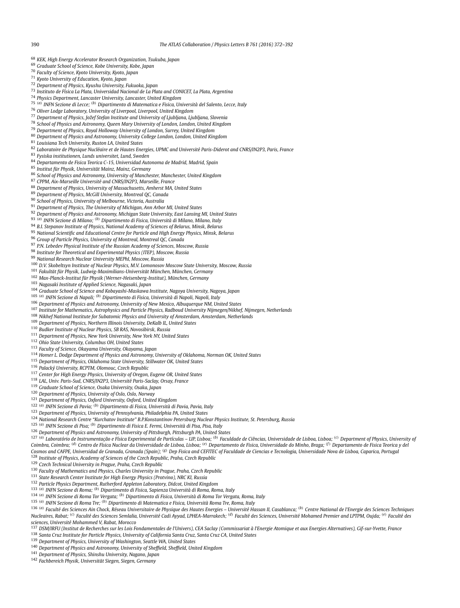- <span id="page-18-0"></span>*Graduate School of Science, Kobe University, Kobe, Japan*
- *Faculty of Science, Kyoto University, Kyoto, Japan*
- *Kyoto University of Education, Kyoto, Japan*
- *Department of Physics, Kyushu University, Fukuoka, Japan*
- *Instituto de Física La Plata, Universidad Nacional de La Plata and CONICET, La Plata, Argentina*
- *Physics Department, Lancaster University, Lancaster, United Kingdom*
- <sup>75</sup> (a) INFN Sezione di Lecce; <sup>(b)</sup> Dipartimento di Matematica e Fisica, Università del Salento, Lecce, Italy
- *Oliver Lodge Laboratory, University of Liverpool, Liverpool, United Kingdom*
- *Department of Physics, Jožef Stefan Institute and University of Ljubljana, Ljubljana, Slovenia*
- *School of Physics and Astronomy, Queen Mary University of London, London, United Kingdom*
- *Department of Physics, Royal Holloway University of London, Surrey, United Kingdom*
- *Department of Physics and Astronomy, University College London, London, United Kingdom*
- *Louisiana Tech University, Ruston LA, United States*
- <sup>82</sup> Laboratoire de Physique Nucléaire et de Hautes Energies, UPMC and Université Paris-Diderot and CNRS/IN2P3, Paris, France
- *Fysiska institutionen, Lunds universitet, Lund, Sweden*
- *Departamento de Fisica Teorica C-15, Universidad Autonoma de Madrid, Madrid, Spain*
- *Institut für Physik, Universität Mainz, Mainz, Germany*
- *School of Physics and Astronomy, University of Manchester, Manchester, United Kingdom*
- *CPPM, Aix-Marseille Université and CNRS/IN2P3, Marseille, France*
- *Department of Physics, University of Massachusetts, Amherst MA, United States*
- *Department of Physics, McGill University, Montreal QC, Canada*
- *School of Physics, University of Melbourne, Victoria, Australia*
- *Department of Physics, The University of Michigan, Ann Arbor MI, United States*
- *Department of Physics and Astronomy, Michigan State University, East Lansing MI, United States*
- *(a) INFN Sezione di Milano; (b) Dipartimento di Fisica, Università di Milano, Milano, Italy*
- *B.I. Stepanov Institute of Physics, National Academy of Sciences of Belarus, Minsk, Belarus*
- *National Scientific and Educational Centre for Particle and High Energy Physics, Minsk, Belarus*
- *Group of Particle Physics, University of Montreal, Montreal QC, Canada*
- *P.N. Lebedev Physical Institute of the Russian Academy of Sciences, Moscow, Russia*
- *Institute for Theoretical and Experimental Physics (ITEP), Moscow, Russia*
- *National Research Nuclear University MEPhI, Moscow, Russia*
- *D.V. Skobeltsyn Institute of Nuclear Physics, M.V. Lomonosov Moscow State University, Moscow, Russia*
- *Fakultät für Physik, Ludwig-Maximilians-Universität München, München, Germany*
- *Max-Planck-Institut für Physik (Werner-Heisenberg-Institut), München, Germany*
- *Nagasaki Institute of Applied Science, Nagasaki, Japan*
- *Graduate School of Science and Kobayashi-Maskawa Institute, Nagoya University, Nagoya, Japan*
- *(a) INFN Sezione di Napoli; (b) Dipartimento di Fisica, Università di Napoli, Napoli, Italy*
- *Department of Physics and Astronomy, University of New Mexico, Albuquerque NM, United States*
- *Institute for Mathematics, Astrophysics and Particle Physics, Radboud University Nijmegen/Nikhef, Nijmegen, Netherlands*
- *Nikhef National Institute for Subatomic Physics and University of Amsterdam, Amsterdam, Netherlands*
- *Department of Physics, Northern Illinois University, DeKalb IL, United States*
- *Budker Institute of Nuclear Physics, SB RAS, Novosibirsk, Russia*
- *Department of Physics, New York University, New York NY, United States*
- *Ohio State University, Columbus OH, United States*
- 
- *Faculty of Science, Okayama University, Okayama, Japan*
- *Homer L. Dodge Department of Physics and Astronomy, University of Oklahoma, Norman OK, United States*
- *Department of Physics, Oklahoma State University, Stillwater OK, United States*
- *Palacký University, RCPTM, Olomouc, Czech Republic*
- *Center for High Energy Physics, University of Oregon, Eugene OR, United States*
- *LAL, Univ. Paris-Sud, CNRS/IN2P3, Université Paris-Saclay, Orsay, France*
- *Graduate School of Science, Osaka University, Osaka, Japan*
- *Department of Physics, University of Oslo, Oslo, Norway*
- *Department of Physics, Oxford University, Oxford, United Kingdom*
- *(a) INFN Sezione di Pavia; (b) Dipartimento di Fisica, Università di Pavia, Pavia, Italy*
- 
- *Department of Physics, University of Pennsylvania, Philadelphia PA, United States*
- *National Research Centre "Kurchatov Institute" B.P.Konstantinov Petersburg Nuclear Physics Institute, St. Petersburg, Russia*
- 125 (a) INFN Sezione di Pisa; <sup>(b)</sup> Dipartimento di Fisica E. Fermi, Università di Pisa, Pisa, Italy
- *Department of Physics and Astronomy, University of Pittsburgh, Pittsburgh PA, United States*
- 127 (a) Laboratório de Instrumentação e Física Experimental de Partículas LIP, Lisboa; (b) Faculdade de Ciências, Universidade de Lisboa, Lisboa; (c) Department of Physics, University of Coimbra, Coimbra; <sup>(d)</sup> Centro de Física Nuclear da Universidade de Lisboa, Lisboa; <sup>(e)</sup> Departamento de Fisica, Universidade do Minho, Braga; <sup>(f)</sup> Departamento de Fisica Teorica y del Cosmos and CAFPE, Universidad de Granada, Granada (Spain); (g) Dep Fisica and CEFITEC of Faculdade de Ciencias e Tecnologia, Universidade Nova de Lisboa, Caparica, Portugal *Institute of Physics, Academy of Sciences of the Czech Republic, Praha, Czech Republic*

*Czech Technical University in Prague, Praha, Czech Republic*

*Faculty of Mathematics and Physics, Charles University in Prague, Praha, Czech Republic*

*State Research Center Institute for High Energy Physics (Protvino), NRC KI, Russia*

*Particle Physics Department, Rutherford Appleton Laboratory, Didcot, United Kingdom*

- 133 (a) INFN Sezione di Roma; (b) Dipartimento di Fisica, Sapienza Università di Roma, Roma, Italy
- 134 (a) INFN Sezione di Roma Tor Vergata; (b) Dipartimento di Fisica, Università di Roma Tor Vergata, Roma, Italy
- 135 (a) INFN Sezione di Roma Tre; (b) Dipartimento di Matematica e Fisica, Università Roma Tre, Roma, Italy
- 136 (a) Faculté des Sciences Ain Chock, Réseau Universitaire de Physique des Hautes Energies Université Hassan II, Casablanca; (b) Centre National de l'Energie des Sciences Techniques Nucleaires, Rabat; <sup>(c)</sup> Faculté des Sciences Semlalia, Université Cadi Ayyad, LPHEA-Marrakech; <sup>(d)</sup> Faculté des Sciences, Université Mohamed Premier and LPTPM, Oujda; <sup>(e)</sup> Faculté des *sciences, Université Mohammed V, Rabat, Morocco*
- 137 DSM/IRFU (Institut de Recherches sur les Lois Fondamentales de l'Univers), CEA Saclay (Commissariat à l'Energie Atomique et aux Energies Alternatives), Gif-sur-Yvette, France *Santa Cruz Institute for Particle Physics, University of California Santa Cruz, Santa Cruz CA, United States*
- *Department of Physics, University of Washington, Seattle WA, United States*
- *Department of Physics and Astronomy, University of Sheffield, Sheffield, United Kingdom*
- *Department of Physics, Shinshu University, Nagano, Japan*
- *Fachbereich Physik, Universität Siegen, Siegen, Germany*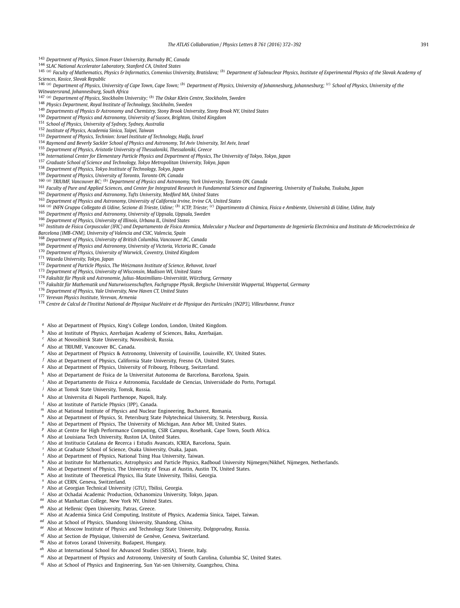<span id="page-19-0"></span><sup>143</sup> *Department of Physics, Simon Fraser University, Burnaby BC, Canada*

<sup>144</sup> *SLAC National Accelerator Laboratory, Stanford CA, United States*

145 (a) Faculty of Mathematics, Physics & Informatics, Comenius University, Bratislava; (b) Department of Subnuclear Physics, Institute of Experimental Physics of the Slovak Academy of *Sciences, Kosice, Slovak Republic*

146 (a) Department of Physics, University of Cape Town, Cape Town; <sup>(b)</sup> Department of Physics, University of Johannesburg, Johannesburg; <sup>(c)</sup> School of Physics, University of the *Witwatersrand, Johannesburg, South Africa*

<sup>147</sup> *(a) Department of Physics, Stockholm University; (b) The Oskar Klein Centre, Stockholm, Sweden*

<sup>148</sup> *Physics Department, Royal Institute of Technology, Stockholm, Sweden*

<sup>149</sup> *Departments of Physics & Astronomy and Chemistry, Stony Brook University, Stony Brook NY, United States*

<sup>150</sup> *Department of Physics and Astronomy, University of Sussex, Brighton, United Kingdom*

<sup>151</sup> *School of Physics, University of Sydney, Sydney, Australia*

<sup>152</sup> *Institute of Physics, Academia Sinica, Taipei, Taiwan*

<sup>153</sup> *Department of Physics, Technion: Israel Institute of Technology, Haifa, Israel*

<sup>154</sup> *Raymond and Beverly Sackler School of Physics and Astronomy, Tel Aviv University, Tel Aviv, Israel*

- <sup>155</sup> *Department of Physics, Aristotle University of Thessaloniki, Thessaloniki, Greece*
- <sup>156</sup> International Center for Elementary Particle Physics and Department of Physics, The University of Tokyo, Tokyo, Japan
- <sup>157</sup> *Graduate School of Science and Technology, Tokyo Metropolitan University, Tokyo, Japan*
- <sup>158</sup> *Department of Physics, Tokyo Institute of Technology, Tokyo, Japan*
- <sup>159</sup> *Department of Physics, University of Toronto, Toronto ON, Canada*

<sup>160</sup> (a) TRIUMF, Vancouver BC; <sup>(b)</sup> Department of Physics and Astronomy, York University, Toronto ON, Canada

<sup>161</sup> Faculty of Pure and Applied Sciences, and Center for Integrated Research in Fundamental Science and Engineering, University of Tsukuba, Tsukuba, Japan

<sup>162</sup> *Department of Physics and Astronomy, Tufts University, Medford MA, United States*

<sup>163</sup> *Department of Physics and Astronomy, University of California Irvine, Irvine CA, United States*

164 (a) INFN Gruppo Collegato di Udine, Sezione di Trieste, Udine; <sup>(b)</sup> ICTP, Trieste; <sup>(c)</sup> Dipartimento di Chimica, Fisica e Ambiente, Università di Udine, Udine, Italy

<sup>165</sup> *Department of Physics and Astronomy, University of Uppsala, Uppsala, Sweden*

<sup>166</sup> *Department of Physics, University of Illinois, Urbana IL, United States*

<sup>167</sup> Instituto de Fisica Corpuscular (IFIC) and Departamento de Fisica Atomica, Molecular y Nuclear and Departamento de Ingeniería Electrónica and Instituto de Microelectrónica de

*Barcelona (IMB-CNM), University of Valencia and CSIC, Valencia, Spain*

<sup>168</sup> *Department of Physics, University of British Columbia, Vancouver BC, Canada*

<sup>169</sup> *Department of Physics and Astronomy, University of Victoria, Victoria BC, Canada*

<sup>170</sup> *Department of Physics, University of Warwick, Coventry, United Kingdom*

<sup>171</sup> *Waseda University, Tokyo, Japan*

<sup>172</sup> *Department of Particle Physics, The Weizmann Institute of Science, Rehovot, Israel*

<sup>173</sup> *Department of Physics, University of Wisconsin, Madison WI, United States*

<sup>174</sup> *Fakultät für Physik und Astronomie, Julius-Maximilians-Universität, Würzburg, Germany*

<sup>175</sup> *Fakultät für Mathematik und Naturwissenschaften, Fachgruppe Physik, Bergische Universität Wuppertal, Wuppertal, Germany*

<sup>176</sup> *Department of Physics, Yale University, New Haven CT, United States*

<sup>177</sup> *Yerevan Physics Institute, Yerevan, Armenia*

<sup>178</sup> Centre de Calcul de l'Institut National de Physique Nucléaire et de Physique des Particules (IN2P3), Villeurbanne, France

- *<sup>a</sup>* Also at Department of Physics, King's College London, London, United Kingdom.
- *<sup>b</sup>* Also at Institute of Physics, Azerbaijan Academy of Sciences, Baku, Azerbaijan.

*<sup>c</sup>* Also at Novosibirsk State University, Novosibirsk, Russia.

*d* Also at TRIUMF, Vancouver BC, Canada.

*<sup>e</sup>* Also at Department of Physics & Astronomy, University of Louisville, Louisville, KY, United States.

- *<sup>f</sup>* Also at Department of Physics, California State University, Fresno CA, United States.
- *<sup>g</sup>* Also at Department of Physics, University of Fribourg, Fribourg, Switzerland.
- *<sup>h</sup>* Also at Departament de Fisica de la Universitat Autonoma de Barcelona, Barcelona, Spain.
- *<sup>i</sup>* Also at Departamento de Fisica e Astronomia, Faculdade de Ciencias, Universidade do Porto, Portugal.

*<sup>j</sup>* Also at Tomsk State University, Tomsk, Russia.

- *<sup>k</sup>* Also at Universita di Napoli Parthenope, Napoli, Italy.
- *<sup>l</sup>* Also at Institute of Particle Physics (IPP), Canada.
- *<sup>m</sup>* Also at National Institute of Physics and Nuclear Engineering, Bucharest, Romania.
- *<sup>n</sup>* Also at Department of Physics, St. Petersburg State Polytechnical University, St. Petersburg, Russia.
- Also at Department of Physics, The University of Michigan, Ann Arbor MI, United States.
- *<sup>p</sup>* Also at Centre for High Performance Computing, CSIR Campus, Rosebank, Cape Town, South Africa.
- *<sup>q</sup>* Also at Louisiana Tech University, Ruston LA, United States.
- *<sup>r</sup>* Also at Institucio Catalana de Recerca i Estudis Avancats, ICREA, Barcelona, Spain.
- *<sup>s</sup>* Also at Graduate School of Science, Osaka University, Osaka, Japan.
- *<sup>t</sup>* Also at Department of Physics, National Tsing Hua University, Taiwan.
- *<sup>u</sup>* Also at Institute for Mathematics, Astrophysics and Particle Physics, Radboud University Nijmegen/Nikhef, Nijmegen, Netherlands.
- *<sup>v</sup>* Also at Department of Physics, The University of Texas at Austin, Austin TX, United States.
- Also at Institute of Theoretical Physics, Ilia State University, Tbilisi, Georgia.
- *<sup>x</sup>* Also at CERN, Geneva, Switzerland.
- *<sup>y</sup>* Also at Georgian Technical University (GTU), Tbilisi, Georgia.
- *<sup>z</sup>* Also at Ochadai Academic Production, Ochanomizu University, Tokyo, Japan.
- <sup>*aa*</sup> Also at Manhattan College, New York NY, United States.
- *ab* Also at Hellenic Open University, Patras, Greece.<br>*ac* Also at Academia Sinica Crid Computing Institu
- *ac* Also at Academia Sinica Grid Computing, Institute of Physics, Academia Sinica, Taipei, Taiwan.
- *ad* Also at School of Physics, Shandong University, Shandong, China.
- *ae* Also at Moscow Institute of Physics and Technology State University, Dolgoprudny, Russia.
- <sup>*af*</sup> Also at Section de Physique, Université de Genève, Geneva, Switzerland.<br><sup>ag</sup> Also at Fotvos Lorand University Budanest Hungary
- *ag* Also at Eotvos Lorand University, Budapest, Hungary.
- *ah* Also at International School for Advanced Studies (SISSA), Trieste, Italy.
- *ai* Also at Department of Physics and Astronomy, University of South Carolina, Columbia SC, United States.
- *aj* Also at School of Physics and Engineering, Sun Yat-sen University, Guangzhou, China.